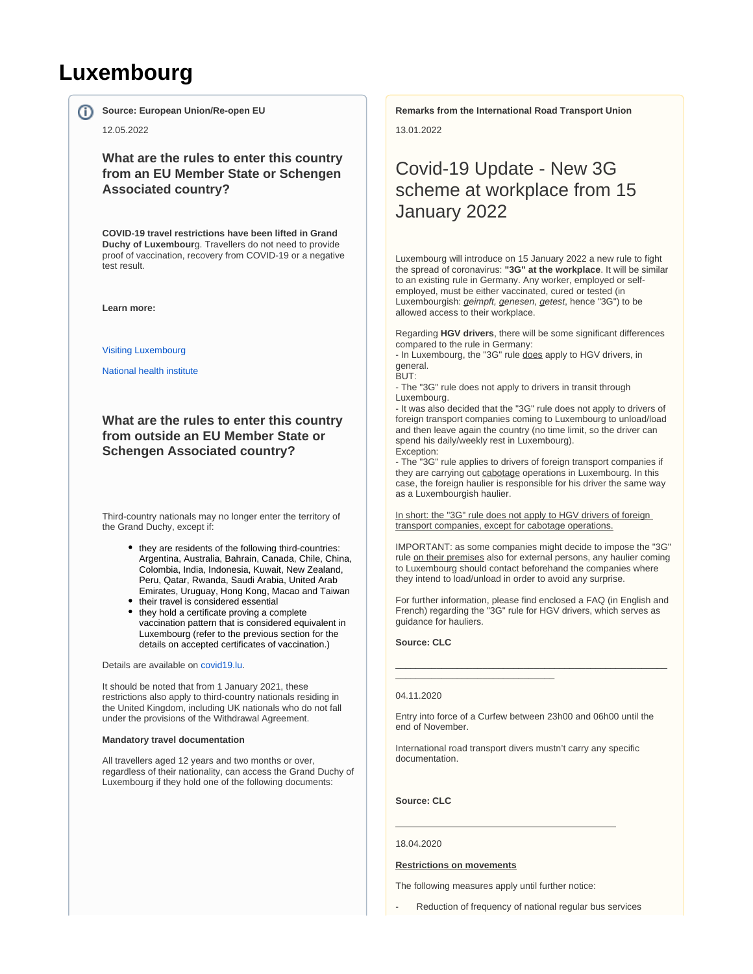# **Luxembourg**

**Source: European Union/Re-open EU**

### 12.05.2022

ന

**What are the rules to enter this country from an EU Member State or Schengen Associated country?**

**COVID-19 travel restrictions have been lifted in Grand Duchy of Luxembour**g. Travellers do not need to provide proof of vaccination, recovery from COVID-19 or a negative test result.

**Learn more:**

[Visiting Luxembourg](https://covid19.public.lu/en/travellers/visiting-luxembourg.html)

[National health institute](https://www.lih.lu/)

**What are the rules to enter this country from outside an EU Member State or Schengen Associated country?**

Third-country nationals may no longer enter the territory of the Grand Duchy, except if:

- they are residents of the following third-countries: Argentina, Australia, Bahrain, Canada, Chile, China, Colombia, India, Indonesia, Kuwait, New Zealand, Peru, Qatar, Rwanda, Saudi Arabia, United Arab Emirates, Uruguay, Hong Kong, Macao and Taiwan
- their travel is considered essential • they hold a certificate proving a complete vaccination pattern that is considered equivalent in Luxembourg (refer to the previous section for the details on accepted certificates of vaccination.)

Details are available on [covid19.lu](https://covid19.public.lu/en.html).

It should be noted that from 1 January 2021, these restrictions also apply to third-country nationals residing in the United Kingdom, including UK nationals who do not fall under the provisions of the Withdrawal Agreement.

#### **Mandatory travel documentation**

All travellers aged 12 years and two months or over, regardless of their nationality, can access the Grand Duchy of Luxembourg if they hold one of the following documents:

**Remarks from the International Road Transport Union**

13.01.2022

# Covid-19 Update - New 3G scheme at workplace from 15 January 2022

Luxembourg will introduce on 15 January 2022 a new rule to fight the spread of coronavirus: **"3G" at the workplace**. It will be similar to an existing rule in Germany. Any worker, employed or selfemployed, must be either vaccinated, cured or tested (in Luxembourgish: geimpft, genesen, getest, hence "3G") to be allowed access to their workplace.

Regarding **HGV drivers**, there will be some significant differences compared to the rule in Germany:

- In Luxembourg, the "3G" rule does apply to HGV drivers, in general.

BUT:

- The "3G" rule does not apply to drivers in transit through Luxembourg.

- It was also decided that the "3G" rule does not apply to drivers of foreign transport companies coming to Luxembourg to unload/load and then leave again the country (no time limit, so the driver can spend his daily/weekly rest in Luxembourg). Exception:

- The "3G" rule applies to drivers of foreign transport companies if they are carrying out cabotage operations in Luxembourg. In this case, the foreign haulier is responsible for his driver the same way as a Luxembourgish haulier.

In short: the "3G" rule does not apply to HGV drivers of foreign transport companies, except for cabotage operations.

IMPORTANT: as some companies might decide to impose the "3G" rule on their premises also for external persons, any haulier coming to Luxembourg should contact beforehand the companies where they intend to load/unload in order to avoid any surprise.

For further information, please find enclosed a FAQ (in English and French) regarding the "3G" rule for HGV drivers, which serves as guidance for hauliers.

\_\_\_\_\_\_\_\_\_\_\_\_\_\_\_\_\_\_\_\_\_\_\_\_\_\_\_\_\_\_\_\_\_\_\_\_\_\_\_\_\_\_\_\_\_\_\_\_\_\_\_\_\_

**Source: CLC**

\_\_\_\_\_\_\_\_\_\_\_\_\_\_\_\_\_\_\_\_\_\_\_\_\_\_\_\_\_\_\_

### 04.11.2020

Entry into force of a Curfew between 23h00 and 06h00 until the end of November.

International road transport divers mustn't carry any specific documentation.

**Source: CLC**

#### 18.04.2020

### **Restrictions on movements**

The following measures apply until further notice:

Reduction of frequency of national regular bus services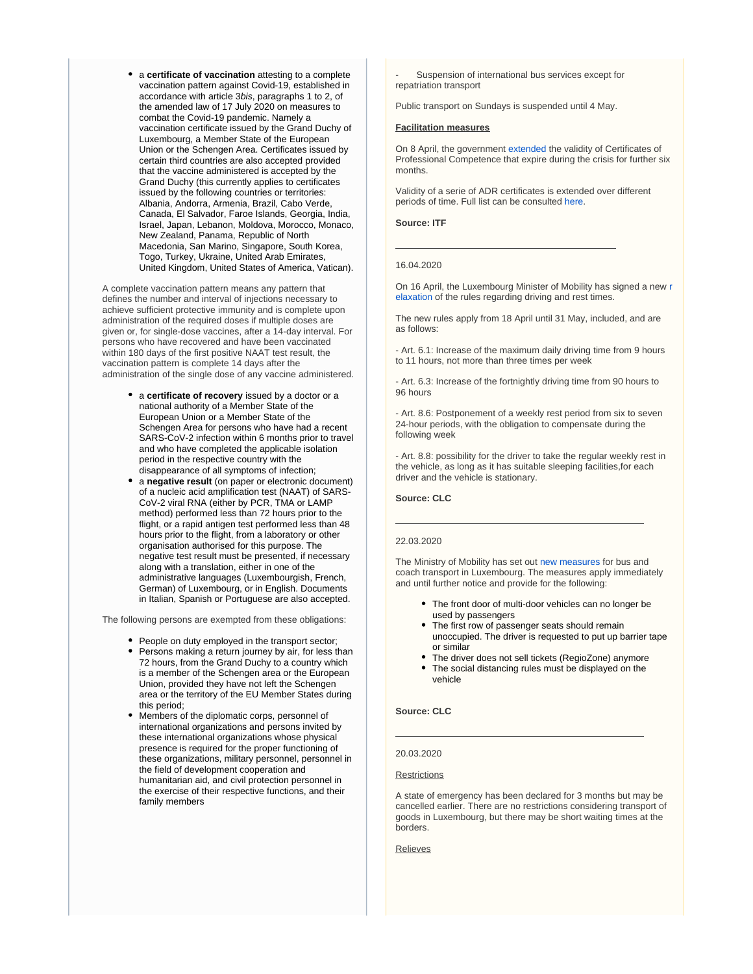a **certificate of vaccination** attesting to a complete vaccination pattern against Covid-19, established in accordance with article 3bis, paragraphs 1 to 2, of the amended law of 17 July 2020 on measures to combat the Covid-19 pandemic. Namely a vaccination certificate issued by the Grand Duchy of Luxembourg, a Member State of the European Union or the Schengen Area. Certificates issued by certain third countries are also accepted provided that the vaccine administered is accepted by the Grand Duchy (this currently applies to certificates issued by the following countries or territories: Albania, Andorra, Armenia, Brazil, Cabo Verde, Canada, El Salvador, Faroe Islands, Georgia, India, Israel, Japan, Lebanon, Moldova, Morocco, Monaco, New Zealand, Panama, Republic of North Macedonia, San Marino, Singapore, South Korea, Togo, Turkey, Ukraine, United Arab Emirates, United Kingdom, United States of America, Vatican).

A complete vaccination pattern means any pattern that defines the number and interval of injections necessary to achieve sufficient protective immunity and is complete upon administration of the required doses if multiple doses are given or, for single-dose vaccines, after a 14-day interval. For persons who have recovered and have been vaccinated within 180 days of the first positive NAAT test result, the vaccination pattern is complete 14 days after the administration of the single dose of any vaccine administered.

- a **certificate of recovery** issued by a doctor or a national authority of a Member State of the European Union or a Member State of the Schengen Area for persons who have had a recent SARS-CoV-2 infection within 6 months prior to travel and who have completed the applicable isolation period in the respective country with the disappearance of all symptoms of infection;
- a **negative result** (on paper or electronic document) of a nucleic acid amplification test (NAAT) of SARS-CoV-2 viral RNA (either by PCR, TMA or LAMP method) performed less than 72 hours prior to the flight, or a rapid antigen test performed less than 48 hours prior to the flight, from a laboratory or other organisation authorised for this purpose. The negative test result must be presented, if necessary along with a translation, either in one of the administrative languages (Luxembourgish, French, German) of Luxembourg, or in English. Documents in Italian, Spanish or Portuguese are also accepted.

The following persons are exempted from these obligations:

- People on duty employed in the transport sector;
- Persons making a return journey by air, for less than 72 hours, from the Grand Duchy to a country which is a member of the Schengen area or the European Union, provided they have not left the Schengen area or the territory of the EU Member States during this period;
- Members of the diplomatic corps, personnel of international organizations and persons invited by these international organizations whose physical presence is required for the proper functioning of these organizations, military personnel, personnel in the field of development cooperation and humanitarian aid, and civil protection personnel in the exercise of their respective functions, and their family members

Suspension of international bus services except for repatriation transport

Public transport on Sundays is suspended until 4 May.

### **Facilitation measures**

On 8 April, the government [extended](http://legilux.public.lu/eli/etat/leg/rgd/2020/04/08/a257/jo) the validity of Certificates of Professional Competence that expire during the crisis for further six months.

Validity of a serie of ADR certificates is extended over different periods of time. Full list can be consulted [here](https://www.itf-oecd.org/sites/default/files/docs/l-measures-covid19_0.pdf).

### **Source: ITF**

#### 16.04.2020

On 16 April, the Luxembourg Minister of Mobility has signed a new [r](http://legilux.public.lu/eli/etat/leg/rmin/2020/04/16/a292/jo) [elaxation](http://legilux.public.lu/eli/etat/leg/rmin/2020/04/16/a292/jo) of the rules regarding driving and rest times.

The new rules apply from 18 April until 31 May, included, and are as follows:

- Art. 6.1: Increase of the maximum daily driving time from 9 hours to 11 hours, not more than three times per week

- Art. 6.3: Increase of the fortnightly driving time from 90 hours to 96 hours

- Art. 8.6: Postponement of a weekly rest period from six to seven 24-hour periods, with the obligation to compensate during the following week

- Art. 8.8: possibility for the driver to take the regular weekly rest in the vehicle, as long as it has suitable sleeping facilities,for each driver and the vehicle is stationary.

### **Source: CLC**

#### 22.03.2020

The Ministry of Mobility has set out [new measures](https://mmtp.gouvernement.lu/fr/actualites.gouvernement%2Bfr%2Bactualites%2Btoutes_actualites%2Bcommuniques%2B2020%2B03-mars%2B13-transport-public.html) for bus and coach transport in Luxembourg. The measures apply immediately and until further notice and provide for the following:

- The front door of multi-door vehicles can no longer be used by passengers
- The first row of passenger seats should remain unoccupied. The driver is requested to put up barrier tape or similar
- The driver does not sell tickets (RegioZone) anymore The social distancing rules must be displayed on the vehicle

### **Source: CLC**

#### 20.03.2020

#### **Restrictions**

A state of emergency has been declared for 3 months but may be cancelled earlier. There are no restrictions considering transport of goods in Luxembourg, but there may be short waiting times at the borders.

Relieves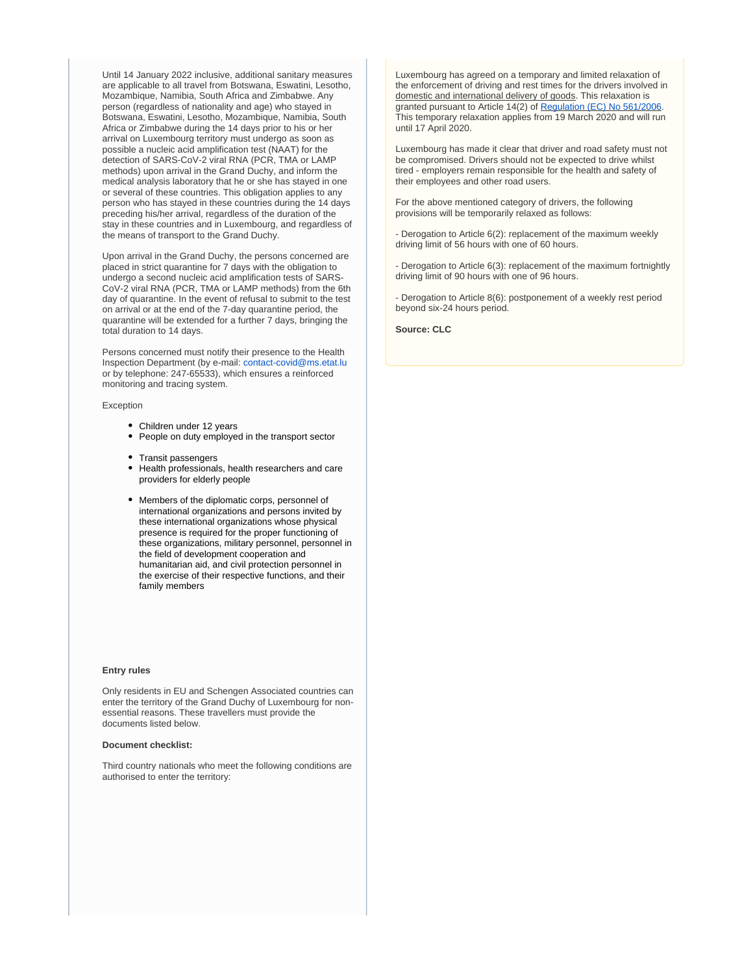Until 14 January 2022 inclusive, additional sanitary measures are applicable to all travel from Botswana, Eswatini, Lesotho, Mozambique, Namibia, South Africa and Zimbabwe. Any person (regardless of nationality and age) who stayed in Botswana, Eswatini, Lesotho, Mozambique, Namibia, South Africa or Zimbabwe during the 14 days prior to his or her arrival on Luxembourg territory must undergo as soon as possible a nucleic acid amplification test (NAAT) for the detection of SARS-CoV-2 viral RNA (PCR, TMA or LAMP methods) upon arrival in the Grand Duchy, and inform the medical analysis laboratory that he or she has stayed in one or several of these countries. This obligation applies to any person who has stayed in these countries during the 14 days preceding his/her arrival, regardless of the duration of the stay in these countries and in Luxembourg, and regardless of the means of transport to the Grand Duchy.

Upon arrival in the Grand Duchy, the persons concerned are placed in strict quarantine for 7 days with the obligation to undergo a second nucleic acid amplification tests of SARS-CoV-2 viral RNA (PCR, TMA or LAMP methods) from the 6th day of quarantine. In the event of refusal to submit to the test on arrival or at the end of the 7-day quarantine period, the quarantine will be extended for a further 7 days, bringing the total duration to 14 days.

Persons concerned must notify their presence to the Health Inspection Department (by e-mail: [contact-covid@ms.etat.lu](mailto:contact-covid@ms.etat.lu) or by telephone: 247-65533), which ensures a reinforced monitoring and tracing system.

Exception

- Children under 12 years
- People on duty employed in the transport sector
- Transit passengers
- Health professionals, health researchers and care providers for elderly people
- Members of the diplomatic corps, personnel of international organizations and persons invited by these international organizations whose physical presence is required for the proper functioning of these organizations, military personnel, personnel in the field of development cooperation and humanitarian aid, and civil protection personnel in the exercise of their respective functions, and their family members

### **Entry rules**

Only residents in EU and Schengen Associated countries can enter the territory of the Grand Duchy of Luxembourg for nonessential reasons. These travellers must provide the documents listed below.

### **Document checklist:**

Third country nationals who meet the following conditions are authorised to enter the territory:

Luxembourg has agreed on a temporary and limited relaxation of the enforcement of driving and rest times for the drivers involved in domestic and international delivery of goods. This relaxation is granted pursuant to Article 14(2) of [Regulation \(EC\) No 561/2006](https://www.iru.org/apps/cms-filesystem-action?file=/flashinfo/EU%20Regulation%20No.%20561%202006.pdf). This temporary relaxation applies from 19 March 2020 and will run until 17 April 2020.

Luxembourg has made it clear that driver and road safety must not be compromised. Drivers should not be expected to drive whilst tired - employers remain responsible for the health and safety of their employees and other road users.

For the above mentioned category of drivers, the following provisions will be temporarily relaxed as follows:

- Derogation to Article 6(2): replacement of the maximum weekly driving limit of 56 hours with one of 60 hours.

- Derogation to Article 6(3): replacement of the maximum fortnightly driving limit of 90 hours with one of 96 hours.

- Derogation to Article 8(6): postponement of a weekly rest period beyond six-24 hours period.

**Source: CLC**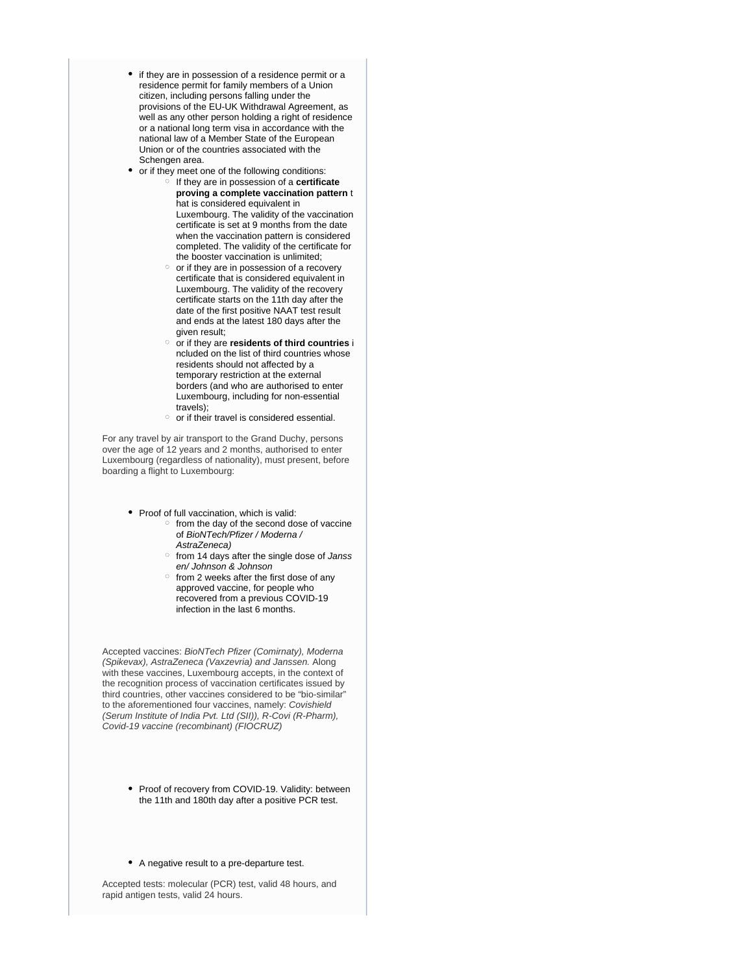- if they are in possession of a residence permit or a residence permit for family members of a Union citizen, including persons falling under the provisions of the EU-UK Withdrawal Agreement, as well as any other person holding a right of residence or a national long term visa in accordance with the national law of a Member State of the European Union or of the countries associated with the Schengen area.
- or if they meet one of the following conditions:
	- If they are in possession of a **certificate proving a complete vaccination pattern** t hat is considered equivalent in Luxembourg. The validity of the vaccination certificate is set at 9 months from the date when the vaccination pattern is considered completed. The validity of the certificate for the booster vaccination is unlimited;
	- $\circ$  or if they are in possession of a recovery certificate that is considered equivalent in Luxembourg. The validity of the recovery certificate starts on the 11th day after the date of the first positive NAAT test result and ends at the latest 180 days after the given result;
	- or if they are **residents of third countries** i ncluded on the list of third countries whose residents should not affected by a temporary restriction at the external borders (and who are authorised to enter Luxembourg, including for non-essential travels);
	- $\circ$  or if their travel is considered essential.

For any travel by air transport to the Grand Duchy, persons over the age of 12 years and 2 months, authorised to enter Luxembourg (regardless of nationality), must present, before boarding a flight to Luxembourg:

- Proof of full vaccination, which is valid:
	- from the day of the second dose of vaccine of BioNTech/Pfizer / Moderna / AstraZeneca)
	- o from 14 days after the single dose of Janss en/ Johnson & Johnson
	- $\circ$  from 2 weeks after the first dose of any approved vaccine, for people who recovered from a previous COVID-19 infection in the last 6 months.

Accepted vaccines: BioNTech Pfizer (Comirnaty), Moderna (Spikevax), AstraZeneca (Vaxzevria) and Janssen. Along with these vaccines, Luxembourg accepts, in the context of the recognition process of vaccination certificates issued by third countries, other vaccines considered to be "bio-similar" to the aforementioned four vaccines, namely: Covishield (Serum Institute of India Pvt. Ltd (SII)), R-Covi (R-Pharm), Covid-19 vaccine (recombinant) (FIOCRUZ)

- Proof of recovery from COVID-19. Validity: between the 11th and 180th day after a positive PCR test.
- A negative result to a pre-departure test.

Accepted tests: molecular (PCR) test, valid 48 hours, and rapid antigen tests, valid 24 hours.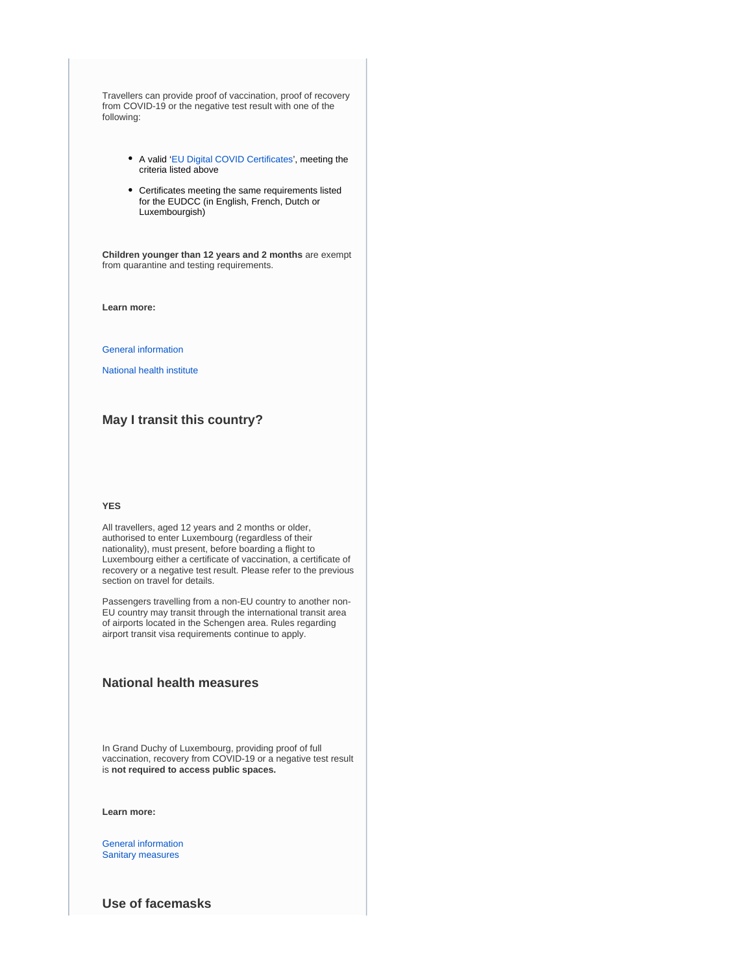Travellers can provide proof of vaccination, proof of recovery from COVID-19 or the negative test result with one of the following:

- A valid '[EU Digital COVID Certificates](https://covid19.public.lu/en/covidcheck/certificate.html)', meeting the criteria listed above
- Certificates meeting the same requirements listed for the EUDCC (in English, French, Dutch or Luxembourgish)

**Children younger than 12 years and 2 months** are exempt from quarantine and testing requirements.

**Learn more:**

[General information](https://covid19.public.lu/en.html)

[National health institute](https://www.lih.lu/)

## **May I transit this country?**

### **YES**

All travellers, aged 12 years and 2 months or older, authorised to enter Luxembourg (regardless of their nationality), must present, before boarding a flight to Luxembourg either a certificate of vaccination, a certificate of recovery or a negative test result. Please refer to the previous section on travel for details.

Passengers travelling from a non-EU country to another non-EU country may transit through the international transit area of airports located in the Schengen area. Rules regarding airport transit visa requirements continue to apply.

## **National health measures**

In Grand Duchy of Luxembourg, providing proof of full vaccination, recovery from COVID-19 or a negative test result is **not required to access public spaces.**

**Learn more:**

[General information](https://covid19.public.lu/en.html) [Sanitary measures](https://covid19.public.lu/en/sanitary-measures.html)

**Use of facemasks**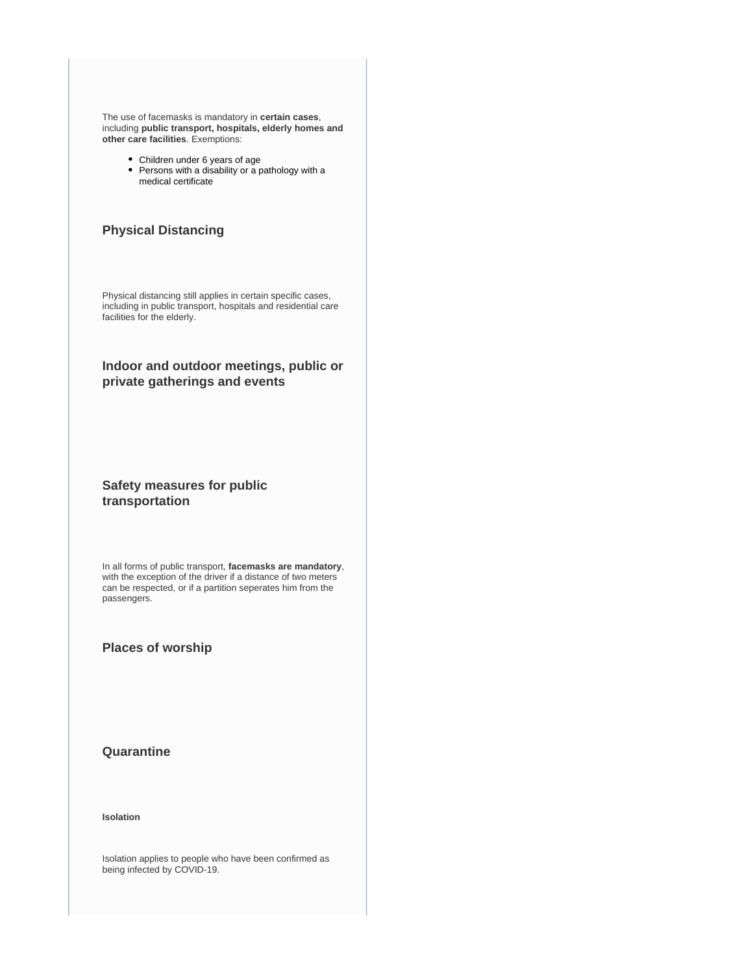The use of facemasks is mandatory in **certain cases**, including **public transport, hospitals, elderly homes and other care facilities**. Exemptions:

- Children under 6 years of age
- Persons with a disability or a pathology with a medical certificate

## **Physical Distancing**

Physical distancing still applies in certain specific cases, including in public transport, hospitals and residential care facilities for the elderly.

## **Indoor and outdoor meetings, public or private gatherings and events**

## **Safety measures for public transportation**

In all forms of public transport, **facemasks are mandatory**, with the exception of the driver if a distance of two meters can be respected, or if a partition seperates him from the passengers.

## **Places of worship**

**Quarantine**

**Isolation**

Isolation applies to people who have been confirmed as being infected by COVID-19.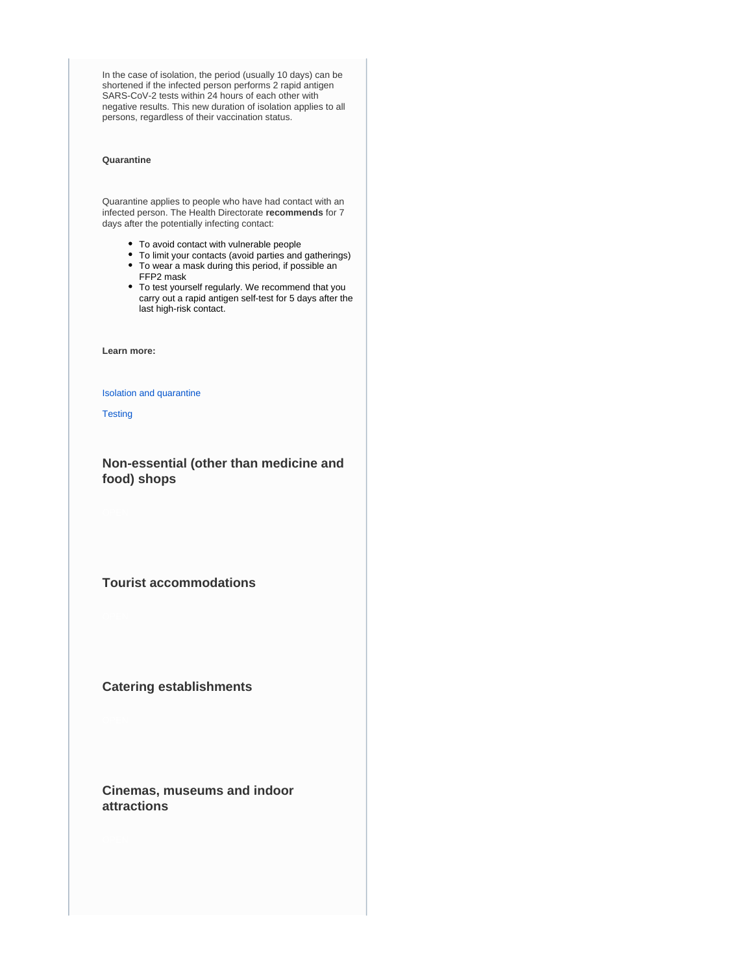In the case of isolation, the period (usually 10 days) can be shortened if the infected person performs 2 rapid antigen SARS-CoV-2 tests within 24 hours of each other with negative results. This new duration of isolation applies to all persons, regardless of their vaccination status.

### **Quarantine**

Quarantine applies to people who have had contact with an infected person. The Health Directorate **recommends** for 7 days after the potentially infecting contact:

- To avoid contact with vulnerable people
- To limit your contacts (avoid parties and gatherings)
- To wear a mask during this period, if possible an FFP2 mask
- To test yourself regularly. We recommend that you carry out a rapid antigen self-test for 5 days after the last high-risk contact.

**Learn more:**

### [Isolation and quarantine](https://covid19.public.lu/dam-assets/covid-19/sante-protection/isolement-quarantaine/tableau-isolatioun-DE-FR-LU-PT-EN.pdf)

**[Testing](https://covid19.public.lu/en/testing.html)** 

**Non-essential (other than medicine and food) shops**

**Tourist accommodations**

## **Catering establishments**

**Cinemas, museums and indoor attractions**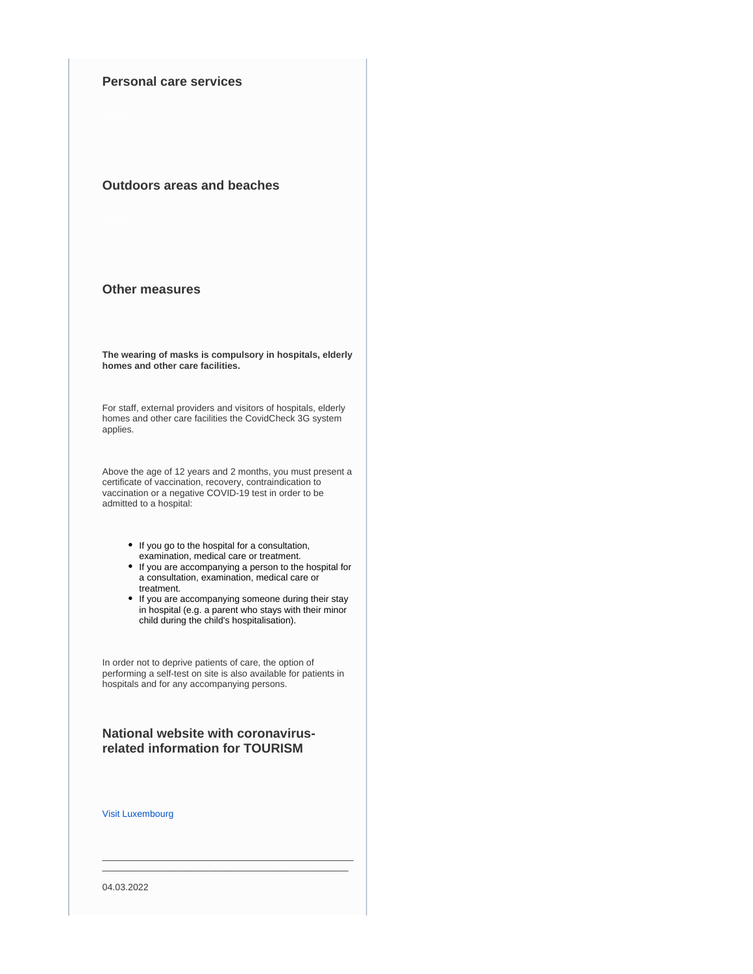## **Personal care services**

## **Outdoors areas and beaches**

## **Other measures**

**The wearing of masks is compulsory in hospitals, elderly homes and other care facilities.**

For staff, external providers and visitors of hospitals, elderly homes and other care facilities the CovidCheck 3G system applies.

Above the age of 12 years and 2 months, you must present a certificate of vaccination, recovery, contraindication to vaccination or a negative COVID-19 test in order to be admitted to a hospital:

- If you go to the hospital for a consultation, examination, medical care or treatment.
- If you are accompanying a person to the hospital for a consultation, examination, medical care or treatment.
- If you are accompanying someone during their stay in hospital (e.g. a parent who stays with their minor child during the child's hospitalisation).

In order not to deprive patients of care, the option of performing a self-test on site is also available for patients in hospitals and for any accompanying persons.

## **National website with coronavirusrelated information for TOURISM**

\_\_\_\_\_\_\_\_\_\_\_\_\_\_\_\_\_\_\_\_\_\_\_\_\_\_\_\_\_\_\_\_\_\_\_\_\_\_\_\_\_\_\_\_\_\_\_\_\_  $\_$  ,  $\_$  ,  $\_$  ,  $\_$  ,  $\_$  ,  $\_$  ,  $\_$  ,  $\_$  ,  $\_$  ,  $\_$  ,  $\_$  ,  $\_$  ,  $\_$  ,  $\_$ 

[Visit Luxembourg](https://www.visitluxembourg.com/en)

04.03.2022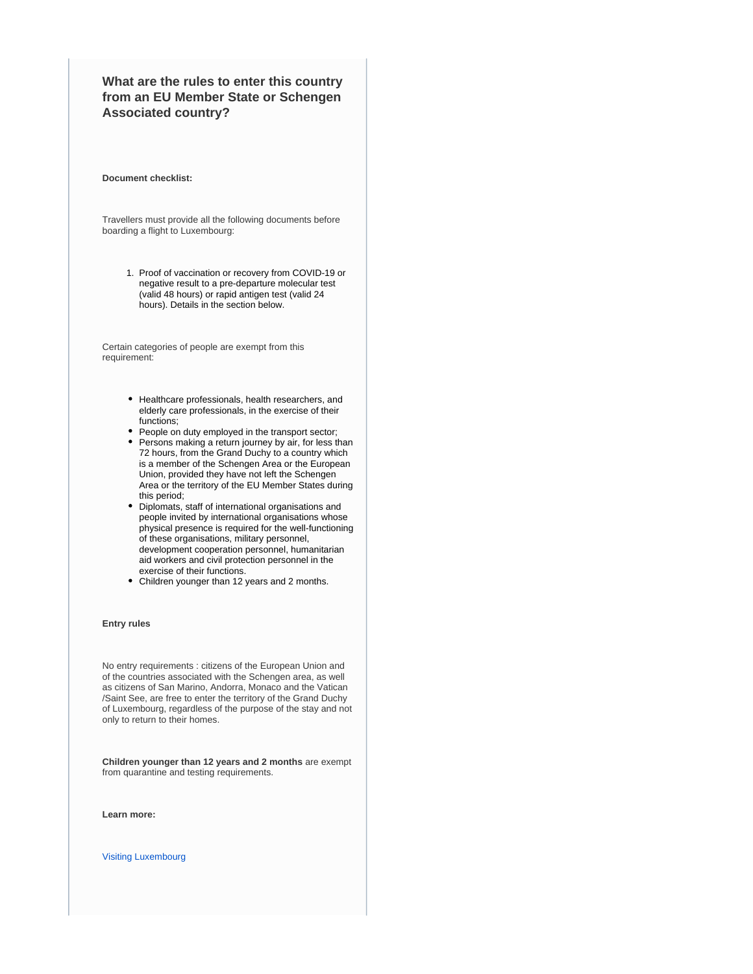## **What are the rules to enter this country from an EU Member State or Schengen Associated country?**

#### **Document checklist:**

Travellers must provide all the following documents before boarding a flight to Luxembourg:

> 1. Proof of vaccination or recovery from COVID-19 or negative result to a pre-departure molecular test (valid 48 hours) or rapid antigen test (valid 24 hours). Details in the section below.

Certain categories of people are exempt from this requirement:

- Healthcare professionals, health researchers, and elderly care professionals, in the exercise of their functions;
- People on duty employed in the transport sector;
- Persons making a return journey by air, for less than 72 hours, from the Grand Duchy to a country which is a member of the Schengen Area or the European Union, provided they have not left the Schengen Area or the territory of the EU Member States during this period;
- Diplomats, staff of international organisations and people invited by international organisations whose physical presence is required for the well-functioning of these organisations, military personnel, development cooperation personnel, humanitarian aid workers and civil protection personnel in the exercise of their functions.
- Children younger than 12 years and 2 months.

### **Entry rules**

No entry requirements : citizens of the European Union and of the countries associated with the Schengen area, as well as citizens of San Marino, Andorra, Monaco and the Vatican /Saint See, are free to enter the territory of the Grand Duchy of Luxembourg, regardless of the purpose of the stay and not only to return to their homes.

**Children younger than 12 years and 2 months** are exempt from quarantine and testing requirements.

**Learn more:**

[Visiting Luxembourg](https://covid19.public.lu/en/travellers/visiting-luxembourg.html)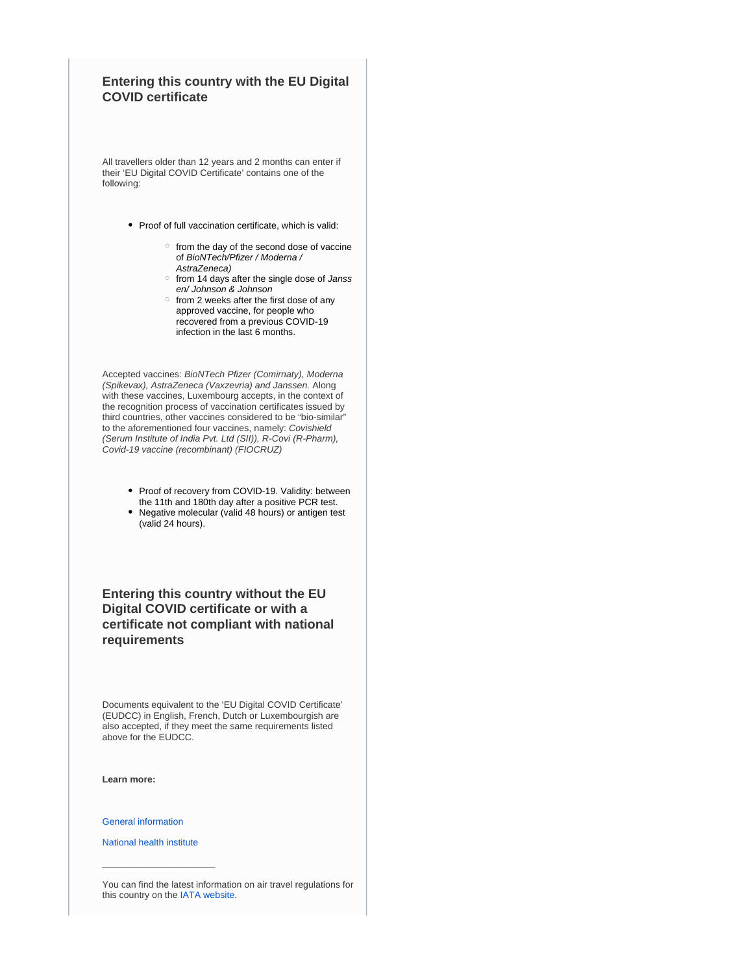## **Entering this country with the EU Digital COVID certificate**

All travellers older than 12 years and 2 months can enter if their 'EU Digital COVID Certificate' contains one of the following:

- Proof of full vaccination certificate, which is valid:
	- $\circ$  from the day of the second dose of vaccine of BioNTech/Pfizer / Moderna / AstraZeneca)
	- o from 14 days after the single dose of Janss en/ Johnson & Johnson
	- $\circ$  from 2 weeks after the first dose of any approved vaccine, for people who recovered from a previous COVID-19 infection in the last 6 months.

Accepted vaccines: BioNTech Pfizer (Comirnaty), Moderna (Spikevax), AstraZeneca (Vaxzevria) and Janssen. Along with these vaccines, Luxembourg accepts, in the context of the recognition process of vaccination certificates issued by third countries, other vaccines considered to be "bio-similar" to the aforementioned four vaccines, namely: Covishield (Serum Institute of India Pvt. Ltd (SII)), R-Covi (R-Pharm), Covid-19 vaccine (recombinant) (FIOCRUZ)

- Proof of recovery from COVID-19. Validity: between the 11th and 180th day after a positive PCR test.
- Negative molecular (valid 48 hours) or antigen test (valid 24 hours).

## **Entering this country without the EU Digital COVID certificate or with a certificate not compliant with national requirements**

Documents equivalent to the 'EU Digital COVID Certificate' (EUDCC) in English, French, Dutch or Luxembourgish are also accepted, if they meet the same requirements listed above for the EUDCC.

**Learn more:**

[General information](https://covid19.public.lu/en.html)

[National health institute](https://www.lih.lu/)

 $\_$ 

You can find the latest information on air travel regulations for this country on the [IATA website.](https://www.iatatravelcentre.com/international-travel-document-news/1580226297.htm)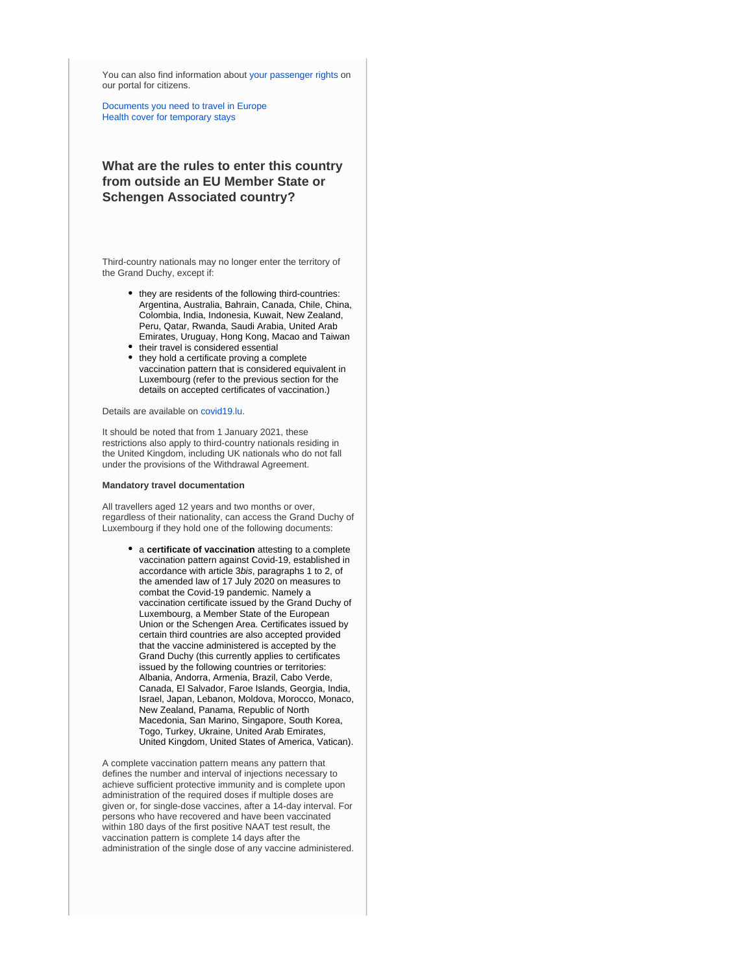You can also find information about [your passenger rights](https://europa.eu/youreurope/citizens/travel/passenger-rights/index_en.htm) on our portal for citizens.

[Documents you need to travel in Europe](https://europa.eu/youreurope/citizens/travel/entry-exit/index_en.htm) [Health cover for temporary stays](https://europa.eu/youreurope/citizens/health/unplanned-healthcare/temporary-stays/index_en.htm)

## **What are the rules to enter this country from outside an EU Member State or Schengen Associated country?**

Third-country nationals may no longer enter the territory of the Grand Duchy, except if:

- they are residents of the following third-countries: Argentina, Australia, Bahrain, Canada, Chile, China, Colombia, India, Indonesia, Kuwait, New Zealand, Peru, Qatar, Rwanda, Saudi Arabia, United Arab Emirates, Uruguay, Hong Kong, Macao and Taiwan
- their travel is considered essential  $\bullet$
- they hold a certificate proving a complete vaccination pattern that is considered equivalent in Luxembourg (refer to the previous section for the details on accepted certificates of vaccination.)

Details are available on [covid19.lu](https://covid19.public.lu/en.html).

It should be noted that from 1 January 2021, these restrictions also apply to third-country nationals residing in the United Kingdom, including UK nationals who do not fall under the provisions of the Withdrawal Agreement.

### **Mandatory travel documentation**

All travellers aged 12 years and two months or over, regardless of their nationality, can access the Grand Duchy of Luxembourg if they hold one of the following documents:

> a **certificate of vaccination** attesting to a complete vaccination pattern against Covid-19, established in accordance with article 3bis, paragraphs 1 to 2, of the amended law of 17 July 2020 on measures to combat the Covid-19 pandemic. Namely a vaccination certificate issued by the Grand Duchy of Luxembourg, a Member State of the European Union or the Schengen Area. Certificates issued by certain third countries are also accepted provided that the vaccine administered is accepted by the Grand Duchy (this currently applies to certificates issued by the following countries or territories: Albania, Andorra, Armenia, Brazil, Cabo Verde, Canada, El Salvador, Faroe Islands, Georgia, India, Israel, Japan, Lebanon, Moldova, Morocco, Monaco, New Zealand, Panama, Republic of North Macedonia, San Marino, Singapore, South Korea, Togo, Turkey, Ukraine, United Arab Emirates, United Kingdom, United States of America, Vatican).

A complete vaccination pattern means any pattern that defines the number and interval of injections necessary to achieve sufficient protective immunity and is complete upon administration of the required doses if multiple doses are given or, for single-dose vaccines, after a 14-day interval. For persons who have recovered and have been vaccinated within 180 days of the first positive NAAT test result, the vaccination pattern is complete 14 days after the administration of the single dose of any vaccine administered.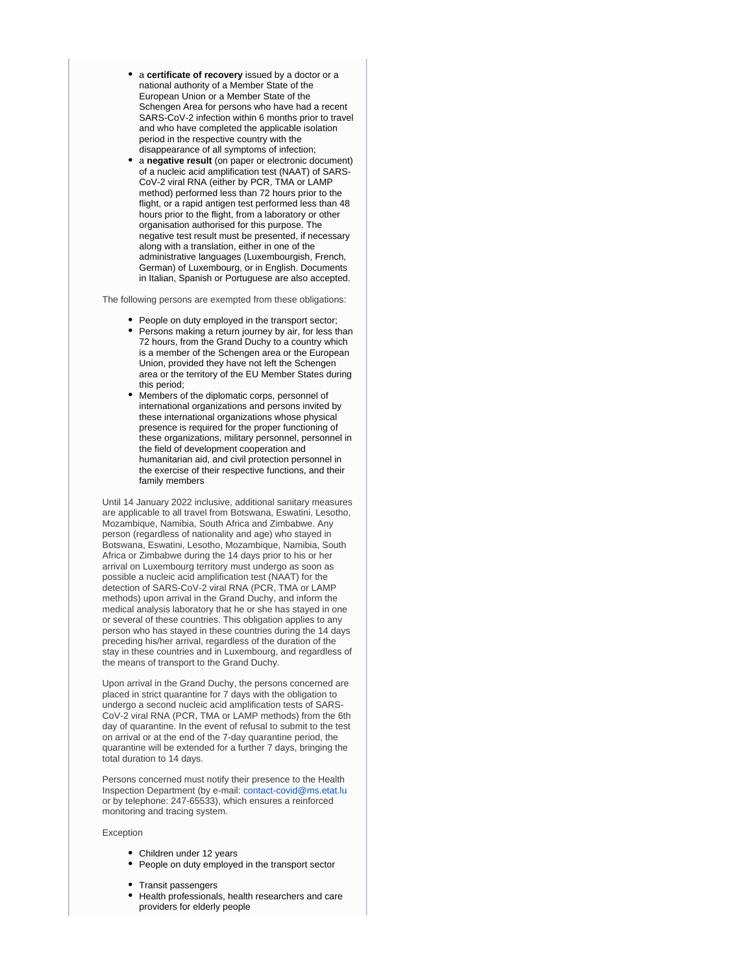- a **certificate of recovery** issued by a doctor or a national authority of a Member State of the European Union or a Member State of the Schengen Area for persons who have had a recent SARS-CoV-2 infection within 6 months prior to travel and who have completed the applicable isolation period in the respective country with the disappearance of all symptoms of infection;
- a **negative result** (on paper or electronic document) of a nucleic acid amplification test (NAAT) of SARS-CoV-2 viral RNA (either by PCR, TMA or LAMP method) performed less than 72 hours prior to the flight, or a rapid antigen test performed less than 48 hours prior to the flight, from a laboratory or other organisation authorised for this purpose. The negative test result must be presented, if necessary along with a translation, either in one of the administrative languages (Luxembourgish, French, German) of Luxembourg, or in English. Documents in Italian, Spanish or Portuguese are also accepted.

The following persons are exempted from these obligations:

- People on duty employed in the transport sector;
- Persons making a return journey by air, for less than 72 hours, from the Grand Duchy to a country which is a member of the Schengen area or the European Union, provided they have not left the Schengen area or the territory of the EU Member States during this period;
- Members of the diplomatic corps, personnel of international organizations and persons invited by these international organizations whose physical presence is required for the proper functioning of these organizations, military personnel, personnel in the field of development cooperation and humanitarian aid, and civil protection personnel in the exercise of their respective functions, and their family members

Until 14 January 2022 inclusive, additional sanitary measures are applicable to all travel from Botswana, Eswatini, Lesotho, Mozambique, Namibia, South Africa and Zimbabwe. Any person (regardless of nationality and age) who stayed in Botswana, Eswatini, Lesotho, Mozambique, Namibia, South Africa or Zimbabwe during the 14 days prior to his or her arrival on Luxembourg territory must undergo as soon as possible a nucleic acid amplification test (NAAT) for the detection of SARS-CoV-2 viral RNA (PCR, TMA or LAMP methods) upon arrival in the Grand Duchy, and inform the medical analysis laboratory that he or she has stayed in one or several of these countries. This obligation applies to any person who has stayed in these countries during the 14 days preceding his/her arrival, regardless of the duration of the stay in these countries and in Luxembourg, and regardless of the means of transport to the Grand Duchy.

Upon arrival in the Grand Duchy, the persons concerned are placed in strict quarantine for 7 days with the obligation to undergo a second nucleic acid amplification tests of SARS-CoV-2 viral RNA (PCR, TMA or LAMP methods) from the 6th day of quarantine. In the event of refusal to submit to the test on arrival or at the end of the 7-day quarantine period, the quarantine will be extended for a further 7 days, bringing the total duration to 14 days.

Persons concerned must notify their presence to the Health Inspection Department (by e-mail: [contact-covid@ms.etat.lu](mailto:contact-covid@ms.etat.lu) or by telephone: 247-65533), which ensures a reinforced monitoring and tracing system.

#### Exception

- Children under 12 years
- People on duty employed in the transport sector
- Transit passengers
- Health professionals, health researchers and care providers for elderly people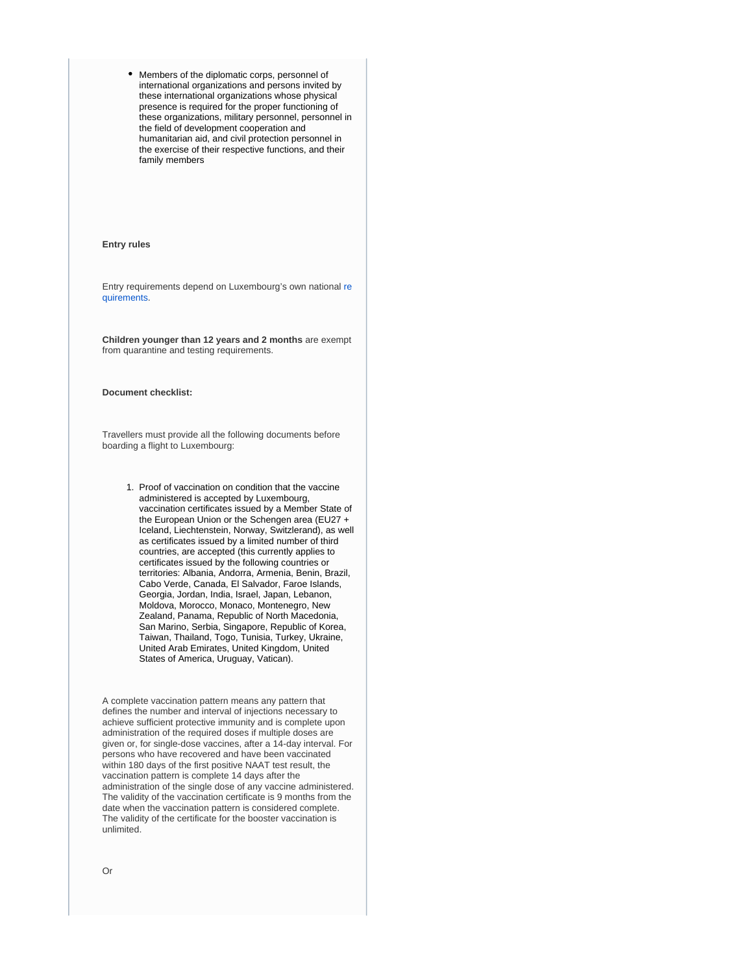Members of the diplomatic corps, personnel of international organizations and persons invited by these international organizations whose physical presence is required for the proper functioning of these organizations, military personnel, personnel in the field of development cooperation and humanitarian aid, and civil protection personnel in the exercise of their respective functions, and their family members

### **Entry rules**

Entry requirements depend on Luxembourg's own national [re](https://covid19.public.lu/en/travellers/visiting-luxembourg.html) [quirements](https://covid19.public.lu/en/travellers/visiting-luxembourg.html).

**Children younger than 12 years and 2 months** are exempt from quarantine and testing requirements.

#### **Document checklist:**

Travellers must provide all the following documents before boarding a flight to Luxembourg:

> 1. Proof of vaccination on condition that the vaccine administered is accepted by Luxembourg, vaccination certificates issued by a Member State of the European Union or the Schengen area (EU27 + Iceland, Liechtenstein, Norway, Switzlerand), as well as certificates issued by a limited number of third countries, are accepted (this currently applies to certificates issued by the following countries or territories: Albania, Andorra, Armenia, Benin, Brazil, Cabo Verde, Canada, El Salvador, Faroe Islands, Georgia, Jordan, India, Israel, Japan, Lebanon, Moldova, Morocco, Monaco, Montenegro, New Zealand, Panama, Republic of North Macedonia, San Marino, Serbia, Singapore, Republic of Korea, Taiwan, Thailand, Togo, Tunisia, Turkey, Ukraine, United Arab Emirates, United Kingdom, United States of America, Uruguay, Vatican).

A complete vaccination pattern means any pattern that defines the number and interval of injections necessary to achieve sufficient protective immunity and is complete upon administration of the required doses if multiple doses are given or, for single-dose vaccines, after a 14-day interval. For persons who have recovered and have been vaccinated within 180 days of the first positive NAAT test result, the vaccination pattern is complete 14 days after the administration of the single dose of any vaccine administered. The validity of the vaccination certificate is 9 months from the date when the vaccination pattern is considered complete. The validity of the certificate for the booster vaccination is unlimited.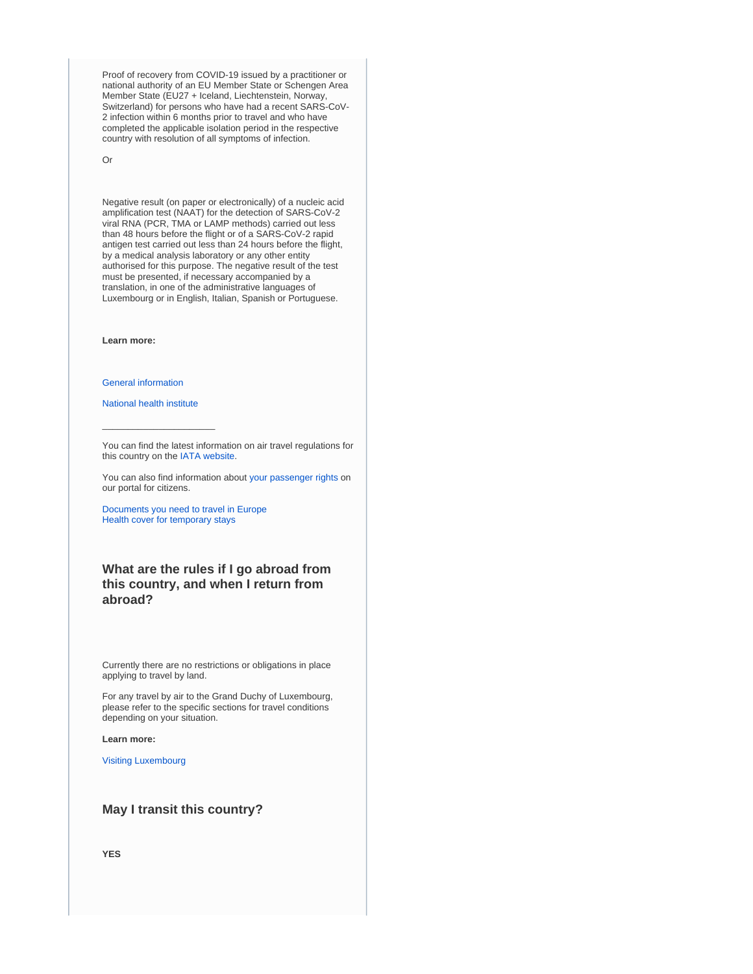Proof of recovery from COVID-19 issued by a practitioner or national authority of an EU Member State or Schengen Area Member State (EU27 + Iceland, Liechtenstein, Norway, Switzerland) for persons who have had a recent SARS-CoV-2 infection within 6 months prior to travel and who have completed the applicable isolation period in the respective country with resolution of all symptoms of infection.

Or

Negative result (on paper or electronically) of a nucleic acid amplification test (NAAT) for the detection of SARS-CoV-2 viral RNA (PCR, TMA or LAMP methods) carried out less than 48 hours before the flight or of a SARS-CoV-2 rapid antigen test carried out less than 24 hours before the flight, by a medical analysis laboratory or any other entity authorised for this purpose. The negative result of the test must be presented, if necessary accompanied by a translation, in one of the administrative languages of Luxembourg or in English, Italian, Spanish or Portuguese.

**Learn more:**

[General information](https://covid19.public.lu/en.html)

[National health institute](https://www.lih.lu/)

 $\_$ 

You can find the latest information on air travel regulations for this country on the [IATA website.](https://www.iatatravelcentre.com/international-travel-document-news/1580226297.htm)

You can also find information about [your passenger rights](https://europa.eu/youreurope/citizens/travel/passenger-rights/index_en.htm) on our portal for citizens.

[Documents you need to travel in Europe](https://europa.eu/youreurope/citizens/travel/entry-exit/index_en.htm) [Health cover for temporary stays](https://europa.eu/youreurope/citizens/health/unplanned-healthcare/temporary-stays/index_en.htm)

## **What are the rules if I go abroad from this country, and when I return from abroad?**

Currently there are no restrictions or obligations in place applying to travel by land.

For any travel by air to the Grand Duchy of Luxembourg, please refer to the specific sections for travel conditions depending on your situation.

**Learn more:**

[Visiting Luxembourg](https://covid19.public.lu/en/travellers/visiting-luxembourg.html)

## **May I transit this country?**

**YES**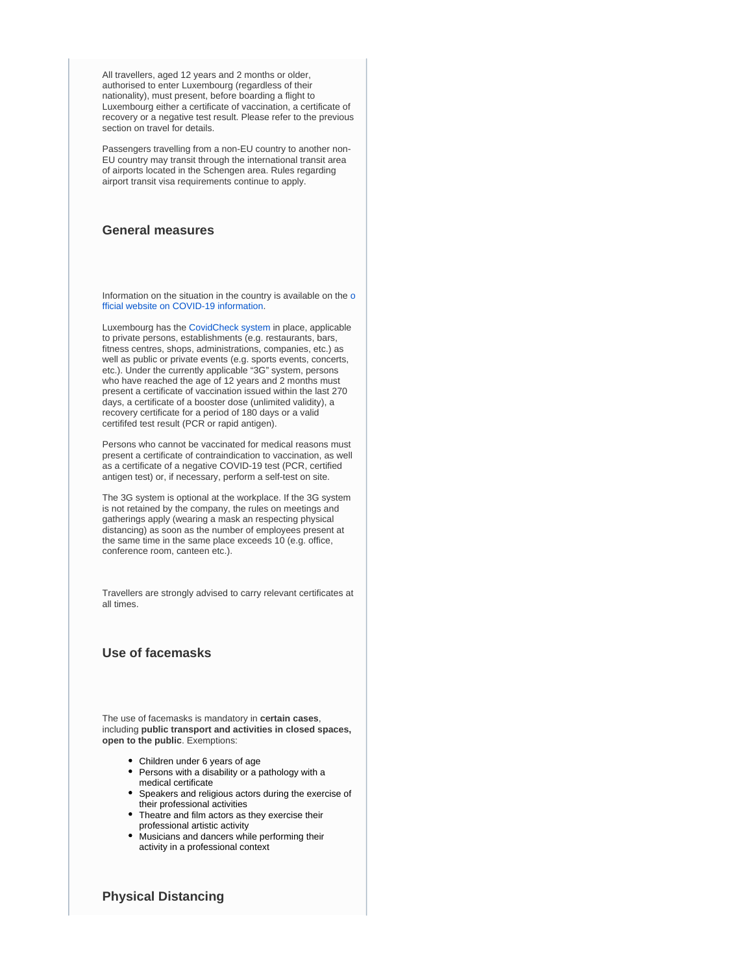All travellers, aged 12 years and 2 months or older, authorised to enter Luxembourg (regardless of their nationality), must present, before boarding a flight to Luxembourg either a certificate of vaccination, a certificate of recovery or a negative test result. Please refer to the previous section on travel for details.

Passengers travelling from a non-EU country to another non-EU country may transit through the international transit area of airports located in the Schengen area. Rules regarding airport transit visa requirements continue to apply.

## **General measures**

Information on the situation in the country is available on the [o](https://covid19.public.lu/en.html) [fficial website on COVID-19 information](https://covid19.public.lu/en.html).

Luxembourg has the [CovidCheck system](https://covid19.public.lu/en/covidcheck.html) in place, applicable to private persons, establishments (e.g. restaurants, bars, fitness centres, shops, administrations, companies, etc.) as well as public or private events (e.g. sports events, concerts, etc.). Under the currently applicable "3G" system, persons who have reached the age of 12 years and 2 months must present a certificate of vaccination issued within the last 270 days, a certificate of a booster dose (unlimited validity), a recovery certificate for a period of 180 days or a valid certififed test result (PCR or rapid antigen).

Persons who cannot be vaccinated for medical reasons must present a certificate of contraindication to vaccination, as well as a certificate of a negative COVID-19 test (PCR, certified antigen test) or, if necessary, perform a self-test on site.

The 3G system is optional at the workplace. If the 3G system is not retained by the company, the rules on meetings and gatherings apply (wearing a mask an respecting physical distancing) as soon as the number of employees present at the same time in the same place exceeds 10 (e.g. office, conference room, canteen etc.).

Travellers are strongly advised to carry relevant certificates at all times.

## **Use of facemasks**

The use of facemasks is mandatory in **certain cases**, including **public transport and activities in closed spaces, open to the public**. Exemptions:

- Children under 6 years of age
- Persons with a disability or a pathology with a medical certificate
- Speakers and religious actors during the exercise of their professional activities
- Theatre and film actors as they exercise their professional artistic activity
- Musicians and dancers while performing their activity in a professional context

## **Physical Distancing**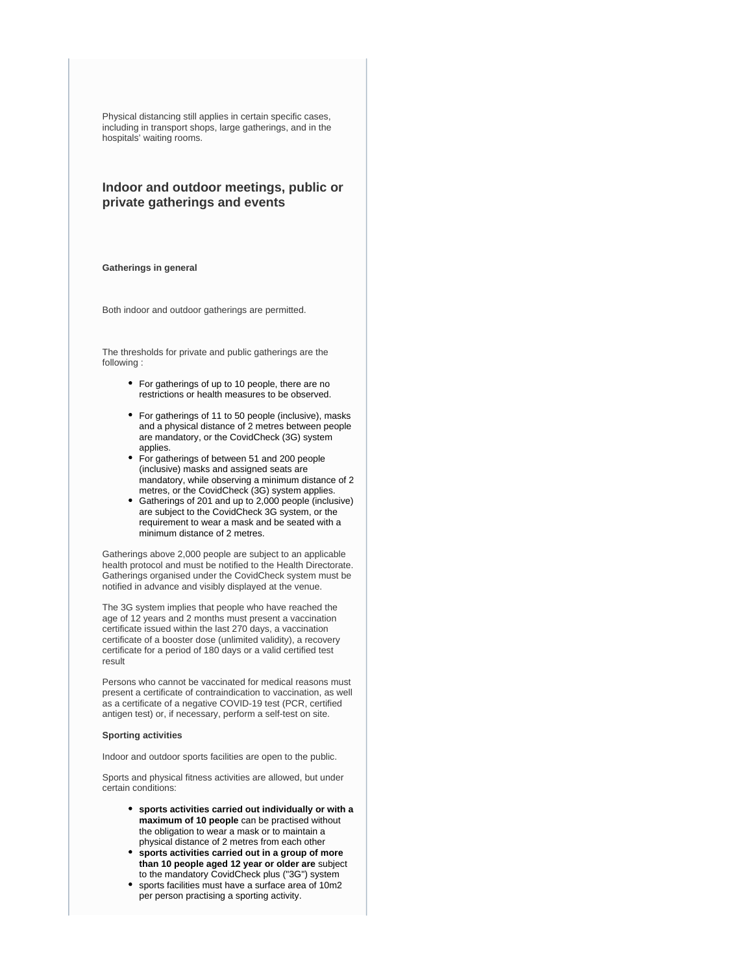Physical distancing still applies in certain specific cases, including in transport shops, large gatherings, and in the hospitals' waiting rooms.

## **Indoor and outdoor meetings, public or private gatherings and events**

#### **Gatherings in general**

Both indoor and outdoor gatherings are permitted.

The thresholds for private and public gatherings are the following :

- For gatherings of up to 10 people, there are no restrictions or health measures to be observed.
- For gatherings of 11 to 50 people (inclusive), masks and a physical distance of 2 metres between people are mandatory, or the CovidCheck (3G) system applies.
- For gatherings of between 51 and 200 people (inclusive) masks and assigned seats are mandatory, while observing a minimum distance of 2 metres, or the CovidCheck (3G) system applies.
- Gatherings of 201 and up to 2,000 people (inclusive) are subject to the CovidCheck 3G system, or the requirement to wear a mask and be seated with a minimum distance of 2 metres.

Gatherings above 2,000 people are subject to an applicable health protocol and must be notified to the Health Directorate. Gatherings organised under the CovidCheck system must be notified in advance and visibly displayed at the venue.

The 3G system implies that people who have reached the age of 12 years and 2 months must present a vaccination certificate issued within the last 270 days, a vaccination certificate of a booster dose (unlimited validity), a recovery certificate for a period of 180 days or a valid certified test result

Persons who cannot be vaccinated for medical reasons must present a certificate of contraindication to vaccination, as well as a certificate of a negative COVID-19 test (PCR, certified antigen test) or, if necessary, perform a self-test on site.

### **Sporting activities**

Indoor and outdoor sports facilities are open to the public.

Sports and physical fitness activities are allowed, but under certain conditions:

- **sports activities carried out individually or with a maximum of 10 people** can be practised without the obligation to wear a mask or to maintain a physical distance of 2 metres from each other
- **sports activities carried out in a group of more than 10 people aged 12 year or older are** subject to the mandatory CovidCheck plus ("3G") system
- sports facilities must have a surface area of 10m2 per person practising a sporting activity.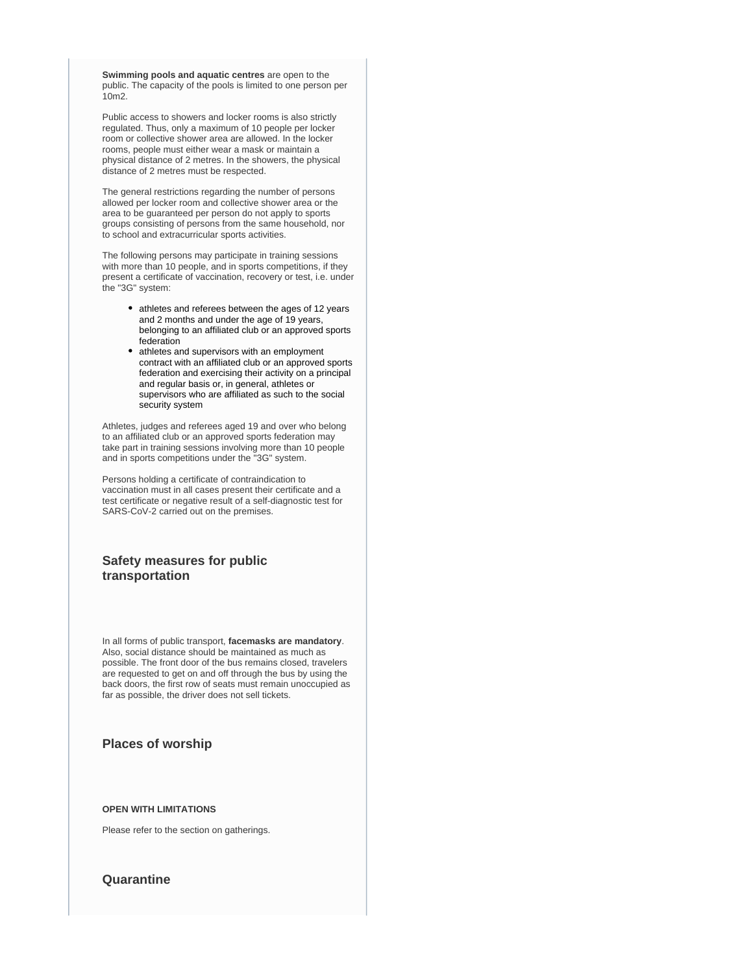**Swimming pools and aquatic centres** are open to the public. The capacity of the pools is limited to one person per 10m2.

Public access to showers and locker rooms is also strictly regulated. Thus, only a maximum of 10 people per locker room or collective shower area are allowed. In the locker rooms, people must either wear a mask or maintain a physical distance of 2 metres. In the showers, the physical distance of 2 metres must be respected.

The general restrictions regarding the number of persons allowed per locker room and collective shower area or the area to be guaranteed per person do not apply to sports groups consisting of persons from the same household, nor to school and extracurricular sports activities.

The following persons may participate in training sessions with more than 10 people, and in sports competitions, if they present a certificate of vaccination, recovery or test, i.e. under the "3G" system:

- athletes and referees between the ages of 12 years and 2 months and under the age of 19 years, belonging to an affiliated club or an approved sports federation
- athletes and supervisors with an employment contract with an affiliated club or an approved sports federation and exercising their activity on a principal and regular basis or, in general, athletes or supervisors who are affiliated as such to the social security system

Athletes, judges and referees aged 19 and over who belong to an affiliated club or an approved sports federation may take part in training sessions involving more than 10 people and in sports competitions under the "3G" system.

Persons holding a certificate of contraindication to vaccination must in all cases present their certificate and a test certificate or negative result of a self-diagnostic test for SARS-CoV-2 carried out on the premises.

## **Safety measures for public transportation**

In all forms of public transport, **facemasks are mandatory**. Also, social distance should be maintained as much as possible. The front door of the bus remains closed, travelers are requested to get on and off through the bus by using the back doors, the first row of seats must remain unoccupied as far as possible, the driver does not sell tickets.

## **Places of worship**

### **OPEN WITH LIMITATIONS**

Please refer to the section on gatherings.

## **Quarantine**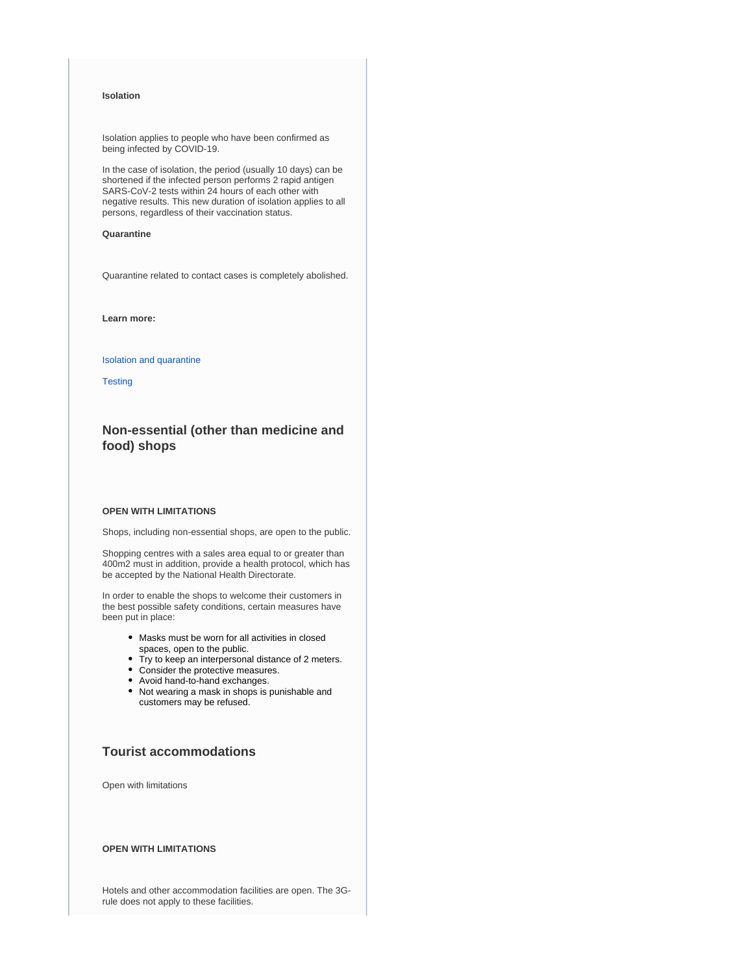### **Isolation**

Isolation applies to people who have been confirmed as being infected by COVID-19.

In the case of isolation, the period (usually 10 days) can be shortened if the infected person performs 2 rapid antigen SARS-CoV-2 tests within 24 hours of each other with negative results. This new duration of isolation applies to all persons, regardless of their vaccination status.

### **Quarantine**

Quarantine related to contact cases is completely abolished.

**Learn more:**

### [Isolation and quarantine](https://covid19.public.lu/en/health-protection/isolation-quarantine-treatment.html)

**[Testing](https://covid19.public.lu/en/testing.html)** 

## **Non-essential (other than medicine and food) shops**

### **OPEN WITH LIMITATIONS**

Shops, including non-essential shops, are open to the public.

Shopping centres with a sales area equal to or greater than 400m2 must in addition, provide a health protocol, which has be accepted by the National Health Directorate.

In order to enable the shops to welcome their customers in the best possible safety conditions, certain measures have been put in place:

- Masks must be worn for all activities in closed spaces, open to the public.
- Try to keep an interpersonal distance of 2 meters.
- Consider the protective measures.
- Avoid hand-to-hand exchanges.
- Not wearing a mask in shops is punishable and customers may be refused.

## **Tourist accommodations**

Open with limitations

### **OPEN WITH LIMITATIONS**

Hotels and other accommodation facilities are open. The 3Grule does not apply to these facilities.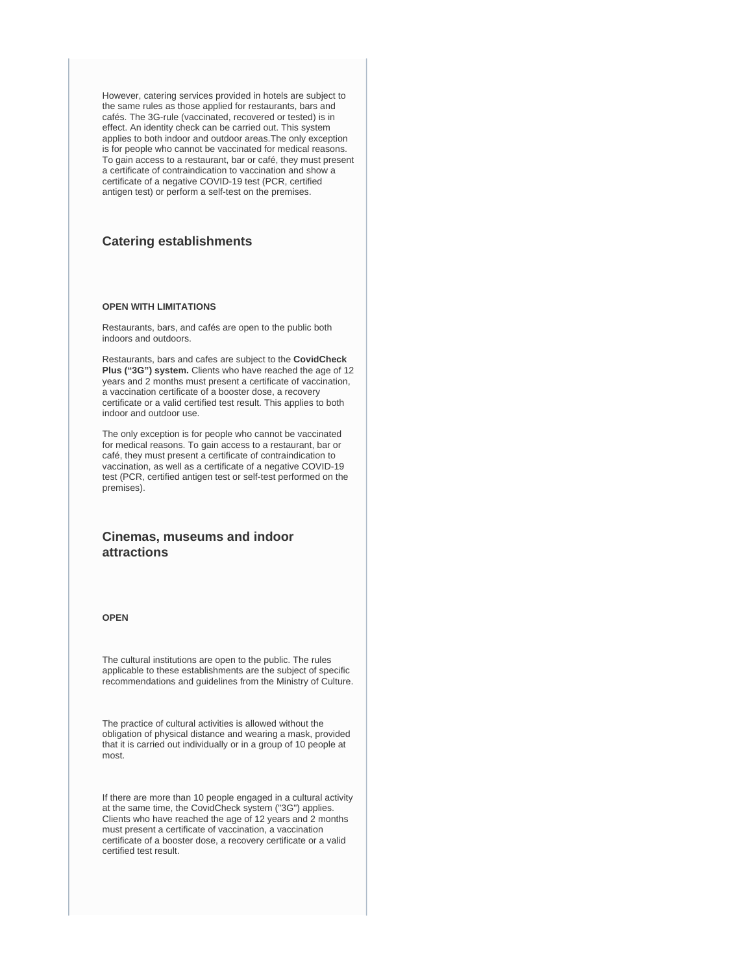However, catering services provided in hotels are subject to the same rules as those applied for restaurants, bars and cafés. The 3G-rule (vaccinated, recovered or tested) is in effect. An identity check can be carried out. This system applies to both indoor and outdoor areas.The only exception is for people who cannot be vaccinated for medical reasons. To gain access to a restaurant, bar or café, they must present a certificate of contraindication to vaccination and show a certificate of a negative COVID-19 test (PCR, certified antigen test) or perform a self-test on the premises.

## **Catering establishments**

### **OPEN WITH LIMITATIONS**

Restaurants, bars, and cafés are open to the public both indoors and outdoors.

Restaurants, bars and cafes are subject to the **CovidCheck Plus ("3G") system.** Clients who have reached the age of 12 years and 2 months must present a certificate of vaccination, a vaccination certificate of a booster dose, a recovery certificate or a valid certified test result. This applies to both indoor and outdoor use.

The only exception is for people who cannot be vaccinated for medical reasons. To gain access to a restaurant, bar or café, they must present a certificate of contraindication to vaccination, as well as a certificate of a negative COVID-19 test (PCR, certified antigen test or self-test performed on the premises).

## **Cinemas, museums and indoor attractions**

### **OPEN**

The cultural institutions are open to the public. The rules applicable to these establishments are the subject of specific recommendations and guidelines from the Ministry of Culture.

The practice of cultural activities is allowed without the obligation of physical distance and wearing a mask, provided that it is carried out individually or in a group of 10 people at most.

If there are more than 10 people engaged in a cultural activity at the same time, the CovidCheck system ("3G") applies. Clients who have reached the age of 12 years and 2 months must present a certificate of vaccination, a vaccination certificate of a booster dose, a recovery certificate or a valid certified test result.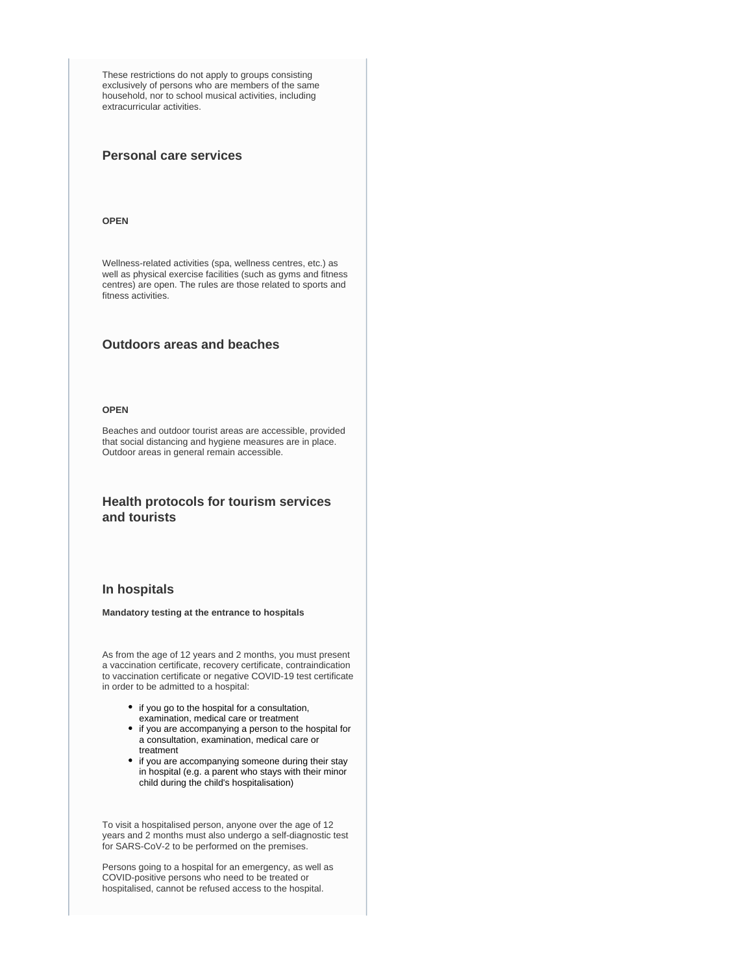These restrictions do not apply to groups consisting exclusively of persons who are members of the same household, nor to school musical activities, including extracurricular activities.

## **Personal care services**

#### **OPEN**

Wellness-related activities (spa, wellness centres, etc.) as well as physical exercise facilities (such as gyms and fitness centres) are open. The rules are those related to sports and fitness activities.

## **Outdoors areas and beaches**

### **OPEN**

Beaches and outdoor tourist areas are accessible, provided that social distancing and hygiene measures are in place. Outdoor areas in general remain accessible.

## **Health protocols for tourism services and tourists**

### **In hospitals**

### **Mandatory testing at the entrance to hospitals**

As from the age of 12 years and 2 months, you must present a vaccination certificate, recovery certificate, contraindication to vaccination certificate or negative COVID-19 test certificate in order to be admitted to a hospital:

- if you go to the hospital for a consultation,
- examination, medical care or treatment
- if you are accompanying a person to the hospital for a consultation, examination, medical care or treatment
- if you are accompanying someone during their stay in hospital (e.g. a parent who stays with their minor child during the child's hospitalisation)

To visit a hospitalised person, anyone over the age of 12 years and 2 months must also undergo a self-diagnostic test for SARS-CoV-2 to be performed on the premises.

Persons going to a hospital for an emergency, as well as COVID-positive persons who need to be treated or hospitalised, cannot be refused access to the hospital.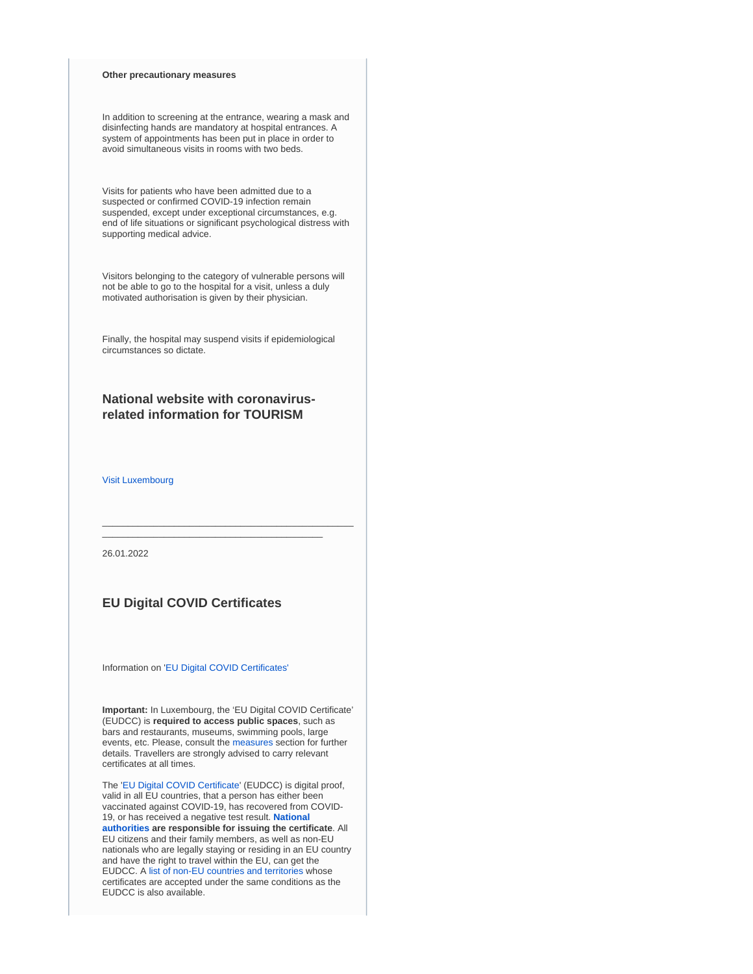### **Other precautionary measures**

In addition to screening at the entrance, wearing a mask and disinfecting hands are mandatory at hospital entrances. A system of appointments has been put in place in order to avoid simultaneous visits in rooms with two beds.

Visits for patients who have been admitted due to a suspected or confirmed COVID-19 infection remain suspended, except under exceptional circumstances, e.g. end of life situations or significant psychological distress with supporting medical advice.

Visitors belonging to the category of vulnerable persons will not be able to go to the hospital for a visit, unless a duly motivated authorisation is given by their physician.

Finally, the hospital may suspend visits if epidemiological circumstances so dictate.

## **National website with coronavirusrelated information for TOURISM**

[Visit Luxembourg](https://www.visitluxembourg.com/en)

26.01.2022

## **EU Digital COVID Certificates**

Information on '[EU Digital COVID Certificates'](https://covid19.public.lu/en/covidcheck/certificate.html)

**Important:** In Luxembourg, the 'EU Digital COVID Certificate' (EUDCC) is **required to access public spaces**, such as bars and restaurants, museums, swimming pools, large events, etc. Please, consult the [measures](https://covid19.public.lu/en/sanitary-measures.html) section for further details. Travellers are strongly advised to carry relevant certificates at all times.

\_\_\_\_\_\_\_\_\_\_\_\_\_\_\_\_\_\_\_\_\_\_\_\_\_\_\_\_\_\_\_\_\_\_\_\_\_\_\_\_\_\_\_\_\_\_\_\_\_ \_\_\_\_\_\_\_\_\_\_\_\_\_\_\_\_\_\_\_\_\_\_\_\_\_\_\_\_\_\_\_\_\_\_\_\_\_\_\_\_\_\_\_

The '[EU Digital COVID Certificate](https://ec.europa.eu/info/live-work-travel-eu/coronavirus-response/safe-covid-19-vaccines-europeans/eu-digital-covid-certificate_en)' (EUDCC) is digital proof, valid in all EU countries, that a person has either been vaccinated against COVID-19, has recovered from COVID-19, or has received a negative test result. **[National](https://ec.europa.eu/info/live-work-travel-eu/coronavirus-response/safe-covid-19-vaccines-europeans/eu-digital-covid-certificate_en#map)  [authorities](https://ec.europa.eu/info/live-work-travel-eu/coronavirus-response/safe-covid-19-vaccines-europeans/eu-digital-covid-certificate_en#map) are responsible for issuing the certificate**. All EU citizens and their family members, as well as non-EU nationals who are legally staying or residing in an EU country and have the right to travel within the EU, can get the EUDCC. A [list of non-EU countries and territories](https://ec.europa.eu/info/live-work-travel-eu/coronavirus-response/safe-covid-19-vaccines-europeans/eu-digital-covid-certificate_en#recognition-by-the-eu-of-covid-certificates-issued-by-third-non-eu-countries) whose certificates are accepted under the same conditions as the EUDCC is also available.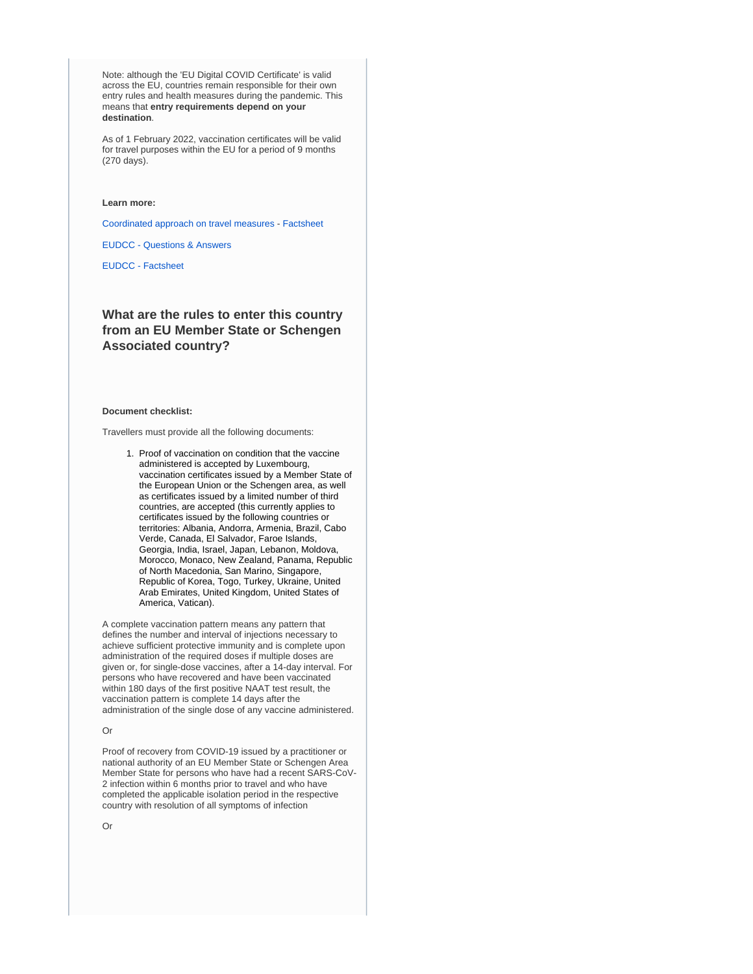Note: although the 'EU Digital COVID Certificate' is valid across the EU, countries remain responsible for their own entry rules and health measures during the pandemic. This means that **entry requirements depend on your destination**.

As of 1 February 2022, vaccination certificates will be valid for travel purposes within the EU for a period of 9 months (270 days).

#### **Learn more:**

[Coordinated approach on travel measures](https://www.consilium.europa.eu/en/press/press-releases/2022/01/25/covid-19-council-adopts-new-person-based-recommendation-on-free-movement-restrictions/) - [Factsheet](https://ec.europa.eu/commission/presscorner/detail/en/fs_21_6216)

[EUDCC - Questions & Answers](https://ec.europa.eu/commission/presscorner/detail/en/QANDA_21_2781)

[EUDCC - Factsheet](https://ec.europa.eu/commission/presscorner/detail/en/FS_21_2793)

## **What are the rules to enter this country from an EU Member State or Schengen Associated country?**

#### **Document checklist:**

Travellers must provide all the following documents:

1. Proof of vaccination on condition that the vaccine administered is accepted by Luxembourg, vaccination certificates issued by a Member State of the European Union or the Schengen area, as well as certificates issued by a limited number of third countries, are accepted (this currently applies to certificates issued by the following countries or territories: Albania, Andorra, Armenia, Brazil, Cabo Verde, Canada, El Salvador, Faroe Islands, Georgia, India, Israel, Japan, Lebanon, Moldova, Morocco, Monaco, New Zealand, Panama, Republic of North Macedonia, San Marino, Singapore, Republic of Korea, Togo, Turkey, Ukraine, United Arab Emirates, United Kingdom, United States of America, Vatican).

A complete vaccination pattern means any pattern that defines the number and interval of injections necessary to achieve sufficient protective immunity and is complete upon administration of the required doses if multiple doses are given or, for single-dose vaccines, after a 14-day interval. For persons who have recovered and have been vaccinated within 180 days of the first positive NAAT test result, the vaccination pattern is complete 14 days after the administration of the single dose of any vaccine administered.

### Or

Proof of recovery from COVID-19 issued by a practitioner or national authority of an EU Member State or Schengen Area Member State for persons who have had a recent SARS-CoV-2 infection within 6 months prior to travel and who have completed the applicable isolation period in the respective country with resolution of all symptoms of infection

Or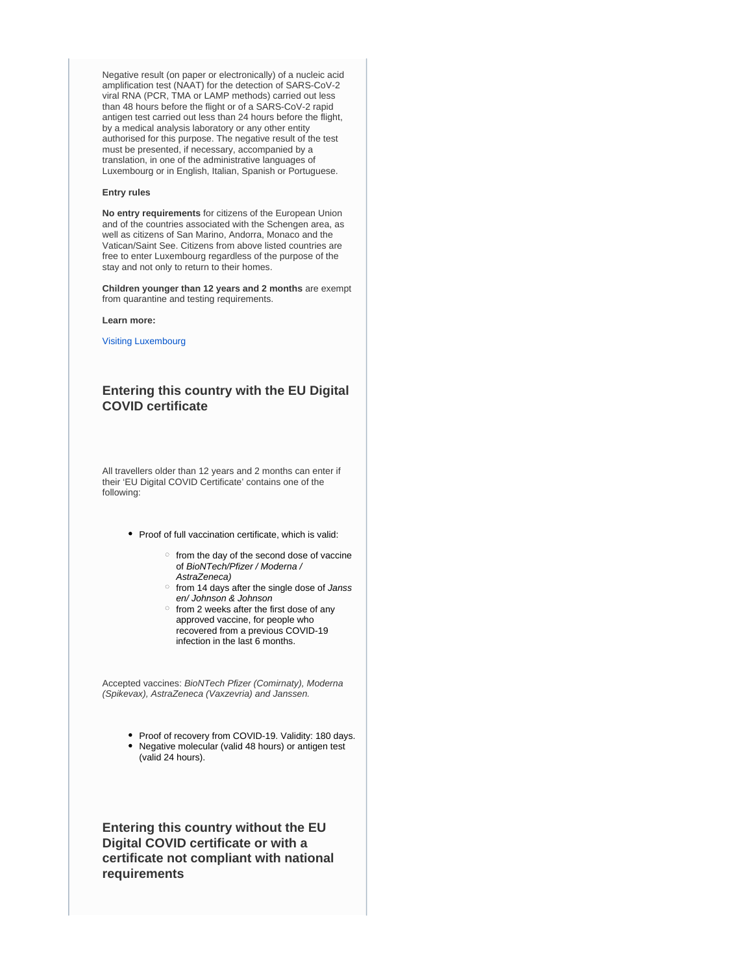Negative result (on paper or electronically) of a nucleic acid amplification test (NAAT) for the detection of SARS-CoV-2 viral RNA (PCR, TMA or LAMP methods) carried out less than 48 hours before the flight or of a SARS-CoV-2 rapid antigen test carried out less than 24 hours before the flight, by a medical analysis laboratory or any other entity authorised for this purpose. The negative result of the test must be presented, if necessary, accompanied by a translation, in one of the administrative languages of Luxembourg or in English, Italian, Spanish or Portuguese.

#### **Entry rules**

**No entry requirements** for citizens of the European Union and of the countries associated with the Schengen area, as well as citizens of San Marino, Andorra, Monaco and the Vatican/Saint See. Citizens from above listed countries are free to enter Luxembourg regardless of the purpose of the stay and not only to return to their homes.

**Children younger than 12 years and 2 months** are exempt from quarantine and testing requirements.

#### **Learn more:**

[Visiting Luxembourg](https://covid19.public.lu/en/travellers/visiting-luxembourg.html)

## **Entering this country with the EU Digital COVID certificate**

All travellers older than 12 years and 2 months can enter if their 'EU Digital COVID Certificate' contains one of the following:

- Proof of full vaccination certificate, which is valid:
	- $\circ$  from the day of the second dose of vaccine of BioNTech/Pfizer / Moderna / AstraZeneca)
	- o from 14 days after the single dose of Janss en/ Johnson & Johnson
	- $\circ$  from 2 weeks after the first dose of any approved vaccine, for people who recovered from a previous COVID-19 infection in the last 6 months.

Accepted vaccines: BioNTech Pfizer (Comirnaty), Moderna (Spikevax), AstraZeneca (Vaxzevria) and Janssen.

> • Proof of recovery from COVID-19. Validity: 180 days. Negative molecular (valid 48 hours) or antigen test (valid 24 hours).

**Entering this country without the EU Digital COVID certificate or with a certificate not compliant with national requirements**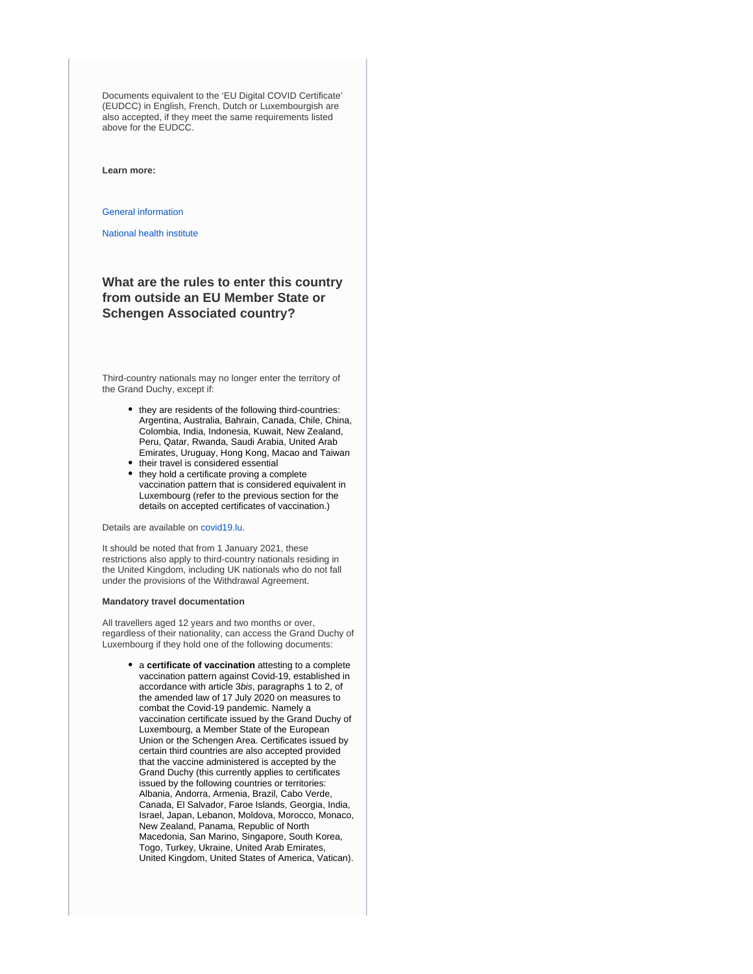Documents equivalent to the 'EU Digital COVID Certificate' (EUDCC) in English, French, Dutch or Luxembourgish are also accepted, if they meet the same requirements listed above for the EUDCC.

**Learn more:**

[General information](https://covid19.public.lu/en.html)

[National health institute](https://www.lih.lu/)

## **What are the rules to enter this country from outside an EU Member State or Schengen Associated country?**

Third-country nationals may no longer enter the territory of the Grand Duchy, except if:

- they are residents of the following third-countries: Argentina, Australia, Bahrain, Canada, Chile, China, Colombia, India, Indonesia, Kuwait, New Zealand, Peru, Qatar, Rwanda, Saudi Arabia, United Arab Emirates, Uruguay, Hong Kong, Macao and Taiwan • their travel is considered essential
- they hold a certificate proving a complete vaccination pattern that is considered equivalent in Luxembourg (refer to the previous section for the details on accepted certificates of vaccination.)

Details are available on [covid19.lu](https://covid19.public.lu/en.html).

It should be noted that from 1 January 2021, these restrictions also apply to third-country nationals residing in the United Kingdom, including UK nationals who do not fall under the provisions of the Withdrawal Agreement.

### **Mandatory travel documentation**

All travellers aged 12 years and two months or over, regardless of their nationality, can access the Grand Duchy of Luxembourg if they hold one of the following documents:

> a **certificate of vaccination** attesting to a complete vaccination pattern against Covid-19, established in accordance with article 3bis, paragraphs 1 to 2, of the amended law of 17 July 2020 on measures to combat the Covid-19 pandemic. Namely a vaccination certificate issued by the Grand Duchy of Luxembourg, a Member State of the European Union or the Schengen Area. Certificates issued by certain third countries are also accepted provided that the vaccine administered is accepted by the Grand Duchy (this currently applies to certificates issued by the following countries or territories: Albania, Andorra, Armenia, Brazil, Cabo Verde, Canada, El Salvador, Faroe Islands, Georgia, India, Israel, Japan, Lebanon, Moldova, Morocco, Monaco, New Zealand, Panama, Republic of North Macedonia, San Marino, Singapore, South Korea, Togo, Turkey, Ukraine, United Arab Emirates, United Kingdom, United States of America, Vatican).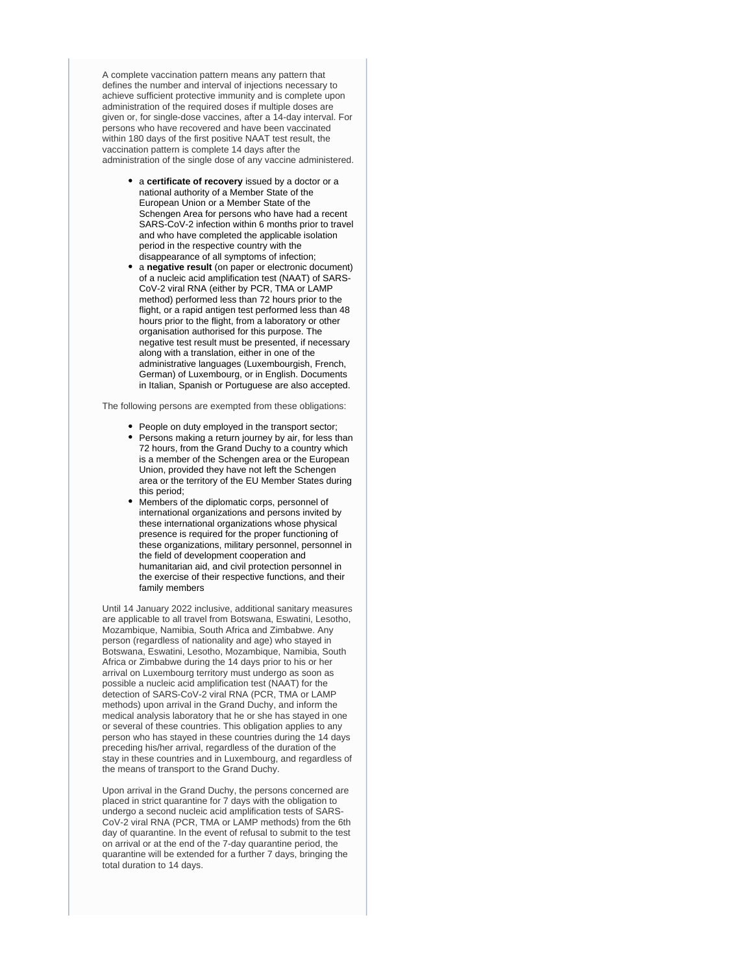A complete vaccination pattern means any pattern that defines the number and interval of injections necessary to achieve sufficient protective immunity and is complete upon administration of the required doses if multiple doses are given or, for single-dose vaccines, after a 14-day interval. For persons who have recovered and have been vaccinated within 180 days of the first positive NAAT test result, the vaccination pattern is complete 14 days after the administration of the single dose of any vaccine administered.

- a **certificate of recovery** issued by a doctor or a national authority of a Member State of the European Union or a Member State of the Schengen Area for persons who have had a recent SARS-CoV-2 infection within 6 months prior to travel and who have completed the applicable isolation period in the respective country with the disappearance of all symptoms of infection;
- a **negative result** (on paper or electronic document) of a nucleic acid amplification test (NAAT) of SARS-CoV-2 viral RNA (either by PCR, TMA or LAMP method) performed less than 72 hours prior to the flight, or a rapid antigen test performed less than 48 hours prior to the flight, from a laboratory or other organisation authorised for this purpose. The negative test result must be presented, if necessary along with a translation, either in one of the administrative languages (Luxembourgish, French, German) of Luxembourg, or in English. Documents in Italian, Spanish or Portuguese are also accepted.

The following persons are exempted from these obligations:

- People on duty employed in the transport sector; • Persons making a return journey by air, for less than 72 hours, from the Grand Duchy to a country which is a member of the Schengen area or the European Union, provided they have not left the Schengen area or the territory of the EU Member States during this period;
- Members of the diplomatic corps, personnel of international organizations and persons invited by these international organizations whose physical presence is required for the proper functioning of these organizations, military personnel, personnel in the field of development cooperation and humanitarian aid, and civil protection personnel in the exercise of their respective functions, and their family members

Until 14 January 2022 inclusive, additional sanitary measures are applicable to all travel from Botswana, Eswatini, Lesotho, Mozambique, Namibia, South Africa and Zimbabwe. Any person (regardless of nationality and age) who stayed in Botswana, Eswatini, Lesotho, Mozambique, Namibia, South Africa or Zimbabwe during the 14 days prior to his or her arrival on Luxembourg territory must undergo as soon as possible a nucleic acid amplification test (NAAT) for the detection of SARS-CoV-2 viral RNA (PCR, TMA or LAMP methods) upon arrival in the Grand Duchy, and inform the medical analysis laboratory that he or she has stayed in one or several of these countries. This obligation applies to any person who has stayed in these countries during the 14 days preceding his/her arrival, regardless of the duration of the stay in these countries and in Luxembourg, and regardless of the means of transport to the Grand Duchy.

Upon arrival in the Grand Duchy, the persons concerned are placed in strict quarantine for 7 days with the obligation to undergo a second nucleic acid amplification tests of SARS-CoV-2 viral RNA (PCR, TMA or LAMP methods) from the 6th day of quarantine. In the event of refusal to submit to the test on arrival or at the end of the 7-day quarantine period, the quarantine will be extended for a further 7 days, bringing the total duration to 14 days.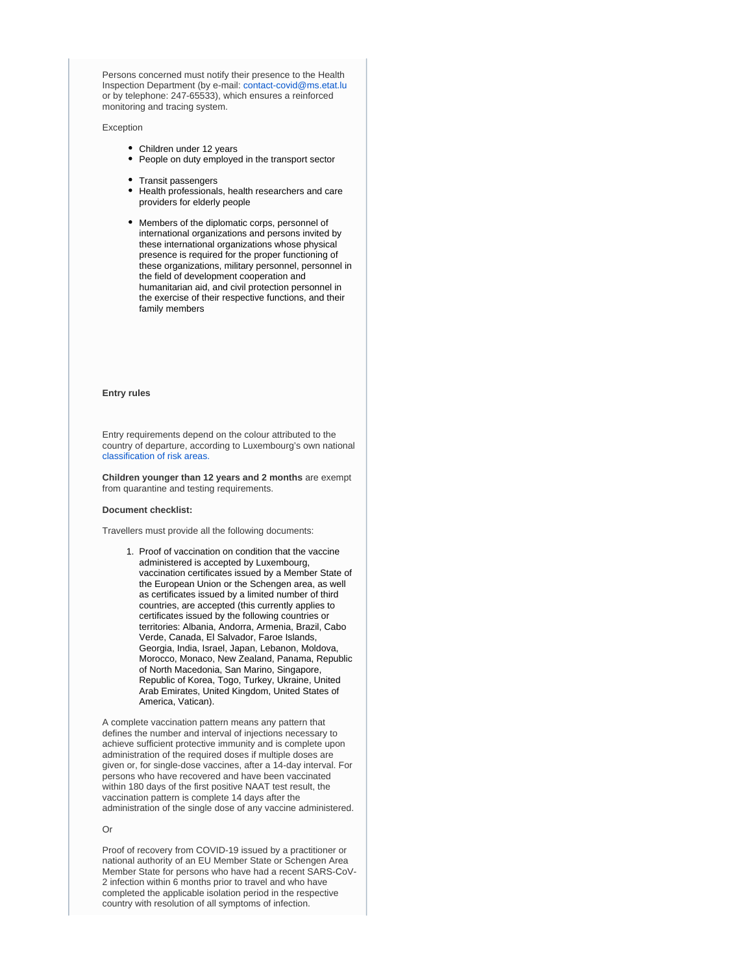Persons concerned must notify their presence to the Health Inspection Department (by e-mail: [contact-covid@ms.etat.lu](mailto:contact-covid@ms.etat.lu) or by telephone: 247-65533), which ensures a reinforced monitoring and tracing system.

Exception

- Children under 12 years
- People on duty employed in the transport sector
- Transit passengers
- Health professionals, health researchers and care providers for elderly people
- Members of the diplomatic corps, personnel of international organizations and persons invited by these international organizations whose physical presence is required for the proper functioning of these organizations, military personnel, personnel in the field of development cooperation and humanitarian aid, and civil protection personnel in the exercise of their respective functions, and their family members

#### **Entry rules**

Entry requirements depend on the colour attributed to the country of departure, according to Luxembourg's own national [classification of risk areas.](https://covid19.public.lu/en/travellers/visiting-luxembourg.html)

**Children younger than 12 years and 2 months** are exempt from quarantine and testing requirements.

#### **Document checklist:**

Travellers must provide all the following documents:

1. Proof of vaccination on condition that the vaccine administered is accepted by Luxembourg, vaccination certificates issued by a Member State of the European Union or the Schengen area, as well as certificates issued by a limited number of third countries, are accepted (this currently applies to certificates issued by the following countries or territories: Albania, Andorra, Armenia, Brazil, Cabo Verde, Canada, El Salvador, Faroe Islands, Georgia, India, Israel, Japan, Lebanon, Moldova, Morocco, Monaco, New Zealand, Panama, Republic of North Macedonia, San Marino, Singapore, Republic of Korea, Togo, Turkey, Ukraine, United Arab Emirates, United Kingdom, United States of America, Vatican).

A complete vaccination pattern means any pattern that defines the number and interval of injections necessary to achieve sufficient protective immunity and is complete upon administration of the required doses if multiple doses are given or, for single-dose vaccines, after a 14-day interval. For persons who have recovered and have been vaccinated within 180 days of the first positive NAAT test result, the vaccination pattern is complete 14 days after the administration of the single dose of any vaccine administered.

### Or

Proof of recovery from COVID-19 issued by a practitioner or national authority of an EU Member State or Schengen Area Member State for persons who have had a recent SARS-CoV-2 infection within 6 months prior to travel and who have completed the applicable isolation period in the respective country with resolution of all symptoms of infection.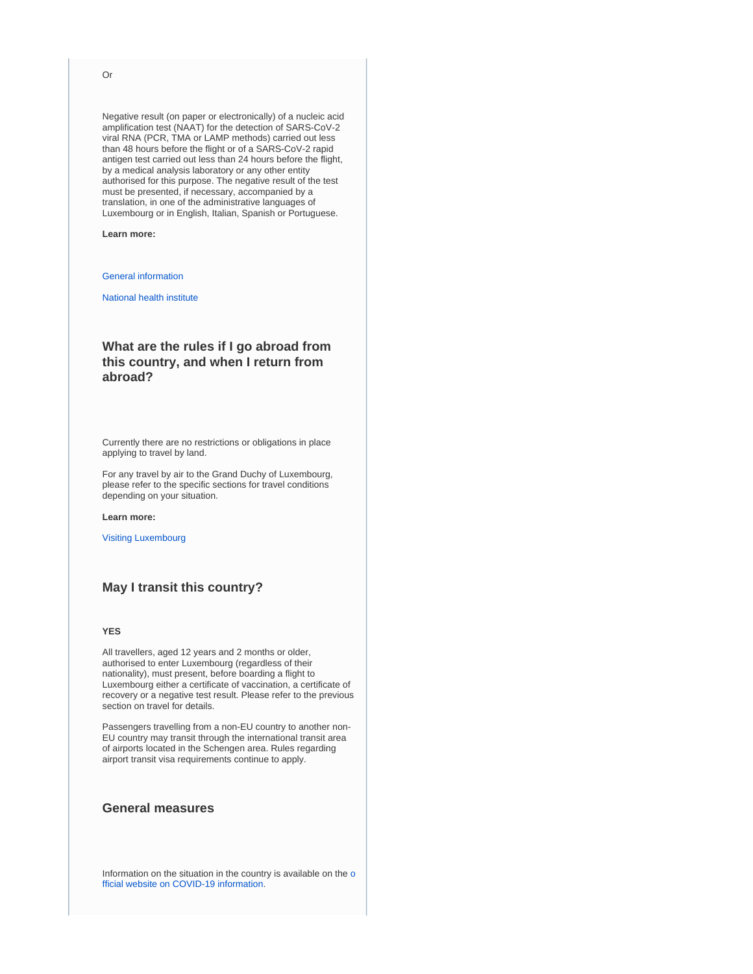#### Or

Negative result (on paper or electronically) of a nucleic acid amplification test (NAAT) for the detection of SARS-CoV-2 viral RNA (PCR, TMA or LAMP methods) carried out less than 48 hours before the flight or of a SARS-CoV-2 rapid antigen test carried out less than 24 hours before the flight, by a medical analysis laboratory or any other entity authorised for this purpose. The negative result of the test must be presented, if necessary, accompanied by a translation, in one of the administrative languages of Luxembourg or in English, Italian, Spanish or Portuguese.

### **Learn more:**

### [General information](https://covid19.public.lu/en.html)

[National health institute](https://www.lih.lu/)

## **What are the rules if I go abroad from this country, and when I return from abroad?**

Currently there are no restrictions or obligations in place applying to travel by land.

For any travel by air to the Grand Duchy of Luxembourg, please refer to the specific sections for travel conditions depending on your situation.

#### **Learn more:**

[Visiting Luxembourg](https://covid19.public.lu/en/travellers/visiting-luxembourg.html)

## **May I transit this country?**

### **YES**

All travellers, aged 12 years and 2 months or older, authorised to enter Luxembourg (regardless of their nationality), must present, before boarding a flight to Luxembourg either a certificate of vaccination, a certificate of recovery or a negative test result. Please refer to the previous section on travel for details.

Passengers travelling from a non-EU country to another non-EU country may transit through the international transit area of airports located in the Schengen area. Rules regarding airport transit visa requirements continue to apply.

## **General measures**

Information on the situation in the country is available on the [o](https://covid19.public.lu/en.html) [fficial website on COVID-19 information](https://covid19.public.lu/en.html).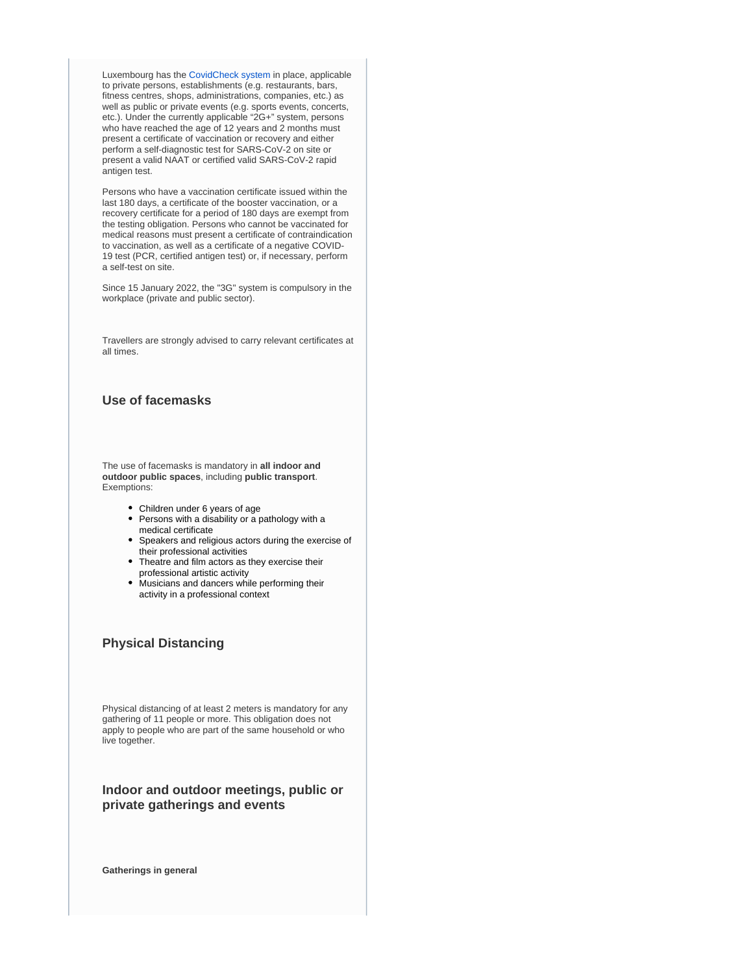Luxembourg has the [CovidCheck system](https://covid19.public.lu/en/covidcheck.html) in place, applicable to private persons, establishments (e.g. restaurants, bars, fitness centres, shops, administrations, companies, etc.) as well as public or private events (e.g. sports events, concerts, etc.). Under the currently applicable "2G+" system, persons who have reached the age of 12 years and 2 months must present a certificate of vaccination or recovery and either perform a self-diagnostic test for SARS-CoV-2 on site or present a valid NAAT or certified valid SARS-CoV-2 rapid antigen test.

Persons who have a vaccination certificate issued within the last 180 days, a certificate of the booster vaccination, or a recovery certificate for a period of 180 days are exempt from the testing obligation. Persons who cannot be vaccinated for medical reasons must present a certificate of contraindication to vaccination, as well as a certificate of a negative COVID-19 test (PCR, certified antigen test) or, if necessary, perform a self-test on site.

Since 15 January 2022, the "3G" system is compulsory in the workplace (private and public sector).

Travellers are strongly advised to carry relevant certificates at all times.

## **Use of facemasks**

The use of facemasks is mandatory in **all indoor and outdoor public spaces**, including **public transport**. Exemptions:

- Children under 6 years of age
- Persons with a disability or a pathology with a medical certificate
- Speakers and religious actors during the exercise of their professional activities
- Theatre and film actors as they exercise their professional artistic activity
- Musicians and dancers while performing their activity in a professional context

## **Physical Distancing**

Physical distancing of at least 2 meters is mandatory for any gathering of 11 people or more. This obligation does not apply to people who are part of the same household or who live together.

## **Indoor and outdoor meetings, public or private gatherings and events**

**Gatherings in general**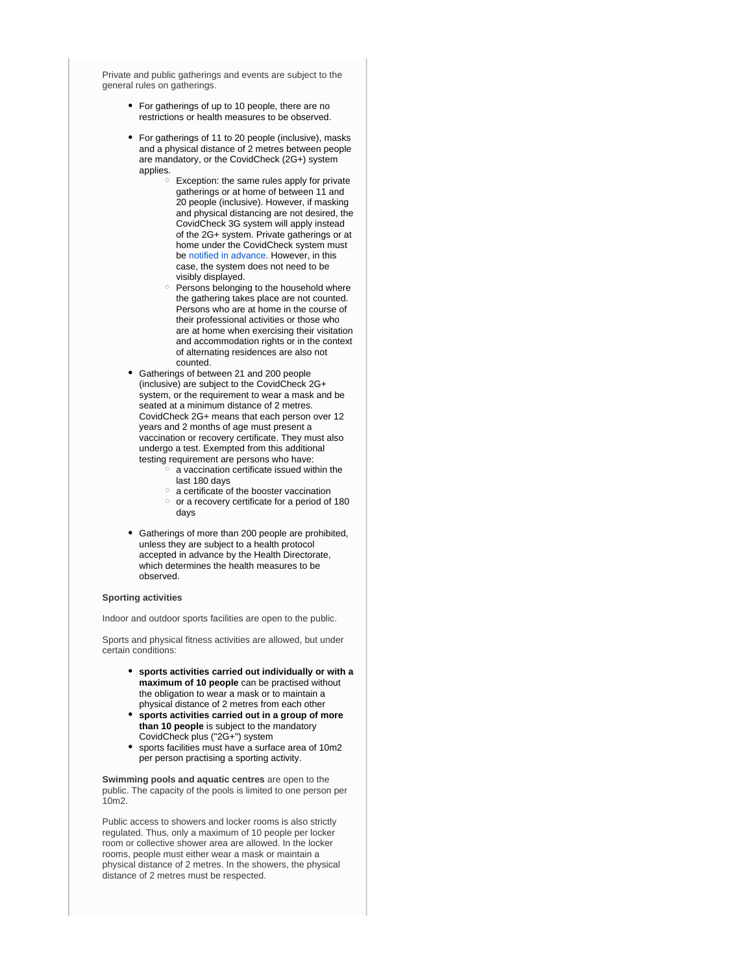Private and public gatherings and events are subject to the general rules on gatherings.

- For gatherings of up to 10 people, there are no restrictions or health measures to be observed.
- For gatherings of 11 to 20 people (inclusive), masks and a physical distance of 2 metres between people are mandatory, or the CovidCheck (2G+) system applies.
	- $\circ$  Exception: the same rules apply for private gatherings or at home of between 11 and 20 people (inclusive). However, if masking and physical distancing are not desired, the CovidCheck 3G system will apply instead of the 2G+ system. Private gatherings or at home under the CovidCheck system must be [notified in advance](https://covid19.public.lu/en/covidcheck/system.html). However, in this case, the system does not need to be visibly displayed.
	- $\circ$  Persons belonging to the household where the gathering takes place are not counted. Persons who are at home in the course of their professional activities or those who are at home when exercising their visitation and accommodation rights or in the context of alternating residences are also not counted.
- Gatherings of between 21 and 200 people (inclusive) are subject to the CovidCheck 2G+ system, or the requirement to wear a mask and be seated at a minimum distance of 2 metres. CovidCheck 2G+ means that each person over 12 years and 2 months of age must present a vaccination or recovery certificate. They must also undergo a test. Exempted from this additional testing requirement are persons who have:
	- $\circ$  a vaccination certificate issued within the last 180 days
	- a certificate of the booster vaccination
	- $\circ$  or a recovery certificate for a period of 180 days
- Gatherings of more than 200 people are prohibited, unless they are subject to a health protocol accepted in advance by the Health Directorate, which determines the health measures to be observed.

#### **Sporting activities**

Indoor and outdoor sports facilities are open to the public.

Sports and physical fitness activities are allowed, but under certain conditions:

- **sports activities carried out individually or with a maximum of 10 people** can be practised without the obligation to wear a mask or to maintain a physical distance of 2 metres from each other
- **sports activities carried out in a group of more than 10 people** is subject to the mandatory CovidCheck plus ("2G+") system
- sports facilities must have a surface area of 10m2 per person practising a sporting activity.

**Swimming pools and aquatic centres** are open to the public. The capacity of the pools is limited to one person per 10m2.

Public access to showers and locker rooms is also strictly regulated. Thus, only a maximum of 10 people per locker room or collective shower area are allowed. In the locker rooms, people must either wear a mask or maintain a physical distance of 2 metres. In the showers, the physical distance of 2 metres must be respected.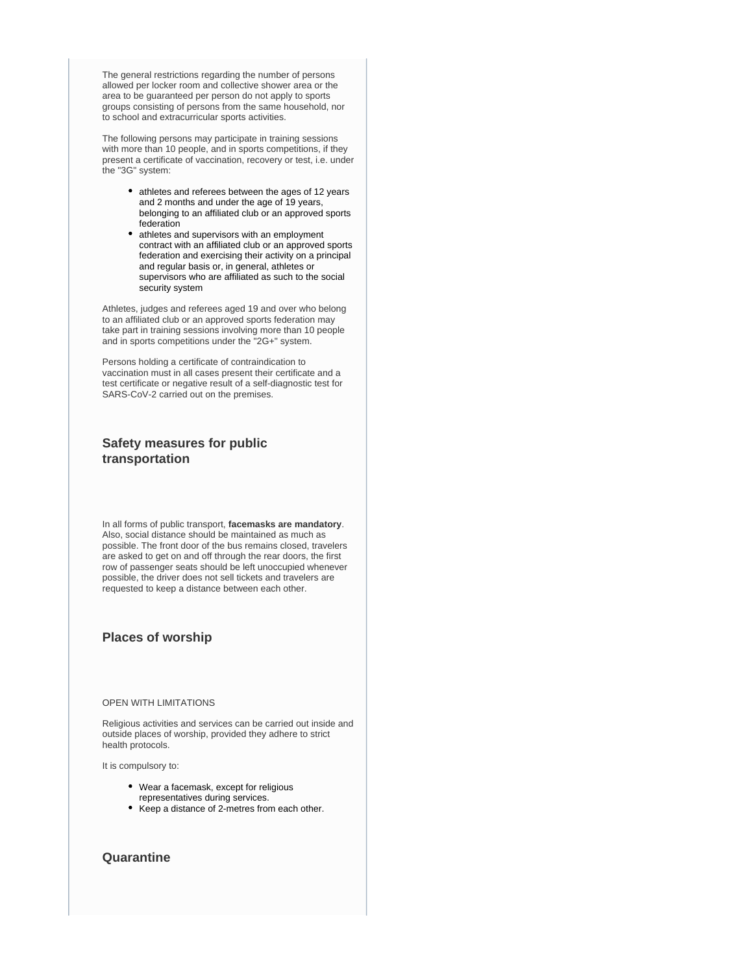The general restrictions regarding the number of persons allowed per locker room and collective shower area or the area to be guaranteed per person do not apply to sports groups consisting of persons from the same household, nor to school and extracurricular sports activities.

The following persons may participate in training sessions with more than 10 people, and in sports competitions, if they present a certificate of vaccination, recovery or test, i.e. under the "3G" system:

- athletes and referees between the ages of 12 years and 2 months and under the age of 19 years, belonging to an affiliated club or an approved sports federation
- athletes and supervisors with an employment contract with an affiliated club or an approved sports federation and exercising their activity on a principal and regular basis or, in general, athletes or supervisors who are affiliated as such to the social security system

Athletes, judges and referees aged 19 and over who belong to an affiliated club or an approved sports federation may take part in training sessions involving more than 10 people and in sports competitions under the "2G+" system.

Persons holding a certificate of contraindication to vaccination must in all cases present their certificate and a test certificate or negative result of a self-diagnostic test for SARS-CoV-2 carried out on the premises.

## **Safety measures for public transportation**

In all forms of public transport, **facemasks are mandatory**. Also, social distance should be maintained as much as possible. The front door of the bus remains closed, travelers are asked to get on and off through the rear doors, the first row of passenger seats should be left unoccupied whenever possible, the driver does not sell tickets and travelers are requested to keep a distance between each other.

## **Places of worship**

### OPEN WITH LIMITATIONS

Religious activities and services can be carried out inside and outside places of worship, provided they adhere to strict health protocols.

It is compulsory to:

- Wear a facemask, except for religious representatives during services.
- Keep a distance of 2-metres from each other.

## **Quarantine**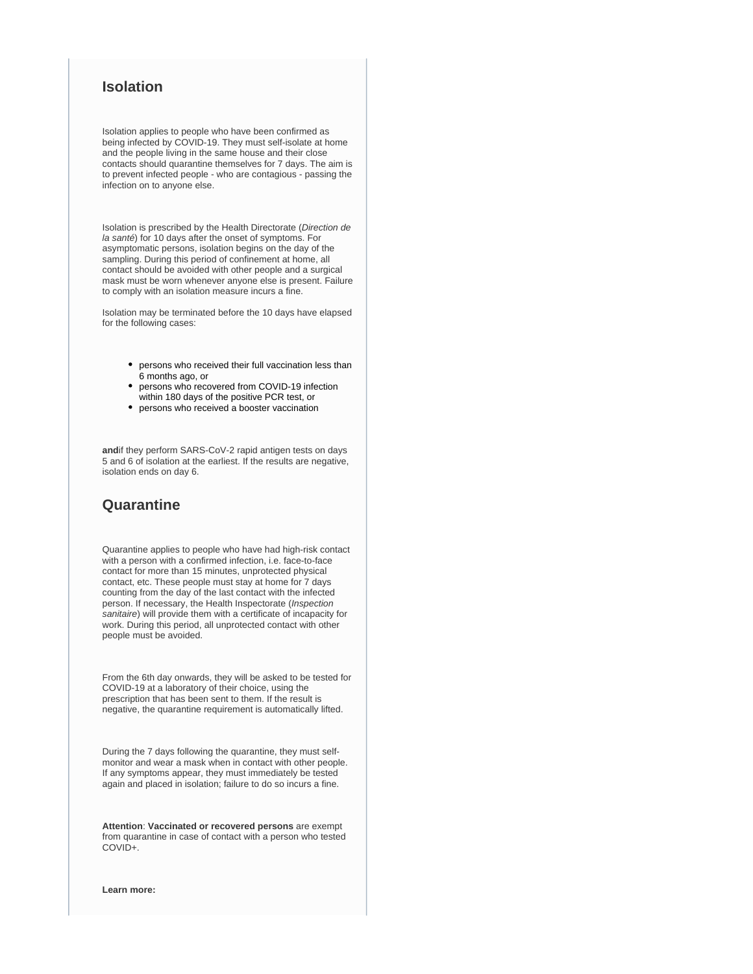## **Isolation**

Isolation applies to people who have been confirmed as being infected by COVID-19. They must self-isolate at home and the people living in the same house and their close contacts should quarantine themselves for 7 days. The aim is to prevent infected people - who are contagious - passing the infection on to anyone else.

Isolation is prescribed by the Health Directorate (Direction de la santé) for 10 days after the onset of symptoms. For asymptomatic persons, isolation begins on the day of the sampling. During this period of confinement at home, all contact should be avoided with other people and a surgical mask must be worn whenever anyone else is present. Failure to comply with an isolation measure incurs a fine.

Isolation may be terminated before the 10 days have elapsed for the following cases:

- persons who received their full vaccination less than 6 months ago, or
- $\bullet$ persons who recovered from COVID-19 infection within 180 days of the positive PCR test, or
- persons who received a booster vaccination

**and**if they perform SARS-CoV-2 rapid antigen tests on days 5 and 6 of isolation at the earliest. If the results are negative, isolation ends on day 6.

## **Quarantine**

Quarantine applies to people who have had high-risk contact with a person with a confirmed infection, i.e. face-to-face contact for more than 15 minutes, unprotected physical contact, etc. These people must stay at home for 7 days counting from the day of the last contact with the infected person. If necessary, the Health Inspectorate (Inspection sanitaire) will provide them with a certificate of incapacity for work. During this period, all unprotected contact with other people must be avoided.

From the 6th day onwards, they will be asked to be tested for COVID-19 at a laboratory of their choice, using the prescription that has been sent to them. If the result is negative, the quarantine requirement is automatically lifted.

During the 7 days following the quarantine, they must selfmonitor and wear a mask when in contact with other people. If any symptoms appear, they must immediately be tested again and placed in isolation; failure to do so incurs a fine.

**Attention**: **Vaccinated or recovered persons** are exempt from quarantine in case of contact with a person who tested COVID+.

**Learn more:**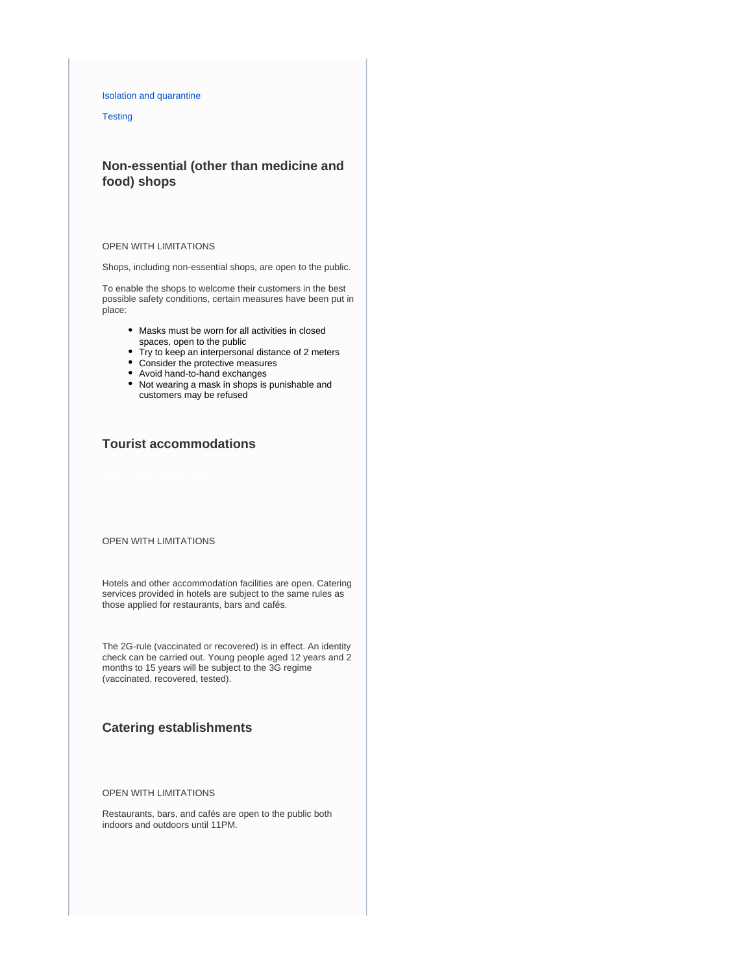### [Isolation and quarantine](https://covid19.public.lu/en/health-protection/isolation-quarantine-treatment.html)

**[Testing](https://covid19.public.lu/en/testing.html)** 

## **Non-essential (other than medicine and food) shops**

#### OPEN WITH LIMITATIONS

Shops, including non-essential shops, are open to the public.

To enable the shops to welcome their customers in the best possible safety conditions, certain measures have been put in place:

- Masks must be worn for all activities in closed
- spaces, open to the public
- Try to keep an interpersonal distance of 2 meters Consider the protective measures
- Avoid hand-to-hand exchanges
- 
- Not wearing a mask in shops is punishable and customers may be refused

## **Tourist accommodations**

### OPEN WITH LIMITATIONS

Hotels and other accommodation facilities are open. Catering services provided in hotels are subject to the same rules as those applied for restaurants, bars and cafés.

The 2G-rule (vaccinated or recovered) is in effect. An identity check can be carried out. Young people aged 12 years and 2 months to 15 years will be subject to the 3G regime (vaccinated, recovered, tested).

## **Catering establishments**

### OPEN WITH LIMITATIONS

Restaurants, bars, and cafés are open to the public both indoors and outdoors until 11PM.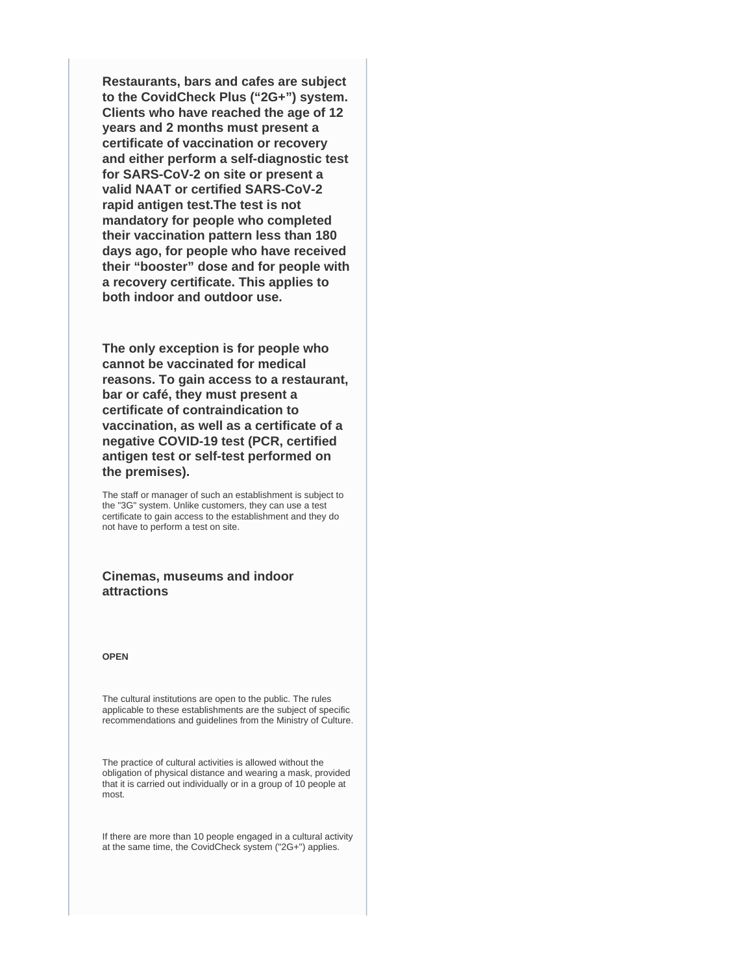**Restaurants, bars and cafes are subject to the CovidCheck Plus ("2G+") system. Clients who have reached the age of 12 years and 2 months must present a certificate of vaccination or recovery and either perform a self-diagnostic test for SARS-CoV-2 on site or present a valid NAAT or certified SARS-CoV-2 rapid antigen test.The test is not mandatory for people who completed their vaccination pattern less than 180 days ago, for people who have received their "booster" dose and for people with a recovery certificate. This applies to both indoor and outdoor use.**

**The only exception is for people who cannot be vaccinated for medical reasons. To gain access to a restaurant, bar or café, they must present a certificate of contraindication to vaccination, as well as a certificate of a negative COVID-19 test (PCR, certified antigen test or self-test performed on the premises).**

The staff or manager of such an establishment is subject to the "3G" system. Unlike customers, they can use a test certificate to gain access to the establishment and they do not have to perform a test on site.

## **Cinemas, museums and indoor attractions**

### **OPEN**

The cultural institutions are open to the public. The rules applicable to these establishments are the subject of specific recommendations and guidelines from the Ministry of Culture.

The practice of cultural activities is allowed without the obligation of physical distance and wearing a mask, provided that it is carried out individually or in a group of 10 people at most.

If there are more than 10 people engaged in a cultural activity at the same time, the CovidCheck system ("2G+") applies.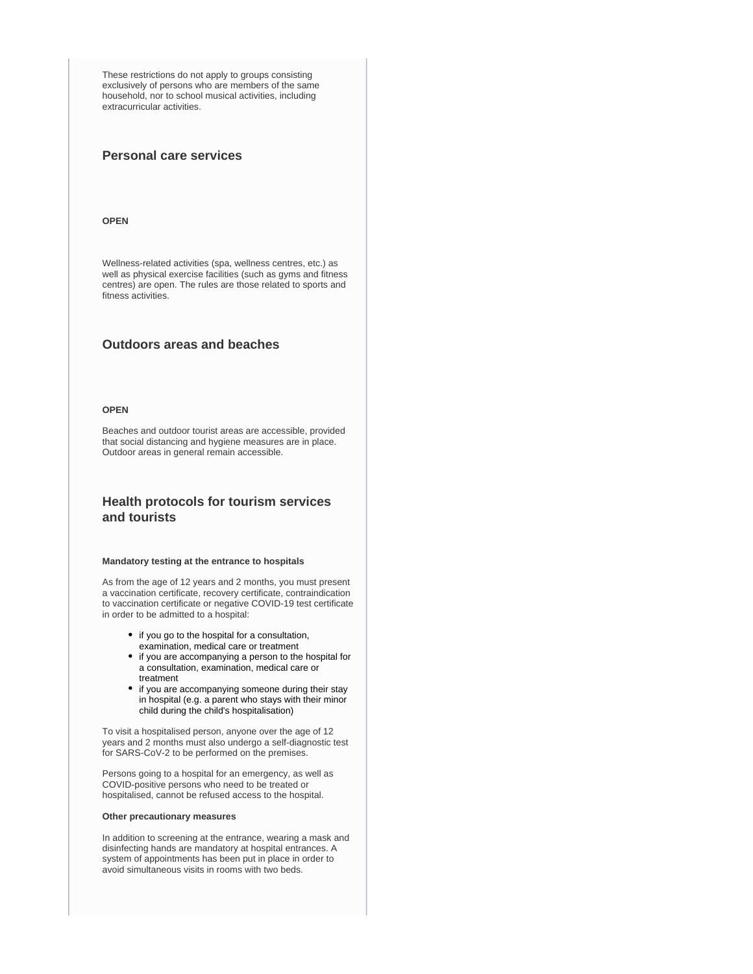These restrictions do not apply to groups consisting exclusively of persons who are members of the same household, nor to school musical activities, including extracurricular activities.

## **Personal care services**

#### **OPEN**

Wellness-related activities (spa, wellness centres, etc.) as well as physical exercise facilities (such as gyms and fitness centres) are open. The rules are those related to sports and fitness activities.

## **Outdoors areas and beaches**

### **OPEN**

Beaches and outdoor tourist areas are accessible, provided that social distancing and hygiene measures are in place. Outdoor areas in general remain accessible.

## **Health protocols for tourism services and tourists**

### **Mandatory testing at the entrance to hospitals**

As from the age of 12 years and 2 months, you must present a vaccination certificate, recovery certificate, contraindication to vaccination certificate or negative COVID-19 test certificate in order to be admitted to a hospital:

- if you go to the hospital for a consultation, examination, medical care or treatment
- if you are accompanying a person to the hospital for a consultation, examination, medical care or treatment
- if you are accompanying someone during their stay in hospital (e.g. a parent who stays with their minor child during the child's hospitalisation)

To visit a hospitalised person, anyone over the age of 12 years and 2 months must also undergo a self-diagnostic test for SARS-CoV-2 to be performed on the premises.

Persons going to a hospital for an emergency, as well as COVID-positive persons who need to be treated or hospitalised, cannot be refused access to the hospital.

### **Other precautionary measures**

In addition to screening at the entrance, wearing a mask and disinfecting hands are mandatory at hospital entrances. A system of appointments has been put in place in order to avoid simultaneous visits in rooms with two beds.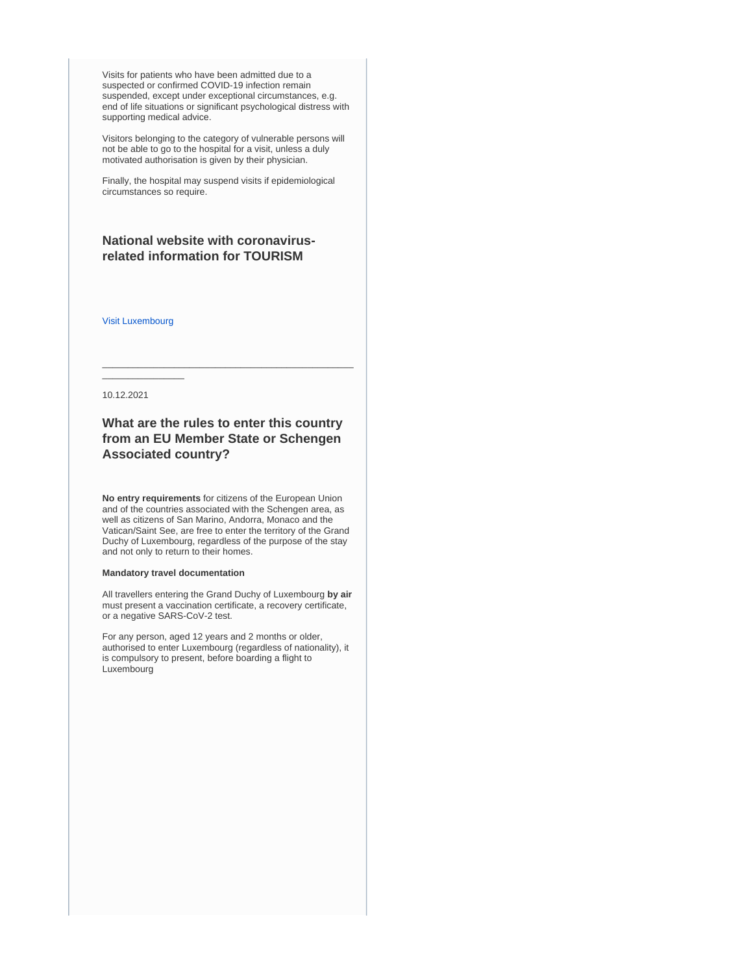Visits for patients who have been admitted due to a suspected or confirmed COVID-19 infection remain suspended, except under exceptional circumstances, e.g. end of life situations or significant psychological distress with supporting medical advice.

Visitors belonging to the category of vulnerable persons will not be able to go to the hospital for a visit, unless a duly motivated authorisation is given by their physician.

Finally, the hospital may suspend visits if epidemiological circumstances so require.

## **National website with coronavirusrelated information for TOURISM**

[Visit Luxembourg](https://www.visitluxembourg.com/en)

 $\overline{\phantom{a}}$  , where  $\overline{\phantom{a}}$ 

10.12.2021

## **What are the rules to enter this country from an EU Member State or Schengen Associated country?**

\_\_\_\_\_\_\_\_\_\_\_\_\_\_\_\_\_\_\_\_\_\_\_\_\_\_\_\_\_\_\_\_\_\_\_\_\_\_\_\_\_\_\_\_\_\_\_\_\_

**No entry requirements** for citizens of the European Union and of the countries associated with the Schengen area, as well as citizens of San Marino, Andorra, Monaco and the Vatican/Saint See, are free to enter the territory of the Grand Duchy of Luxembourg, regardless of the purpose of the stay and not only to return to their homes.

### **Mandatory travel documentation**

All travellers entering the Grand Duchy of Luxembourg **by air** must present a vaccination certificate, a recovery certificate, or a negative SARS-CoV-2 test.

For any person, aged 12 years and 2 months or older, authorised to enter Luxembourg (regardless of nationality), it is compulsory to present, before boarding a flight to Luxembourg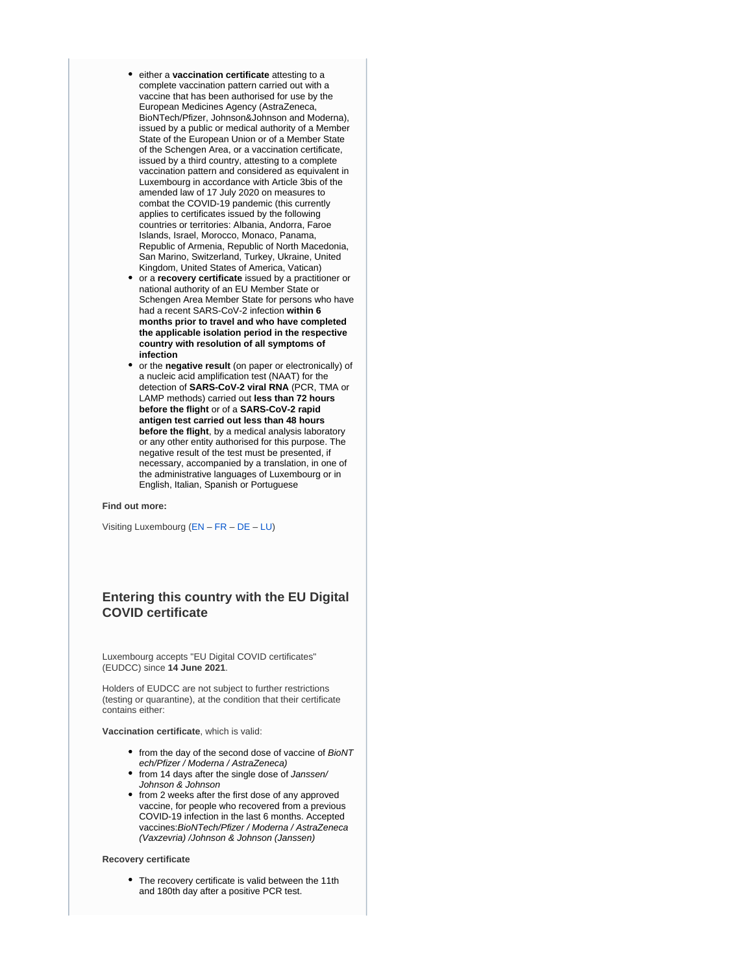- either a **vaccination certificate** attesting to a complete vaccination pattern carried out with a vaccine that has been authorised for use by the European Medicines Agency (AstraZeneca, BioNTech/Pfizer, Johnson&Johnson and Moderna), issued by a public or medical authority of a Member State of the European Union or of a Member State of the Schengen Area, or a vaccination certificate, issued by a third country, attesting to a complete vaccination pattern and considered as equivalent in Luxembourg in accordance with Article 3bis of the amended law of 17 July 2020 on measures to combat the COVID-19 pandemic (this currently applies to certificates issued by the following countries or territories: Albania, Andorra, Faroe Islands, Israel, Morocco, Monaco, Panama, Republic of Armenia, Republic of North Macedonia, San Marino, Switzerland, Turkey, Ukraine, United Kingdom, United States of America, Vatican)
- or a **recovery certificate** issued by a practitioner or national authority of an EU Member State or Schengen Area Member State for persons who have had a recent SARS-CoV-2 infection **within 6 months prior to travel and who have completed the applicable isolation period in the respective country with resolution of all symptoms of infection**
- or the **negative result** (on paper or electronically) of a nucleic acid amplification test (NAAT) for the detection of **SARS-CoV-2 viral RNA** (PCR, TMA or LAMP methods) carried out **less than 72 hours before the flight** or of a **SARS-CoV-2 rapid antigen test carried out less than 48 hours before the flight**, by a medical analysis laboratory or any other entity authorised for this purpose. The negative result of the test must be presented, if necessary, accompanied by a translation, in one of the administrative languages of Luxembourg or in English, Italian, Spanish or Portuguese

#### **Find out more:**

Visiting Luxembourg ([EN](https://covid19.public.lu/en/travellers/visiting-luxembourg.html) – [FR](https://covid19.public.lu/fr/voyageurs/visiter-luxembourg.html) – [DE](https://covid19.public.lu/de/reisende/luxemburg-besuchen.html) – [LU](https://covid19.public.lu/lb/reesen/letzebuerg-besichen.html))

## **Entering this country with the EU Digital COVID certificate**

Luxembourg accepts "EU Digital COVID certificates" (EUDCC) since **14 June 2021**.

Holders of EUDCC are not subject to further restrictions (testing or quarantine), at the condition that their certificate contains either:

**Vaccination certificate**, which is valid:

- from the day of the second dose of vaccine of BioNT ech/Pfizer / Moderna / AstraZeneca)
- from 14 days after the single dose of Janssen/ Johnson & Johnson
- from 2 weeks after the first dose of any approved vaccine, for people who recovered from a previous COVID-19 infection in the last 6 months. Accepted vaccines:BioNTech/Pfizer / Moderna / AstraZeneca (Vaxzevria) /Johnson & Johnson (Janssen)

#### **Recovery certificate**

• The recovery certificate is valid between the 11th and 180th day after a positive PCR test.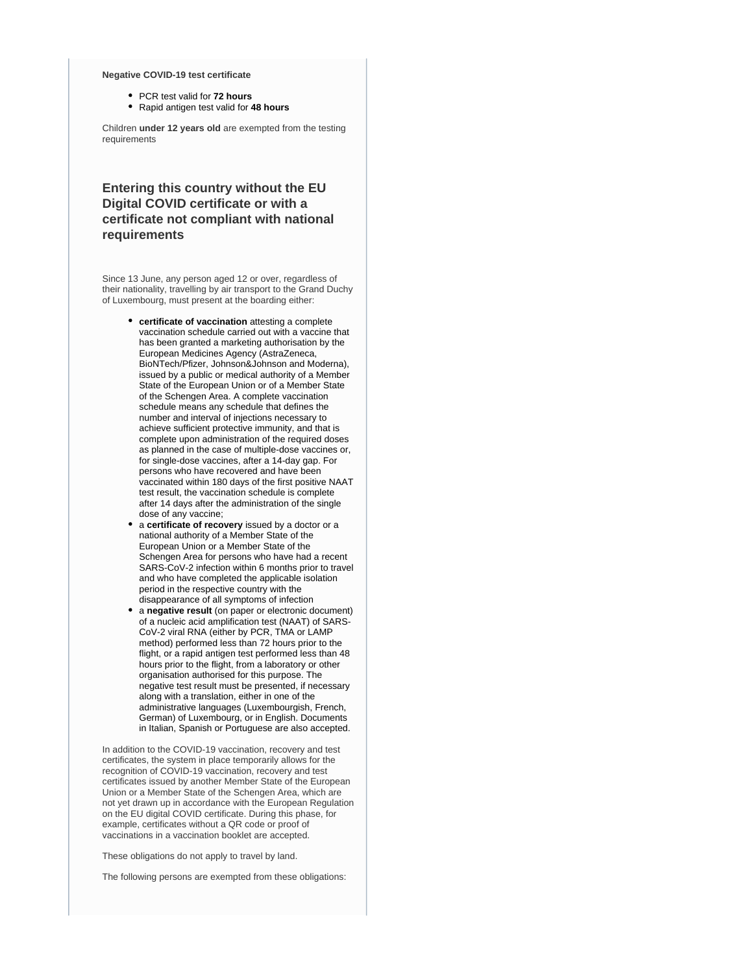#### **Negative COVID-19 test certificate**

- PCR test valid for **72 hours**
- Rapid antigen test valid for **48 hours**

Children **under 12 years old** are exempted from the testing requirements

# **Entering this country without the EU Digital COVID certificate or with a certificate not compliant with national requirements**

Since 13 June, any person aged 12 or over, regardless of their nationality, travelling by air transport to the Grand Duchy of Luxembourg, must present at the boarding either:

- **certificate of vaccination** attesting a complete vaccination schedule carried out with a vaccine that has been granted a marketing authorisation by the European Medicines Agency (AstraZeneca, BioNTech/Pfizer, Johnson&Johnson and Moderna), issued by a public or medical authority of a Member State of the European Union or of a Member State of the Schengen Area. A complete vaccination schedule means any schedule that defines the number and interval of injections necessary to achieve sufficient protective immunity, and that is complete upon administration of the required doses as planned in the case of multiple-dose vaccines or, for single-dose vaccines, after a 14-day gap. For persons who have recovered and have been vaccinated within 180 days of the first positive NAAT test result, the vaccination schedule is complete after 14 days after the administration of the single dose of any vaccine;
- a **certificate of recovery** issued by a doctor or a national authority of a Member State of the European Union or a Member State of the Schengen Area for persons who have had a recent SARS-CoV-2 infection within 6 months prior to travel and who have completed the applicable isolation period in the respective country with the disappearance of all symptoms of infection
- a **negative result** (on paper or electronic document) of a nucleic acid amplification test (NAAT) of SARS-CoV-2 viral RNA (either by PCR, TMA or LAMP method) performed less than 72 hours prior to the flight, or a rapid antigen test performed less than 48 hours prior to the flight, from a laboratory or other organisation authorised for this purpose. The negative test result must be presented, if necessary along with a translation, either in one of the administrative languages (Luxembourgish, French, German) of Luxembourg, or in English. Documents in Italian, Spanish or Portuguese are also accepted.

In addition to the COVID-19 vaccination, recovery and test certificates, the system in place temporarily allows for the recognition of COVID-19 vaccination, recovery and test certificates issued by another Member State of the European Union or a Member State of the Schengen Area, which are not yet drawn up in accordance with the European Regulation on the EU digital COVID certificate. During this phase, for example, certificates without a QR code or proof of vaccinations in a vaccination booklet are accepted.

These obligations do not apply to travel by land.

The following persons are exempted from these obligations: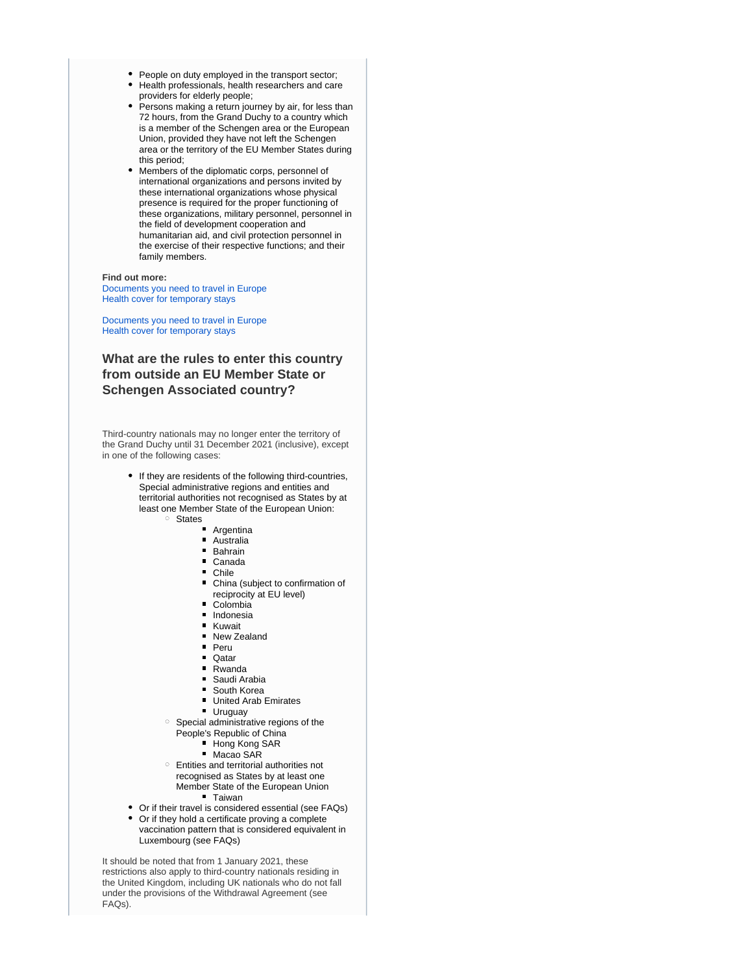- People on duty employed in the transport sector;
- Health professionals, health researchers and care providers for elderly people;
- Persons making a return journey by air, for less than 72 hours, from the Grand Duchy to a country which is a member of the Schengen area or the European Union, provided they have not left the Schengen area or the territory of the EU Member States during this period;
- $\bullet$ Members of the diplomatic corps, personnel of international organizations and persons invited by these international organizations whose physical presence is required for the proper functioning of these organizations, military personnel, personnel in the field of development cooperation and humanitarian aid, and civil protection personnel in the exercise of their respective functions; and their family members.

#### **Find out more:**

[Documents you need to travel in Europe](https://europa.eu/youreurope/citizens/travel/entry-exit/index_en.htm) [Health cover for temporary stays](https://europa.eu/youreurope/citizens/health/unplanned-healthcare/temporary-stays/index_en.htm)

[Documents you need to travel in Europe](https://europa.eu/youreurope/citizens/travel/entry-exit/index_en.htm) [Health cover for temporary stays](https://europa.eu/youreurope/citizens/health/unplanned-healthcare/temporary-stays/index_en.htm)

# **What are the rules to enter this country from outside an EU Member State or Schengen Associated country?**

Third-country nationals may no longer enter the territory of the Grand Duchy until 31 December 2021 (inclusive), except in one of the following cases:

- If they are residents of the following third-countries, Special administrative regions and entities and territorial authorities not recognised as States by at least one Member State of the European Union:
	- <sup>o</sup> States
		- Argentina
		- Australia
		- **Bahrain**
		- Canada
		- **Chile**
		- China (subject to confirmation of reciprocity at EU level)
		- Colombia
		- **Indonesia**
		- **Kuwait**
		- New Zealand
		- **Peru**
		- $\blacksquare$  Oatar
		- Rwanda
		- Saudi Arabia
		- **South Korea**
		- **United Arab Emirates**
		- **Uruguay**
	- $\circ$  Special administrative regions of the
		- People's Republic of China
			- Hong Kong SAR
			- Macao SAR
	- Entities and territorial authorities not recognised as States by at least one Member State of the European Union **Taiwan**
- Or if their travel is considered essential (see FAQs)
- Or if they hold a certificate proving a complete  $\bullet$ vaccination pattern that is considered equivalent in Luxembourg (see FAQs)

It should be noted that from 1 January 2021, these restrictions also apply to third-country nationals residing in the United Kingdom, including UK nationals who do not fall under the provisions of the Withdrawal Agreement (see FAQs).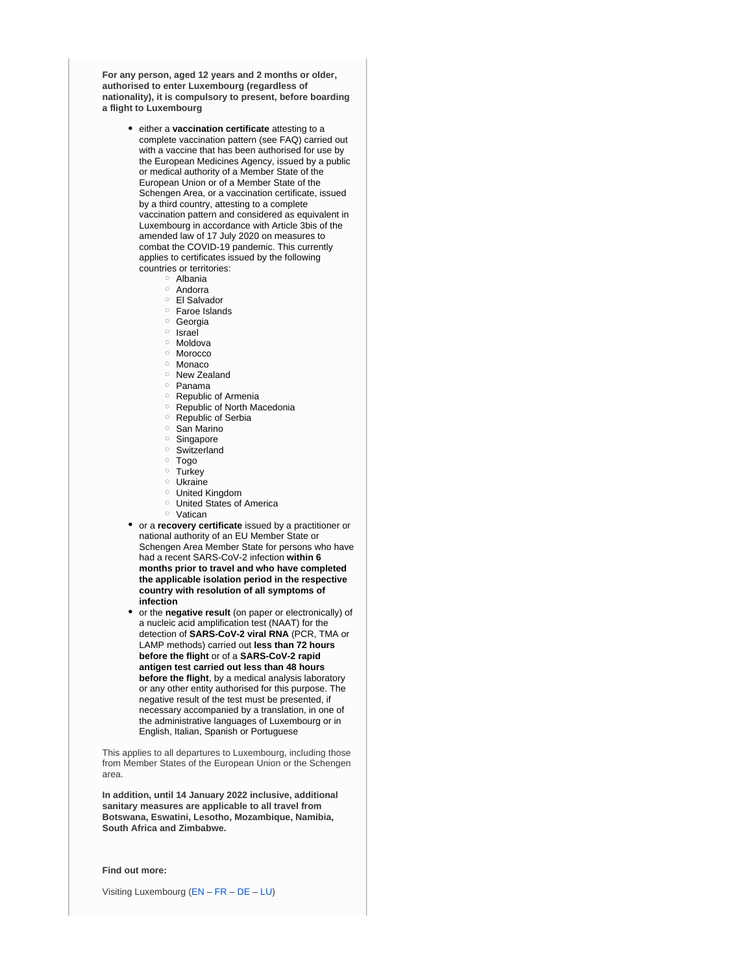**For any person, aged 12 years and 2 months or older, authorised to enter Luxembourg (regardless of nationality), it is compulsory to present, before boarding a flight to Luxembourg**

- either a **vaccination certificate** attesting to a complete vaccination pattern (see FAQ) carried out with a vaccine that has been authorised for use by the European Medicines Agency, issued by a public or medical authority of a Member State of the European Union or of a Member State of the Schengen Area, or a vaccination certificate, issued by a third country, attesting to a complete vaccination pattern and considered as equivalent in Luxembourg in accordance with Article 3bis of the amended law of 17 July 2020 on measures to combat the COVID-19 pandemic. This currently applies to certificates issued by the following countries or territories:
	- Albania
	- o Andorra
	- El Salvador
	- Faroe Islands
	- <sup>o</sup> Georgia
	- <sup>o</sup> Israel
	- o Moldova
	- o Morocco
	- <sup>o</sup> Monaco
	- <sup>o</sup> New Zealand
	- $\circ$  Panama
	- <sup>o</sup> Republic of Armenia
	- Republic of North Macedonia
	- <sup>o</sup> Republic of Serbia
	- $\circ$  San Marino
	- o Singapore
	- Switzerland
	- Togo
	- <sup>o</sup> Turkey
	- Ukraine
	-
	- United Kingdom United States of America
	-
	- o Vatican
- or a **recovery certificate** issued by a practitioner or national authority of an EU Member State or Schengen Area Member State for persons who have had a recent SARS-CoV-2 infection **within 6 months prior to travel and who have completed the applicable isolation period in the respective country with resolution of all symptoms of infection**
- or the **negative result** (on paper or electronically) of a nucleic acid amplification test (NAAT) for the detection of **SARS-CoV-2 viral RNA** (PCR, TMA or LAMP methods) carried out **less than 72 hours before the flight** or of a **SARS-CoV-2 rapid antigen test carried out less than 48 hours before the flight**, by a medical analysis laboratory or any other entity authorised for this purpose. The negative result of the test must be presented, if necessary accompanied by a translation, in one of the administrative languages of Luxembourg or in English, Italian, Spanish or Portuguese

This applies to all departures to Luxembourg, including those from Member States of the European Union or the Schengen area.

**In addition, until 14 January 2022 inclusive, additional sanitary measures are applicable to all travel from Botswana, Eswatini, Lesotho, Mozambique, Namibia, South Africa and Zimbabwe.**

**Find out more:**

Visiting Luxembourg ([EN](https://covid19.public.lu/en/travellers/visiting-luxembourg.html) – [FR](https://covid19.public.lu/fr/voyageurs/visiter-luxembourg.html) – [DE](https://covid19.public.lu/de/reisende/luxemburg-besuchen.html) – [LU](https://covid19.public.lu/lb/reesen/letzebuerg-besichen.html))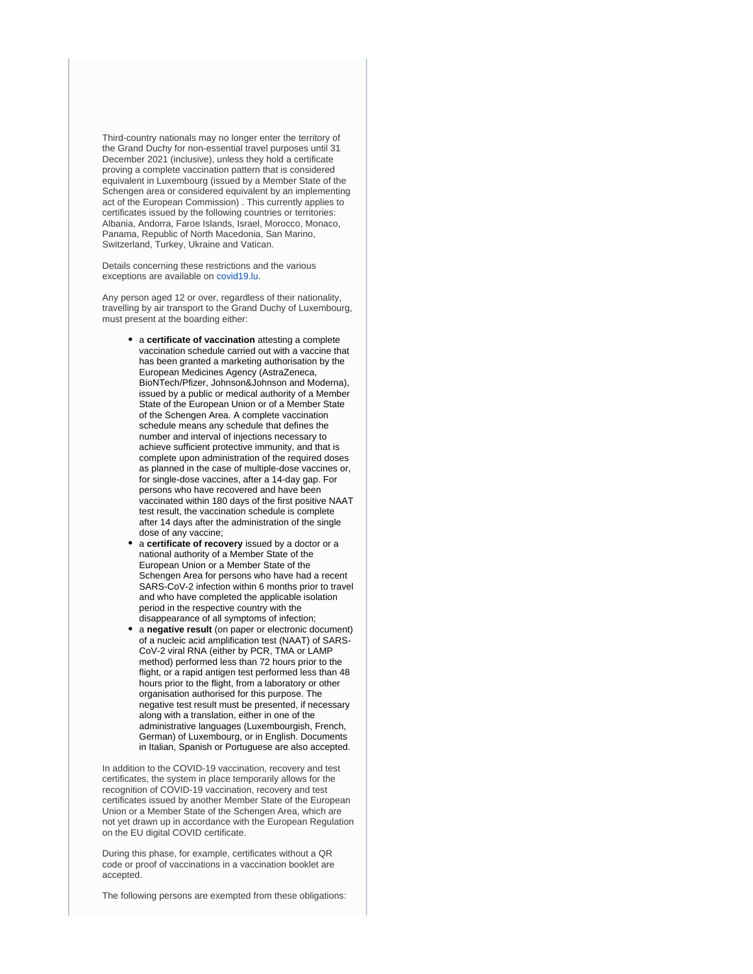Third-country nationals may no longer enter the territory of the Grand Duchy for non-essential travel purposes until 31 December 2021 (inclusive), unless they hold a certificate proving a complete vaccination pattern that is considered equivalent in Luxembourg (issued by a Member State of the Schengen area or considered equivalent by an implementing act of the European Commission) . This currently applies to certificates issued by the following countries or territories: Albania, Andorra, Faroe Islands, Israel, Morocco, Monaco, Panama, Republic of North Macedonia, San Marino, Switzerland, Turkey, Ukraine and Vatican.

Details concerning these restrictions and the various exceptions are available on [covid19.lu](https://covid19.public.lu/en.html).

Any person aged 12 or over, regardless of their nationality, travelling by air transport to the Grand Duchy of Luxembourg, must present at the boarding either:

- a **certificate of vaccination** attesting a complete vaccination schedule carried out with a vaccine that has been granted a marketing authorisation by the European Medicines Agency (AstraZeneca, BioNTech/Pfizer, Johnson&Johnson and Moderna), issued by a public or medical authority of a Member State of the European Union or of a Member State of the Schengen Area. A complete vaccination schedule means any schedule that defines the number and interval of injections necessary to achieve sufficient protective immunity, and that is complete upon administration of the required doses as planned in the case of multiple-dose vaccines or, for single-dose vaccines, after a 14-day gap. For persons who have recovered and have been vaccinated within 180 days of the first positive NAAT test result, the vaccination schedule is complete after 14 days after the administration of the single dose of any vaccine;
- a **certificate of recovery** issued by a doctor or a national authority of a Member State of the European Union or a Member State of the Schengen Area for persons who have had a recent SARS-CoV-2 infection within 6 months prior to travel and who have completed the applicable isolation period in the respective country with the disappearance of all symptoms of infection;
- a **negative result** (on paper or electronic document) of a nucleic acid amplification test (NAAT) of SARS-CoV-2 viral RNA (either by PCR, TMA or LAMP method) performed less than 72 hours prior to the flight, or a rapid antigen test performed less than 48 hours prior to the flight, from a laboratory or other organisation authorised for this purpose. The negative test result must be presented, if necessary along with a translation, either in one of the administrative languages (Luxembourgish, French, German) of Luxembourg, or in English. Documents in Italian, Spanish or Portuguese are also accepted.

In addition to the COVID-19 vaccination, recovery and test certificates, the system in place temporarily allows for the recognition of COVID-19 vaccination, recovery and test certificates issued by another Member State of the European Union or a Member State of the Schengen Area, which are not yet drawn up in accordance with the European Regulation on the EU digital COVID certificate.

During this phase, for example, certificates without a QR code or proof of vaccinations in a vaccination booklet are accepted.

The following persons are exempted from these obligations: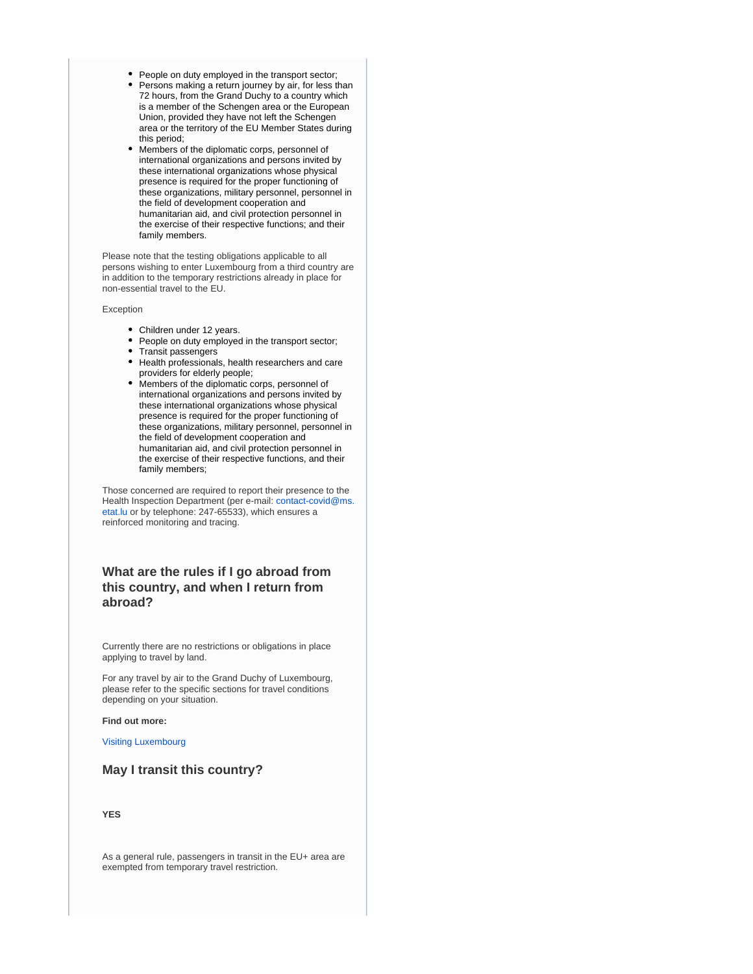- People on duty employed in the transport sector;
- Persons making a return journey by air, for less than 72 hours, from the Grand Duchy to a country which is a member of the Schengen area or the European Union, provided they have not left the Schengen area or the territory of the EU Member States during this period;
- Members of the diplomatic corps, personnel of international organizations and persons invited by these international organizations whose physical presence is required for the proper functioning of these organizations, military personnel, personnel in the field of development cooperation and humanitarian aid, and civil protection personnel in the exercise of their respective functions; and their family members.

Please note that the testing obligations applicable to all persons wishing to enter Luxembourg from a third country are in addition to the temporary restrictions already in place for non-essential travel to the EU.

Exception

- Children under 12 years.
- People on duty employed in the transport sector;
- Transit passengers
- Health professionals, health researchers and care providers for elderly people;
- Members of the diplomatic corps, personnel of international organizations and persons invited by these international organizations whose physical presence is required for the proper functioning of these organizations, military personnel, personnel in the field of development cooperation and humanitarian aid, and civil protection personnel in the exercise of their respective functions, and their family members;

Those concerned are required to report their presence to the Health Inspection Department (per e-mail: [contact-covid@ms.](mailto:contact-covid@ms.etat.lu) [etat.lu](mailto:contact-covid@ms.etat.lu) or by telephone: 247-65533), which ensures a reinforced monitoring and tracing.

# **What are the rules if I go abroad from this country, and when I return from abroad?**

Currently there are no restrictions or obligations in place applying to travel by land.

For any travel by air to the Grand Duchy of Luxembourg, please refer to the specific sections for travel conditions depending on your situation.

#### **Find out more:**

[Visiting Luxembourg](https://covid19.public.lu/en/travellers/visiting-luxembourg.html)

# **May I transit this country?**

**YES**

As a general rule, passengers in transit in the EU+ area are exempted from temporary travel restriction.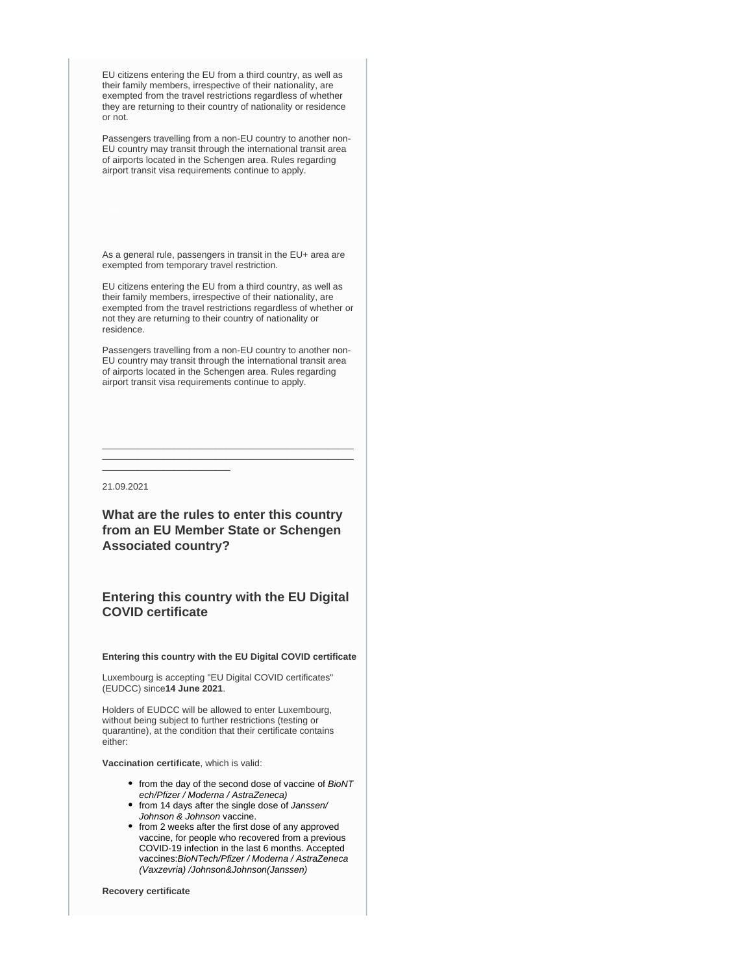EU citizens entering the EU from a third country, as well as their family members, irrespective of their nationality, are exempted from the travel restrictions regardless of whether they are returning to their country of nationality or residence or not.

Passengers travelling from a non-EU country to another non-EU country may transit through the international transit area of airports located in the Schengen area. Rules regarding airport transit visa requirements continue to apply.

As a general rule, passengers in transit in the EU+ area are exempted from temporary travel restriction.

EU citizens entering the EU from a third country, as well as their family members, irrespective of their nationality, are exempted from the travel restrictions regardless of whether or not they are returning to their country of nationality or residence.

Passengers travelling from a non-EU country to another non-EU country may transit through the international transit area of airports located in the Schengen area. Rules regarding airport transit visa requirements continue to apply.

\_\_\_\_\_\_\_\_\_\_\_\_\_\_\_\_\_\_\_\_\_\_\_\_\_\_\_\_\_\_\_\_\_\_\_\_\_\_\_\_\_\_\_\_\_\_\_\_\_ \_\_\_\_\_\_\_\_\_\_\_\_\_\_\_\_\_\_\_\_\_\_\_\_\_\_\_\_\_\_\_\_\_\_\_\_\_\_\_\_\_\_\_\_\_\_\_\_\_

21.09.2021

\_\_\_\_\_\_\_\_\_\_\_\_\_\_\_\_\_\_\_\_\_\_\_\_\_

**What are the rules to enter this country from an EU Member State or Schengen Associated country?**

# **Entering this country with the EU Digital COVID certificate**

**Entering this country with the EU Digital COVID certificate**

Luxembourg is accepting "EU Digital COVID certificates" (EUDCC) since**14 June 2021**.

Holders of EUDCC will be allowed to enter Luxembourg, without being subject to further restrictions (testing or quarantine), at the condition that their certificate contains either:

**Vaccination certificate**, which is valid:

- from the day of the second dose of vaccine of BioNT ech/Pfizer / Moderna / AstraZeneca)
- from 14 days after the single dose of Janssen/ Johnson & Johnson vaccine.
- from 2 weeks after the first dose of any approved vaccine, for people who recovered from a previous COVID-19 infection in the last 6 months. Accepted vaccines:BioNTech/Pfizer / Moderna / AstraZeneca (Vaxzevria) /Johnson&Johnson(Janssen)

**Recovery certificate**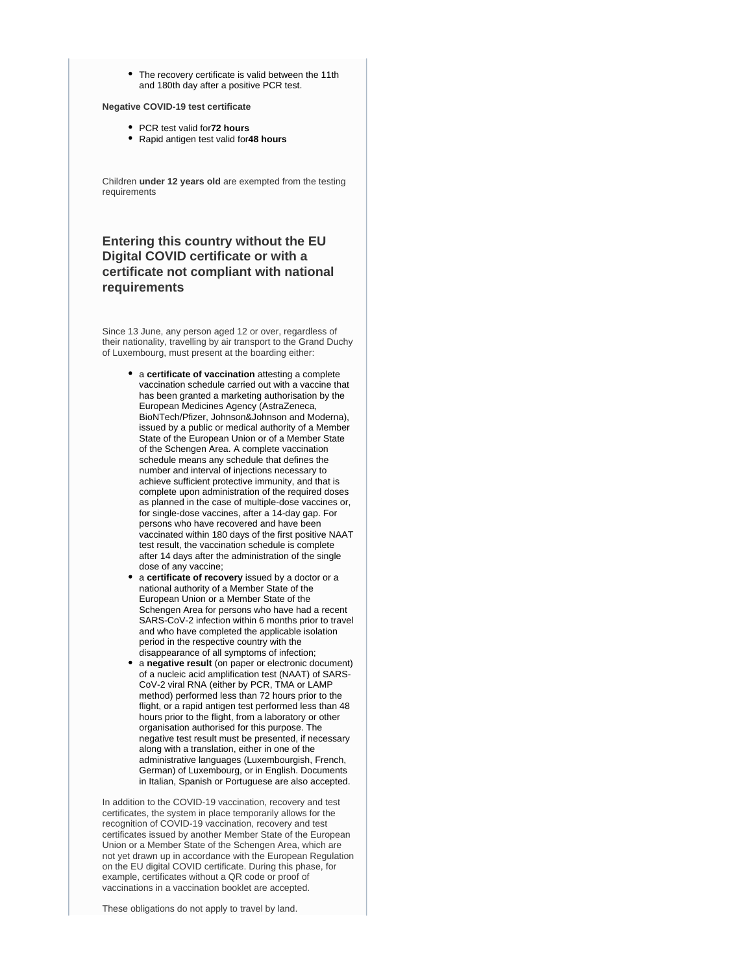• The recovery certificate is valid between the 11th and 180th day after a positive PCR test.

**Negative COVID-19 test certificate**

- PCR test valid for**72 hours**
- Rapid antigen test valid for**48 hours**

Children **under 12 years old** are exempted from the testing requirements

# **Entering this country without the EU Digital COVID certificate or with a certificate not compliant with national requirements**

Since 13 June, any person aged 12 or over, regardless of their nationality, travelling by air transport to the Grand Duchy of Luxembourg, must present at the boarding either:

- a **certificate of vaccination** attesting a complete vaccination schedule carried out with a vaccine that has been granted a marketing authorisation by the European Medicines Agency (AstraZeneca, BioNTech/Pfizer, Johnson&Johnson and Moderna), issued by a public or medical authority of a Member State of the European Union or of a Member State of the Schengen Area. A complete vaccination schedule means any schedule that defines the number and interval of injections necessary to achieve sufficient protective immunity, and that is complete upon administration of the required doses as planned in the case of multiple-dose vaccines or, for single-dose vaccines, after a 14-day gap. For persons who have recovered and have been vaccinated within 180 days of the first positive NAAT test result, the vaccination schedule is complete after 14 days after the administration of the single dose of any vaccine;
- a **certificate of recovery** issued by a doctor or a national authority of a Member State of the European Union or a Member State of the Schengen Area for persons who have had a recent SARS-CoV-2 infection within 6 months prior to travel and who have completed the applicable isolation period in the respective country with the disappearance of all symptoms of infection;
- a **negative result** (on paper or electronic document) of a nucleic acid amplification test (NAAT) of SARS-CoV-2 viral RNA (either by PCR, TMA or LAMP method) performed less than 72 hours prior to the flight, or a rapid antigen test performed less than 48 hours prior to the flight, from a laboratory or other organisation authorised for this purpose. The negative test result must be presented, if necessary along with a translation, either in one of the administrative languages (Luxembourgish, French, German) of Luxembourg, or in English. Documents in Italian, Spanish or Portuguese are also accepted.

In addition to the COVID-19 vaccination, recovery and test certificates, the system in place temporarily allows for the recognition of COVID-19 vaccination, recovery and test certificates issued by another Member State of the European Union or a Member State of the Schengen Area, which are not yet drawn up in accordance with the European Regulation on the EU digital COVID certificate. During this phase, for example, certificates without a QR code or proof of vaccinations in a vaccination booklet are accepted.

These obligations do not apply to travel by land.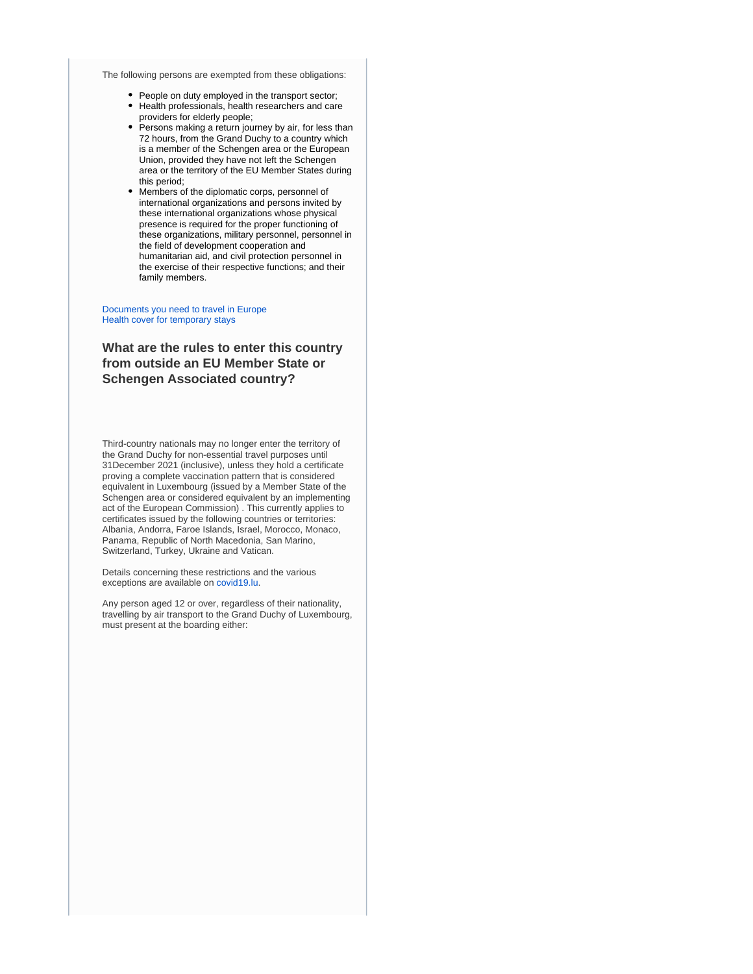The following persons are exempted from these obligations:

- People on duty employed in the transport sector;
- Health professionals, health researchers and care providers for elderly people;
- Persons making a return journey by air, for less than 72 hours, from the Grand Duchy to a country which is a member of the Schengen area or the European Union, provided they have not left the Schengen area or the territory of the EU Member States during this period;
- $\bullet$ Members of the diplomatic corps, personnel of international organizations and persons invited by these international organizations whose physical presence is required for the proper functioning of these organizations, military personnel, personnel in the field of development cooperation and humanitarian aid, and civil protection personnel in the exercise of their respective functions; and their family members.

#### [Documents you need to travel in Europe](https://europa.eu/youreurope/citizens/travel/entry-exit/index_en.htm) [Health cover for temporary stays](https://europa.eu/youreurope/citizens/health/unplanned-healthcare/temporary-stays/index_en.htm)

# **What are the rules to enter this country from outside an EU Member State or Schengen Associated country?**

Third-country nationals may no longer enter the territory of the Grand Duchy for non-essential travel purposes until 31December 2021 (inclusive), unless they hold a certificate proving a complete vaccination pattern that is considered equivalent in Luxembourg (issued by a Member State of the Schengen area or considered equivalent by an implementing act of the European Commission) . This currently applies to certificates issued by the following countries or territories: Albania, Andorra, Faroe Islands, Israel, Morocco, Monaco, Panama, Republic of North Macedonia, San Marino, Switzerland, Turkey, Ukraine and Vatican.

Details concerning these restrictions and the various exceptions are available on [covid19.lu](https://covid19.public.lu/en.html).

Any person aged 12 or over, regardless of their nationality, travelling by air transport to the Grand Duchy of Luxembourg, must present at the boarding either: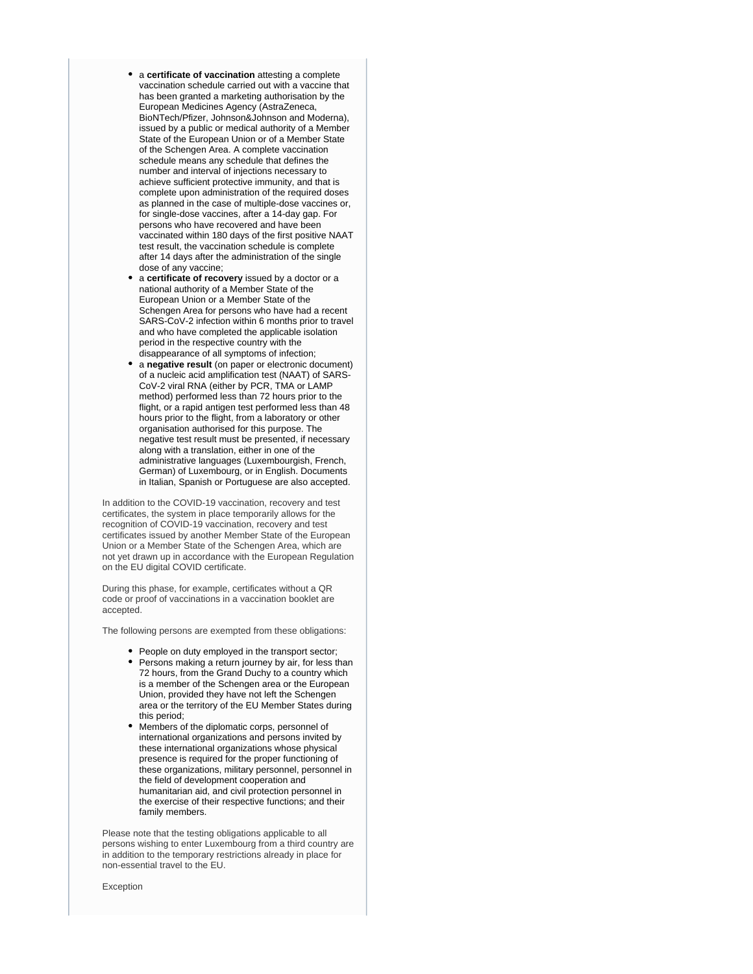- a **certificate of vaccination** attesting a complete vaccination schedule carried out with a vaccine that has been granted a marketing authorisation by the European Medicines Agency (AstraZeneca, BioNTech/Pfizer, Johnson&Johnson and Moderna), issued by a public or medical authority of a Member State of the European Union or of a Member State of the Schengen Area. A complete vaccination schedule means any schedule that defines the number and interval of injections necessary to achieve sufficient protective immunity, and that is complete upon administration of the required doses as planned in the case of multiple-dose vaccines or, for single-dose vaccines, after a 14-day gap. For persons who have recovered and have been vaccinated within 180 days of the first positive NAAT test result, the vaccination schedule is complete after 14 days after the administration of the single dose of any vaccine;
- a **certificate of recovery** issued by a doctor or a national authority of a Member State of the European Union or a Member State of the Schengen Area for persons who have had a recent SARS-CoV-2 infection within 6 months prior to travel and who have completed the applicable isolation period in the respective country with the disappearance of all symptoms of infection;
- a **negative result** (on paper or electronic document) of a nucleic acid amplification test (NAAT) of SARS-CoV-2 viral RNA (either by PCR, TMA or LAMP method) performed less than 72 hours prior to the flight, or a rapid antigen test performed less than 48 hours prior to the flight, from a laboratory or other organisation authorised for this purpose. The negative test result must be presented, if necessary along with a translation, either in one of the administrative languages (Luxembourgish, French, German) of Luxembourg, or in English. Documents in Italian, Spanish or Portuguese are also accepted.

In addition to the COVID-19 vaccination, recovery and test certificates, the system in place temporarily allows for the recognition of COVID-19 vaccination, recovery and test certificates issued by another Member State of the European Union or a Member State of the Schengen Area, which are not yet drawn up in accordance with the European Regulation on the EU digital COVID certificate.

During this phase, for example, certificates without a QR code or proof of vaccinations in a vaccination booklet are accepted.

The following persons are exempted from these obligations:

- People on duty employed in the transport sector;
- Persons making a return journey by air, for less than 72 hours, from the Grand Duchy to a country which is a member of the Schengen area or the European Union, provided they have not left the Schengen area or the territory of the EU Member States during this period;
- Members of the diplomatic corps, personnel of international organizations and persons invited by these international organizations whose physical presence is required for the proper functioning of these organizations, military personnel, personnel in the field of development cooperation and humanitarian aid, and civil protection personnel in the exercise of their respective functions; and their family members.

Please note that the testing obligations applicable to all persons wishing to enter Luxembourg from a third country are in addition to the temporary restrictions already in place for non-essential travel to the EU.

Exception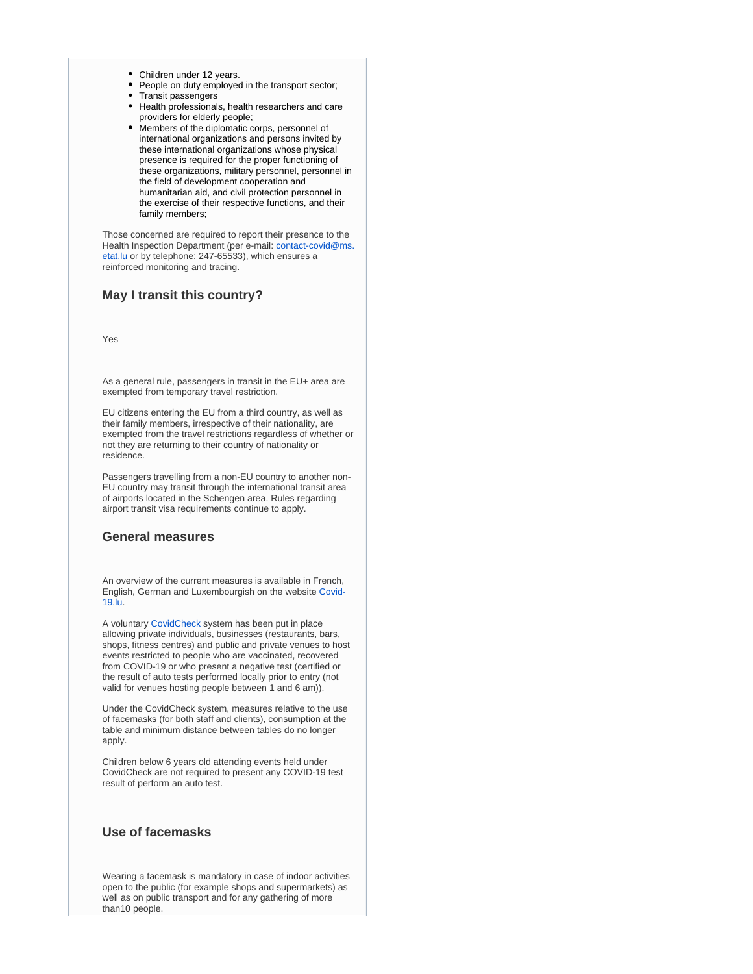- Children under 12 years.
- People on duty employed in the transport sector;
- Transit passengers
- Health professionals, health researchers and care providers for elderly people;
- Members of the diplomatic corps, personnel of international organizations and persons invited by these international organizations whose physical presence is required for the proper functioning of these organizations, military personnel, personnel in the field of development cooperation and humanitarian aid, and civil protection personnel in the exercise of their respective functions, and their family members;

Those concerned are required to report their presence to the Health Inspection Department (per e-mail: [contact-covid@ms.](mailto:contact-covid@ms.etat.lu) [etat.lu](mailto:contact-covid@ms.etat.lu) or by telephone: 247-65533), which ensures a reinforced monitoring and tracing.

### **May I transit this country?**

Yes

As a general rule, passengers in transit in the EU+ area are exempted from temporary travel restriction.

EU citizens entering the EU from a third country, as well as their family members, irrespective of their nationality, are exempted from the travel restrictions regardless of whether or not they are returning to their country of nationality or residence.

Passengers travelling from a non-EU country to another non-EU country may transit through the international transit area of airports located in the Schengen area. Rules regarding airport transit visa requirements continue to apply.

### **General measures**

An overview of the current measures is available in French, English, German and Luxembourgish on the website [Covid-](https://covid19.public.lu/)[19.lu.](https://covid19.public.lu/)

A voluntary [CovidCheck](https://covid19.public.lu/fr/covidcheck/regime.html) system has been put in place allowing private individuals, businesses (restaurants, bars, shops, fitness centres) and public and private venues to host events restricted to people who are vaccinated, recovered from COVID-19 or who present a negative test (certified or the result of auto tests performed locally prior to entry (not valid for venues hosting people between 1 and 6 am)).

Under the CovidCheck system, measures relative to the use of facemasks (for both staff and clients), consumption at the table and minimum distance between tables do no longer apply.

Children below 6 years old attending events held under CovidCheck are not required to present any COVID-19 test result of perform an auto test.

# **Use of facemasks**

Wearing a facemask is mandatory in case of indoor activities open to the public (for example shops and supermarkets) as well as on public transport and for any gathering of more than10 people.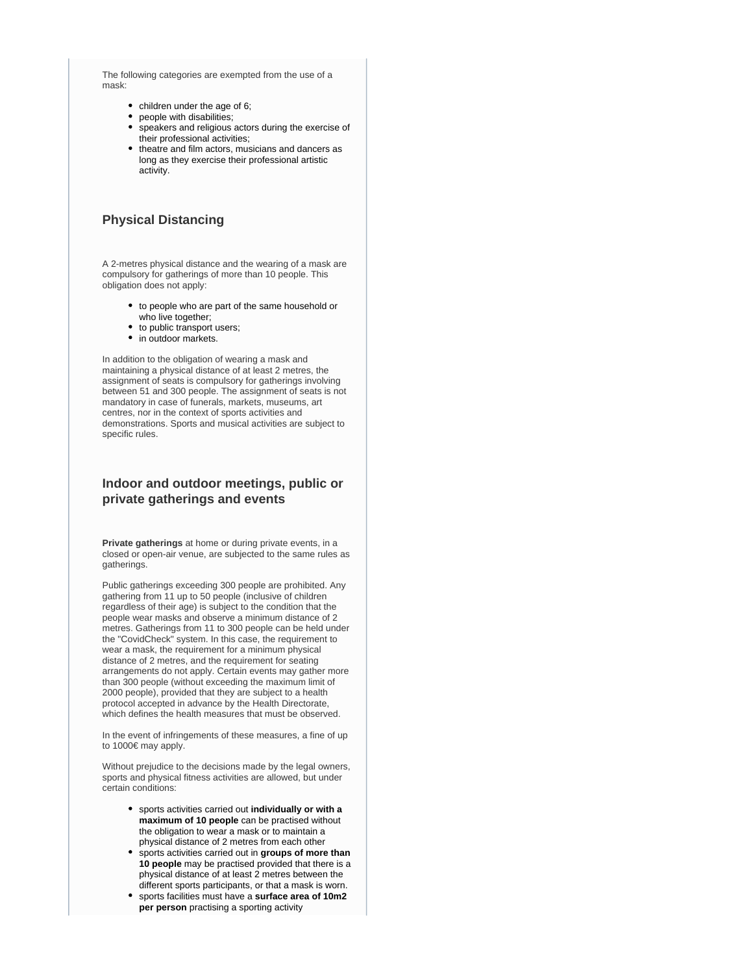The following categories are exempted from the use of a mask:

- children under the age of 6;
- people with disabilities;
- speakers and religious actors during the exercise of their professional activities;
- theatre and film actors, musicians and dancers as long as they exercise their professional artistic activity.

# **Physical Distancing**

A 2-metres physical distance and the wearing of a mask are compulsory for gatherings of more than 10 people. This obligation does not apply:

- to people who are part of the same household or who live together;
- to public transport users;
- in outdoor markets.

In addition to the obligation of wearing a mask and maintaining a physical distance of at least 2 metres, the assignment of seats is compulsory for gatherings involving between 51 and 300 people. The assignment of seats is not mandatory in case of funerals, markets, museums, art centres, nor in the context of sports activities and demonstrations. Sports and musical activities are subject to specific rules.

# **Indoor and outdoor meetings, public or private gatherings and events**

**Private gatherings** at home or during private events, in a closed or open-air venue, are subjected to the same rules as gatherings.

Public gatherings exceeding 300 people are prohibited. Any gathering from 11 up to 50 people (inclusive of children regardless of their age) is subject to the condition that the people wear masks and observe a minimum distance of 2 metres. Gatherings from 11 to 300 people can be held under the "CovidCheck" system. In this case, the requirement to wear a mask, the requirement for a minimum physical distance of 2 metres, and the requirement for seating arrangements do not apply. Certain events may gather more than 300 people (without exceeding the maximum limit of 2000 people), provided that they are subject to a health protocol accepted in advance by the Health Directorate, which defines the health measures that must be observed.

In the event of infringements of these measures, a fine of up to 1000€ may apply.

Without prejudice to the decisions made by the legal owners, sports and physical fitness activities are allowed, but under certain conditions:

- sports activities carried out **individually or with a maximum of 10 people** can be practised without the obligation to wear a mask or to maintain a physical distance of 2 metres from each other
- sports activities carried out in **groups of more than 10 people** may be practised provided that there is a physical distance of at least 2 metres between the different sports participants, or that a mask is worn.
- sports facilities must have a **surface area of 10m2 per person** practising a sporting activity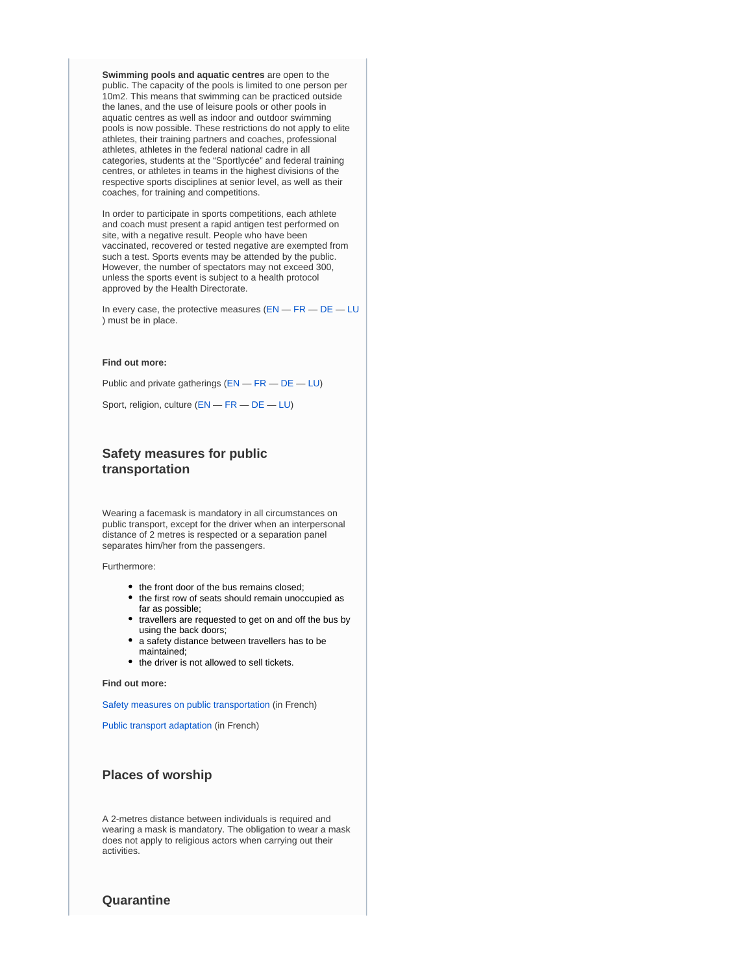**Swimming pools and aquatic centres** are open to the public. The capacity of the pools is limited to one person per 10m2. This means that swimming can be practiced outside the lanes, and the use of leisure pools or other pools in aquatic centres as well as indoor and outdoor swimming pools is now possible. These restrictions do not apply to elite athletes, their training partners and coaches, professional athletes, athletes in the federal national cadre in all categories, students at the "Sportlycée" and federal training centres, or athletes in teams in the highest divisions of the respective sports disciplines at senior level, as well as their coaches, for training and competitions.

In order to participate in sports competitions, each athlete and coach must present a rapid antigen test performed on site, with a negative result. People who have been vaccinated, recovered or tested negative are exempted from such a test. Sports events may be attended by the public. However, the number of spectators may not exceed 300, unless the sports event is subject to a health protocol approved by the Health Directorate.

In every case, the protective measures ([EN](https://covid19.public.lu/en/health-protection/protective-measures.html) — [FR](https://covid19.public.lu/fr/sante-protection/gestes-barriere.html) — [DE](https://covid19.public.lu/de/gesundheit-schutz/barrieremassnahmen.html) — [LU](https://covid19.public.lu/lb/gesondheet-protektioun/geste-barrieren.html) ) must be in place.

#### **Find out more:**

Public and private gatherings ([EN](https://covid19.public.lu/en/sanitary-measures/gatherings.html) — [FR](https://covid19.public.lu/fr/mesures-sanitaires-en-vigueur/rassemblements.html) — [DE](https://covid19.public.lu/de/hygienemassnahmen/versammlungen.html) — [LU](https://covid19.public.lu/lb/sanitaer-mesuren/versammlungen.html))

Sport, religion, culture ([EN](https://covid19.public.lu/en/sanitary-measures/sport-religion-culture.html) — [FR](https://covid19.public.lu/fr/mesures-sanitaires-en-vigueur/sports-cultes-culture.html) — [DE](https://covid19.public.lu/de/hygienemassnahmen/sport-kultus-kultur.html) — [LU](https://covid19.public.lu/lb/sanitaer-mesuren/sport-kultus-kultur.html))

# **Safety measures for public transportation**

Wearing a facemask is mandatory in all circumstances on public transport, except for the driver when an interpersonal distance of 2 metres is respected or a separation panel separates him/her from the passengers.

Furthermore:

- the front door of the bus remains closed;
- the first row of seats should remain unoccupied as far as possible;
- travellers are requested to get on and off the bus by using the back doors;
- a safety distance between travellers has to be maintained;
- the driver is not allowed to sell tickets.

#### **Find out more:**

[Safety measures on public transportation](https://transports.public.lu/fr/actualites/2020/04-avril-16-covid-19-mesures-transports-publics.html) (in French)

[Public transport adaptation](https://transports.public.lu/fr/actualites/2020/03-mars-covid-19-transports-modifications-mesures-coronavirus.html) (in French)

# **Places of worship**

A 2-metres distance between individuals is required and wearing a mask is mandatory. The obligation to wear a mask does not apply to religious actors when carrying out their activities.

### **Quarantine**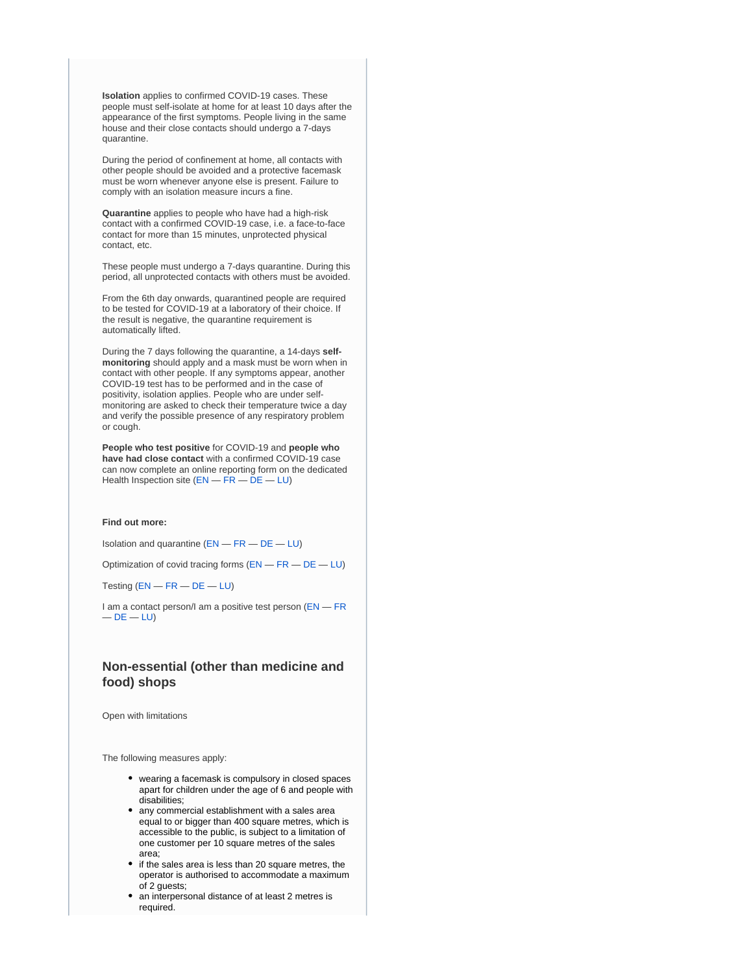**Isolation** applies to confirmed COVID-19 cases. These people must self-isolate at home for at least 10 days after the appearance of the first symptoms. People living in the same house and their close contacts should undergo a 7-days quarantine.

During the period of confinement at home, all contacts with other people should be avoided and a protective facemask must be worn whenever anyone else is present. Failure to comply with an isolation measure incurs a fine.

**Quarantine** applies to people who have had a high-risk contact with a confirmed COVID-19 case, i.e. a face-to-face contact for more than 15 minutes, unprotected physical contact, etc.

These people must undergo a 7-days quarantine. During this period, all unprotected contacts with others must be avoided.

From the 6th day onwards, quarantined people are required to be tested for COVID-19 at a laboratory of their choice. If the result is negative, the quarantine requirement is automatically lifted.

During the 7 days following the quarantine, a 14-days **selfmonitoring** should apply and a mask must be worn when in contact with other people. If any symptoms appear, another COVID-19 test has to be performed and in the case of positivity, isolation applies. People who are under selfmonitoring are asked to check their temperature twice a day and verify the possible presence of any respiratory problem or cough.

**People who test positive** for COVID-19 and **people who have had close contact** with a confirmed COVID-19 case can now complete an online reporting form on the dedicated Health Inspection site ([EN](https://covidtracing.public.lu/covid) — [FR](https://covidtracing.public.lu/covid) — [DE](https://covidtracing.public.lu/covid) — [LU](https://covidtracing.public.lu/covid))

#### **Find out more:**

Isolation and quarantine ([EN](https://covid19.public.lu/en/health-protection/isolation-quarantine-treatment.html) — [FR](https://covid19.public.lu/fr/sante-protection/quarantaine-isolement-traitement.html) — [DE](https://covid19.public.lu/de/gesundheit-schutz/isolation-quarantaene-behandlung.html) — [LU](https://covid19.public.lu/lb/gesondheet-protektioun/isolatioun-quarantan-behandlung.html))

Optimization of covid tracing forms ([EN](https://covid19.public.lu/en/news-covid19/communiques/2020/11/07-optimisation-covid-tracing.html) — [FR](https://covid19.public.lu/fr/actualite-covid-19/communiques/2020/11/07-covid-tracing.html) — [DE](https://covid19.public.lu/de/aktuelles-covid19/communiques/2020/11/07-optimierung-covid-tracing.html) — [LU](https://covid19.public.lu/lb/aktuelles-covid19/communiques/2020/11/07-optimiseierung-covid-tracing.html))

Testing [\(EN](https://covid19.public.lu/en/testing.html) — [FR](https://covid19.public.lu/fr/testing.html) — [DE](https://covid19.public.lu/de/testing.html) — [LU\)](https://covid19.public.lu/lb/testing.html)

I am a contact person/I am a positive test person ([EN](https://covid19.public.lu/en/positiv-contact-person.html) - [FR](https://covid19.public.lu/fr/personne-contact-positive.html)  $-$  [DE](https://covid19.public.lu/de/kontakt-positive-person.html)  $-$  [LU\)](https://covid19.public.lu/lb/positiv-kontakt-persoun.html)

# **Non-essential (other than medicine and food) shops**

Open with limitations

The following measures apply:

- wearing a facemask is compulsory in closed spaces apart for children under the age of 6 and people with disabilities;
- any commercial establishment with a sales area equal to or bigger than 400 square metres, which is accessible to the public, is subject to a limitation of one customer per 10 square metres of the sales area;
- if the sales area is less than 20 square metres, the operator is authorised to accommodate a maximum of 2 guests;
- an interpersonal distance of at least 2 metres is required.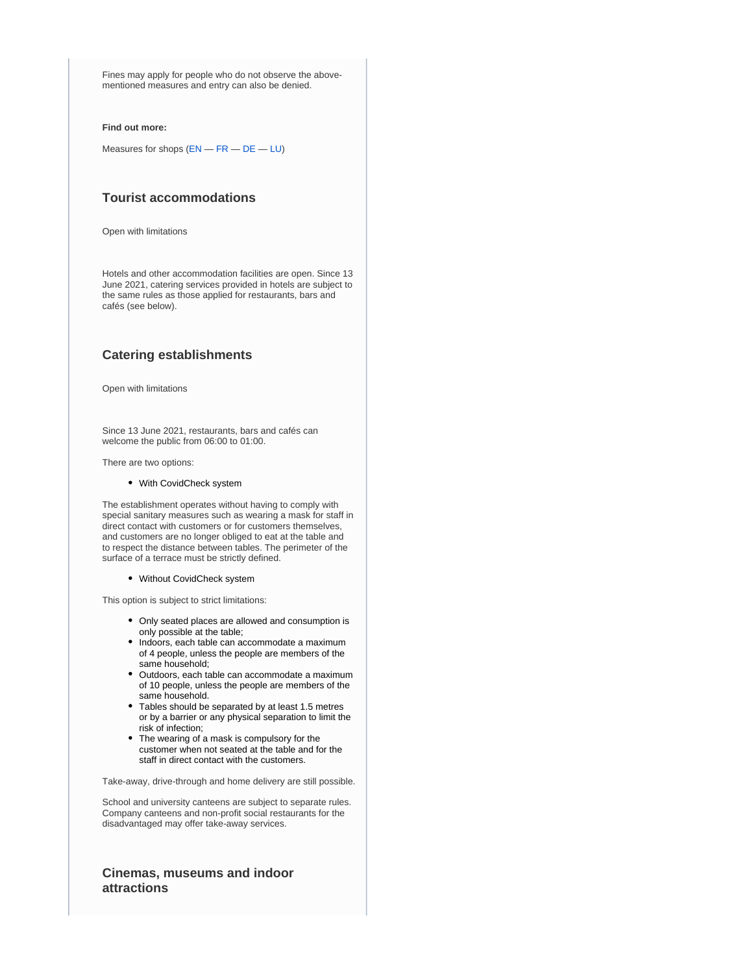Fines may apply for people who do not observe the abovementioned measures and entry can also be denied.

#### **Find out more:**

Measures for shops ([EN](https://covid19.public.lu/en/sanitary-measures/shops.html) — [FR](https://covid19.public.lu/fr/mesures-sanitaires-en-vigueur/commerces.html) — [DE](https://covid19.public.lu/de/hygienemassnahmen/geschaefte.html) — [LU](https://covid19.public.lu/lb/sanitaer-mesuren/geschaefter.html))

# **Tourist accommodations**

Open with limitations

Hotels and other accommodation facilities are open. Since 13 June 2021, catering services provided in hotels are subject to the same rules as those applied for restaurants, bars and cafés (see below).

# **Catering establishments**

Open with limitations

Since 13 June 2021, restaurants, bars and cafés can welcome the public from 06:00 to 01:00.

There are two options:

#### With CovidCheck system

The establishment operates without having to comply with special sanitary measures such as wearing a mask for staff in direct contact with customers or for customers themselves, and customers are no longer obliged to eat at the table and to respect the distance between tables. The perimeter of the surface of a terrace must be strictly defined.

#### Without CovidCheck system

This option is subject to strict limitations:

- Only seated places are allowed and consumption is only possible at the table;
- Indoors, each table can accommodate a maximum of 4 people, unless the people are members of the same household;
- Outdoors, each table can accommodate a maximum of 10 people, unless the people are members of the same household.
- Tables should be separated by at least 1.5 metres or by a barrier or any physical separation to limit the risk of infection;
- The wearing of a mask is compulsory for the customer when not seated at the table and for the staff in direct contact with the customers.

Take-away, drive-through and home delivery are still possible.

School and university canteens are subject to separate rules. Company canteens and non-profit social restaurants for the disadvantaged may offer take-away services.

# **Cinemas, museums and indoor attractions**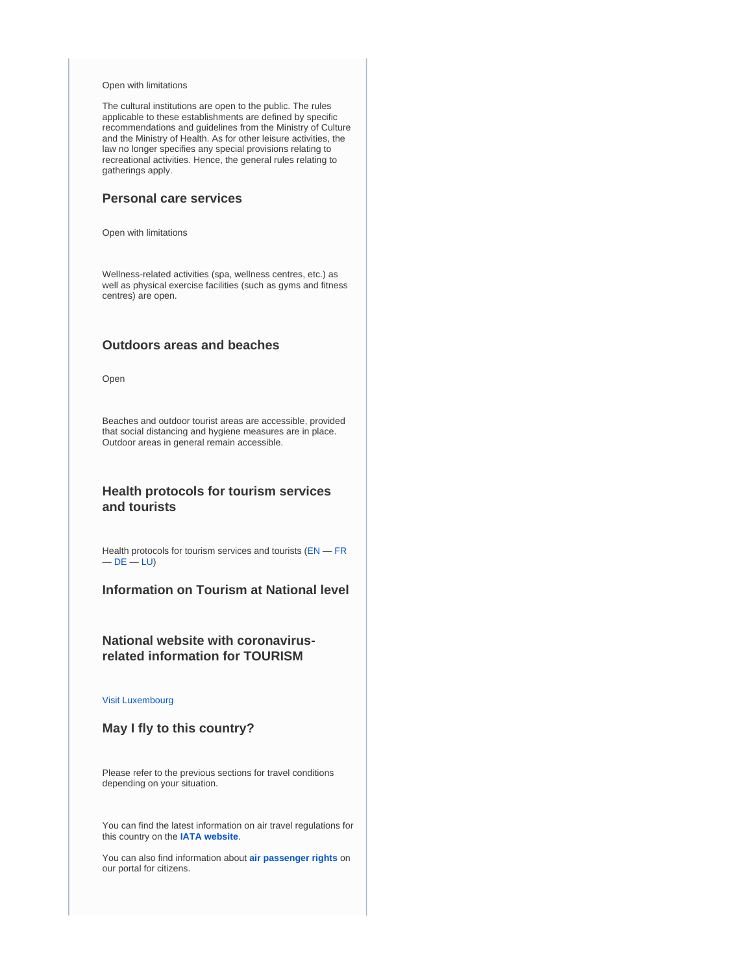#### Open with limitations

The cultural institutions are open to the public. The rules applicable to these establishments are defined by specific recommendations and guidelines from the Ministry of Culture and the Ministry of Health. As for other leisure activities, the law no longer specifies any special provisions relating to recreational activities. Hence, the general rules relating to gatherings apply.

### **Personal care services**

Open with limitations

Wellness-related activities (spa, wellness centres, etc.) as well as physical exercise facilities (such as gyms and fitness centres) are open.

### **Outdoors areas and beaches**

Open

Beaches and outdoor tourist areas are accessible, provided that social distancing and hygiene measures are in place. Outdoor areas in general remain accessible.

# **Health protocols for tourism services and tourists**

Health protocols for tourism services and tourists ([EN](https://covid19.public.lu/en.html) — [FR](https://covid19.public.lu/fr.html)  $-$  [DE](https://covid19.public.lu/de.html)  $-$  [LU\)](https://covid19.public.lu/lb.html)

**Information on Tourism at National level**

# **National website with coronavirusrelated information for TOURISM**

[Visit Luxembourg](https://www.visitluxembourg.com/en)

## **May I fly to this country?**

Please refer to the previous sections for travel conditions depending on your situation.

You can find the latest information on air travel regulations for this country on the **[IATA website](https://www.iatatravelcentre.com/international-travel-document-news/1580226297.htm)**.

You can also find information about **[air passenger rights](https://europa.eu/youreurope/citizens/travel/passenger-rights/air/index_en.htm)** on our portal for citizens.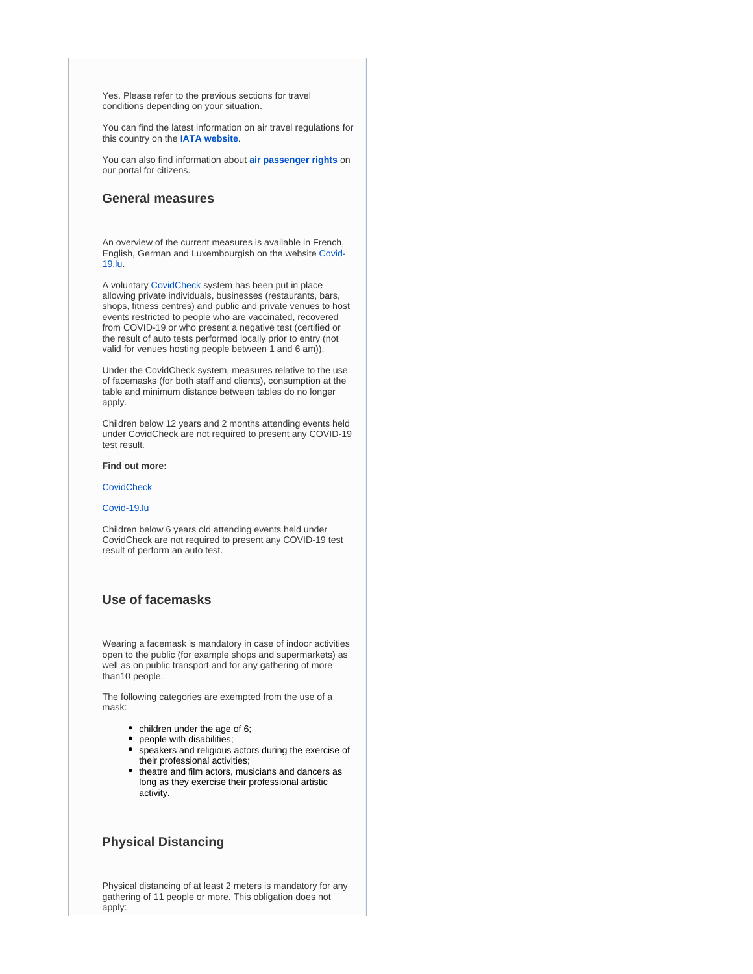Yes. Please refer to the previous sections for travel conditions depending on your situation.

You can find the latest information on air travel regulations for this country on the **[IATA website](https://www.iatatravelcentre.com/international-travel-document-news/1580226297.htm)**.

You can also find information about **[air passenger rights](https://europa.eu/youreurope/citizens/travel/passenger-rights/air/index_en.htm)** on our portal for citizens.

### **General measures**

An overview of the current measures is available in French, English, German and Luxembourgish on the website [Covid-](https://covid19.public.lu/)[19.lu.](https://covid19.public.lu/)

A voluntary [CovidCheck](https://covid19.public.lu/fr/covidcheck/regime.html) system has been put in place allowing private individuals, businesses (restaurants, bars, shops, fitness centres) and public and private venues to host events restricted to people who are vaccinated, recovered from COVID-19 or who present a negative test (certified or the result of auto tests performed locally prior to entry (not valid for venues hosting people between 1 and 6 am)).

Under the CovidCheck system, measures relative to the use of facemasks (for both staff and clients), consumption at the table and minimum distance between tables do no longer apply.

Children below 12 years and 2 months attending events held under CovidCheck are not required to present any COVID-19 test result.

#### **Find out more:**

**[CovidCheck](https://covid19.public.lu/en/covidcheck.html)** 

#### [Covid-19.lu](https://covid19.public.lu/)

Children below 6 years old attending events held under CovidCheck are not required to present any COVID-19 test result of perform an auto test.

### **Use of facemasks**

Wearing a facemask is mandatory in case of indoor activities open to the public (for example shops and supermarkets) as well as on public transport and for any gathering of more than10 people.

The following categories are exempted from the use of a mask:

- children under the age of 6;
- people with disabilities;
- speakers and religious actors during the exercise of their professional activities;
- theatre and film actors, musicians and dancers as long as they exercise their professional artistic activity.

### **Physical Distancing**

Physical distancing of at least 2 meters is mandatory for any gathering of 11 people or more. This obligation does not apply: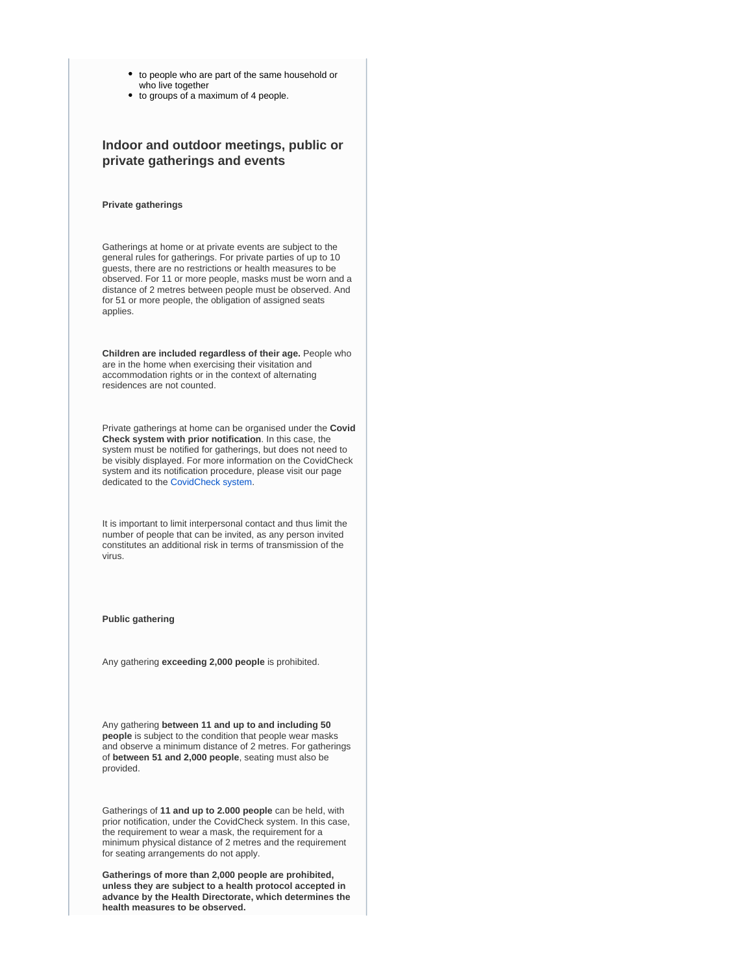- to people who are part of the same household or who live together
- to groups of a maximum of 4 people.

# **Indoor and outdoor meetings, public or private gatherings and events**

#### **Private gatherings**

Gatherings at home or at private events are subject to the general rules for gatherings. For private parties of up to 10 guests, there are no restrictions or health measures to be observed. For 11 or more people, masks must be worn and a distance of 2 metres between people must be observed. And for 51 or more people, the obligation of assigned seats applies.

**Children are included regardless of their age.** People who are in the home when exercising their visitation and accommodation rights or in the context of alternating residences are not counted.

Private gatherings at home can be organised under the **Covid Check system with prior notification**. In this case, the system must be notified for gatherings, but does not need to be visibly displayed. For more information on the CovidCheck system and its notification procedure, please visit our page dedicated to the [CovidCheck system](https://covid19.public.lu/en/covidcheck/system.html).

It is important to limit interpersonal contact and thus limit the number of people that can be invited, as any person invited constitutes an additional risk in terms of transmission of the virus.

#### **Public gathering**

Any gathering **exceeding 2,000 people** is prohibited.

Any gathering **between 11 and up to and including 50 people** is subject to the condition that people wear masks and observe a minimum distance of 2 metres. For gatherings of **between 51 and 2,000 people**, seating must also be provided.

Gatherings of **11 and up to 2.000 people** can be held, with prior notification, under the CovidCheck system. In this case, the requirement to wear a mask, the requirement for a minimum physical distance of 2 metres and the requirement for seating arrangements do not apply.

**Gatherings of more than 2,000 people are prohibited, unless they are subject to a health protocol accepted in advance by the Health Directorate, which determines the health measures to be observed.**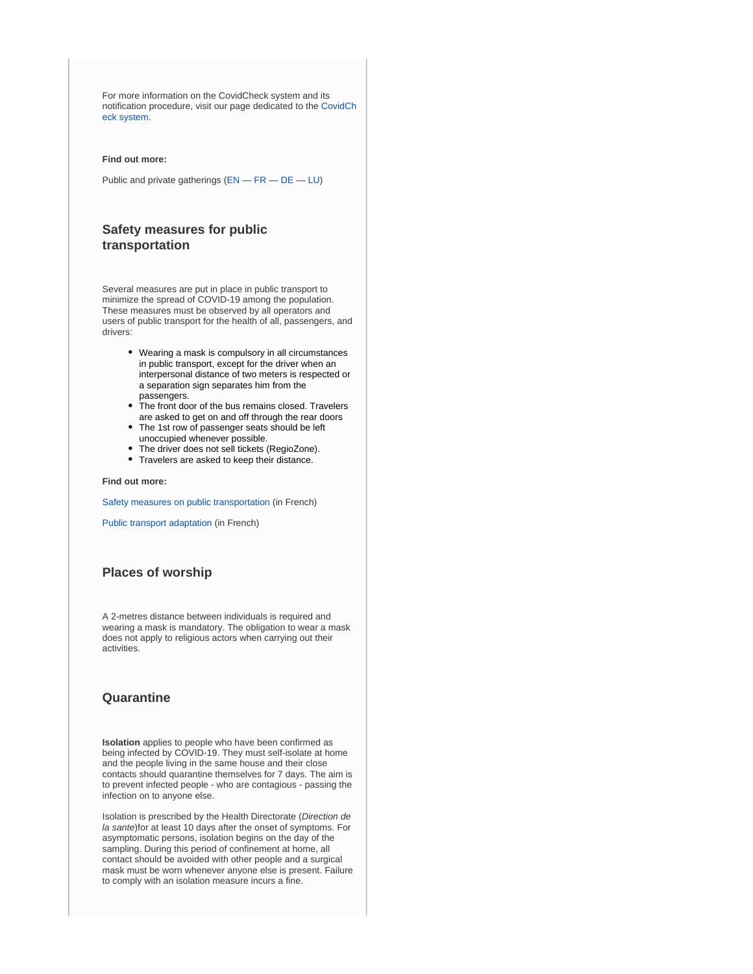For more information on the CovidCheck system and its notification procedure, visit our page dedicated to the [CovidCh](https://covid19.public.lu/en/covidcheck/system.html) [eck system.](https://covid19.public.lu/en/covidcheck/system.html)

#### **Find out more:**

Public and private gatherings ([EN](https://covid19.public.lu/en/sanitary-measures/gatherings.html) — [FR](https://covid19.public.lu/fr/mesures-sanitaires-en-vigueur/rassemblements.html) — [DE](https://covid19.public.lu/de/hygienemassnahmen/versammlungen.html) — [LU](https://covid19.public.lu/lb/sanitaer-mesuren/versammlungen.html))

### **Safety measures for public transportation**

Several measures are put in place in public transport to minimize the spread of COVID-19 among the population. These measures must be observed by all operators and users of public transport for the health of all, passengers, and drivers:

- Wearing a mask is compulsory in all circumstances in public transport, except for the driver when an interpersonal distance of two meters is respected or a separation sign separates him from the passengers.
- The front door of the bus remains closed. Travelers are asked to get on and off through the rear doors
- The 1st row of passenger seats should be left unoccupied whenever possible.
- The driver does not sell tickets (RegioZone).
- Travelers are asked to keep their distance.

**Find out more:**

[Safety measures on public transportation](https://covid19.public.lu/fr/mesures-sanitaires-en-vigueur/transports-publics.html) (in French)

[Public transport adaptation](https://transports.public.lu/fr/actualites/2020/03-mars-covid-19-transports-modifications-mesures-coronavirus.html) (in French)

# **Places of worship**

A 2-metres distance between individuals is required and wearing a mask is mandatory. The obligation to wear a mask does not apply to religious actors when carrying out their activities.

## **Quarantine**

**Isolation** applies to people who have been confirmed as being infected by COVID-19. They must self-isolate at home and the people living in the same house and their close contacts should quarantine themselves for 7 days. The aim is to prevent infected people - who are contagious - passing the infection on to anyone else.

Isolation is prescribed by the Health Directorate (Direction de la sante)for at least 10 days after the onset of symptoms. For asymptomatic persons, isolation begins on the day of the sampling. During this period of confinement at home, all contact should be avoided with other people and a surgical mask must be worn whenever anyone else is present. Failure to comply with an isolation measure incurs a fine.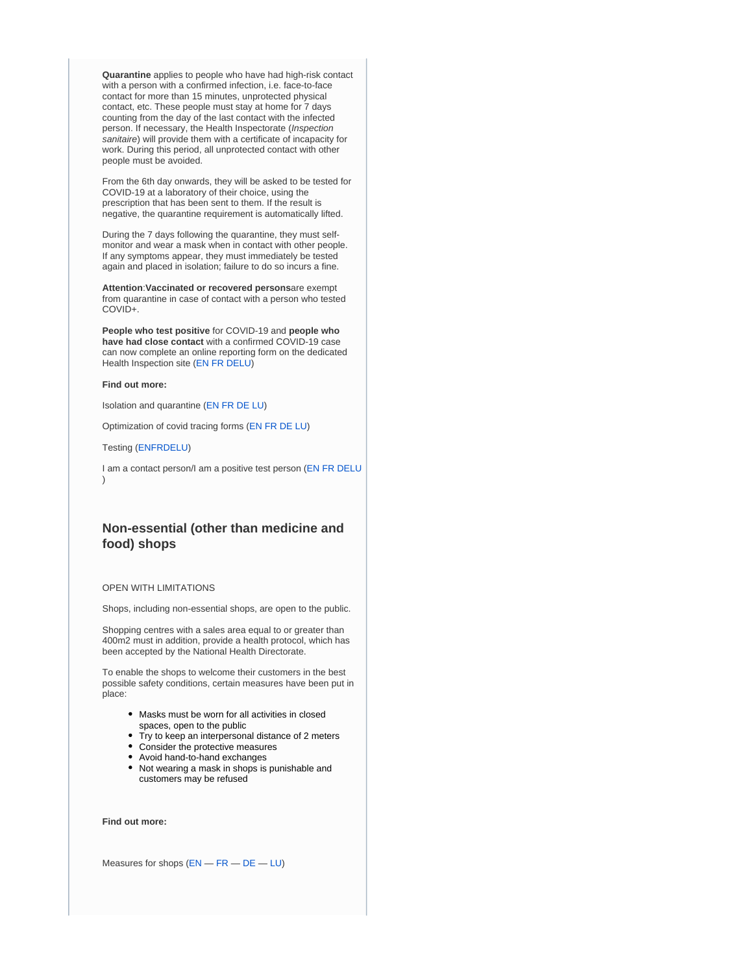**Quarantine** applies to people who have had high-risk contact with a person with a confirmed infection, i.e. face-to-face contact for more than 15 minutes, unprotected physical contact, etc. These people must stay at home for 7 days counting from the day of the last contact with the infected person. If necessary, the Health Inspectorate (Inspection sanitaire) will provide them with a certificate of incapacity for work. During this period, all unprotected contact with other people must be avoided.

From the 6th day onwards, they will be asked to be tested for COVID-19 at a laboratory of their choice, using the prescription that has been sent to them. If the result is negative, the quarantine requirement is automatically lifted.

During the 7 days following the quarantine, they must selfmonitor and wear a mask when in contact with other people. If any symptoms appear, they must immediately be tested again and placed in isolation; failure to do so incurs a fine.

**Attention**:**Vaccinated or recovered persons**are exempt from quarantine in case of contact with a person who tested COVID+.

**People who test positive** for COVID-19 and **people who have had close contact** with a confirmed COVID-19 case can now complete an online reporting form on the dedicated Health Inspection site ([EN](https://covidtracing.public.lu/home) [FR](https://covidtracing.public.lu/home) [DELU](https://covidtracing.public.lu/covid))

#### **Find out more:**

Isolation and quarantine ([EN](https://covid19.public.lu/en/health-protection/isolation-quarantine-treatment.html) [FR](https://covid19.public.lu/fr/sante-protection/quarantaine-isolement-traitement.html) [DE](https://covid19.public.lu/de/gesundheit-schutz/isolation-quarantaene-behandlung.html) [LU\)](https://covid19.public.lu/lb/gesondheet-protektioun/isolatioun-quarantan-behandlung.html)

Optimization of covid tracing forms ([EN](https://covid19.public.lu/en/news-covid19/communiques/2020/11/07-optimisation-covid-tracing.html) [FR](https://covid19.public.lu/fr/actualite-covid-19/communiques/2020/11/07-covid-tracing.html) [DE](https://covid19.public.lu/de/aktuelles-covid19/communiques/2020/11/07-optimierung-covid-tracing.html) [LU\)](https://covid19.public.lu/lb/aktuelles-covid19/communiques/2020/11/07-optimiseierung-covid-tracing.html)

Testing [\(EN](https://covid19.public.lu/en/testing.html)[FR](https://covid19.public.lu/fr/testing.html)[DE](https://covid19.public.lu/de/testing.html)[LU\)](https://covid19.public.lu/lb/testing.html)

I am a contact person/I am a positive test person ([EN](https://covid19.public.lu/en/positiv-contact-person.html) [FR](https://covid19.public.lu/fr/personne-contact-positive.html) [DE](https://covid19.public.lu/de/kontakt-positive-person.html)[LU](https://covid19.public.lu/lb/positiv-kontakt-persoun.html) )

### **Non-essential (other than medicine and food) shops**

#### OPEN WITH LIMITATIONS

Shops, including non-essential shops, are open to the public.

Shopping centres with a sales area equal to or greater than 400m2 must in addition, provide a health protocol, which has been accepted by the National Health Directorate.

To enable the shops to welcome their customers in the best possible safety conditions, certain measures have been put in place:

- Masks must be worn for all activities in closed spaces, open to the public
- Try to keep an interpersonal distance of 2 meters
- Consider the protective measures
- Avoid hand-to-hand exchanges
- Not wearing a mask in shops is punishable and customers may be refused

**Find out more:**

Measures for shops ([EN](https://covid19.public.lu/en/sanitary-measures/shops.html) — [FR](https://covid19.public.lu/fr/mesures-sanitaires-en-vigueur/commerces.html) — [DE](https://covid19.public.lu/de/hygienemassnahmen/geschaefte.html) — [LU](https://covid19.public.lu/lb/sanitaer-mesuren/geschaefter.html))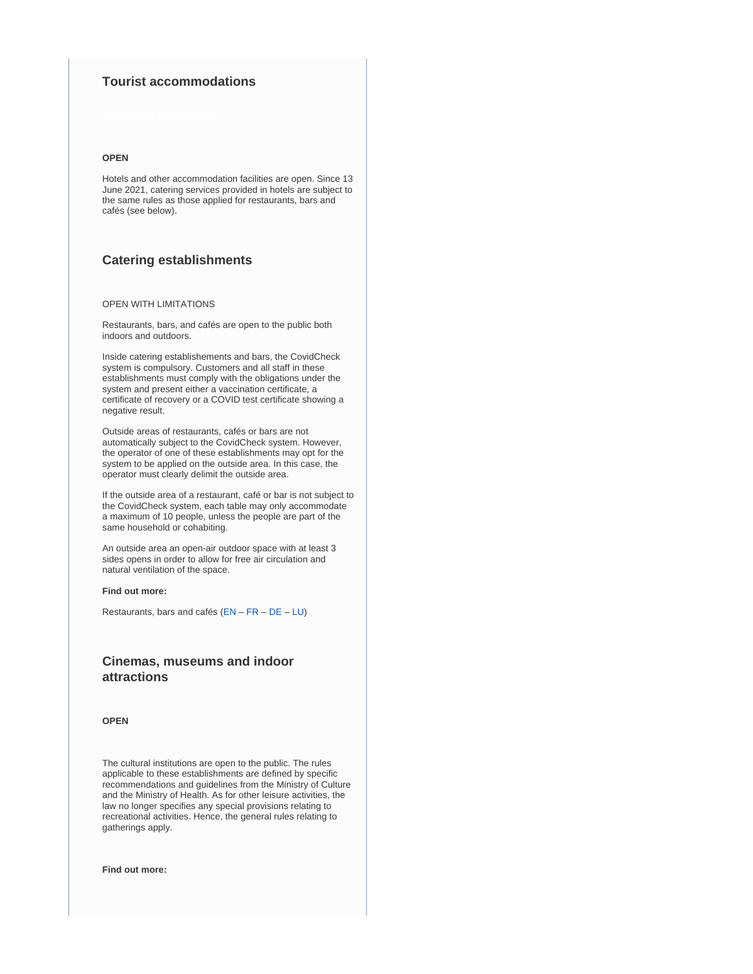### **Tourist accommodations**

#### **OPEN**

Hotels and other accommodation facilities are open. Since 13 June 2021, catering services provided in hotels are subject to the same rules as those applied for restaurants, bars and cafés (see below).

### **Catering establishments**

### OPEN WITH LIMITATIONS

Restaurants, bars, and cafés are open to the public both indoors and outdoors.

Inside catering establishements and bars, the CovidCheck system is compulsory. Customers and all staff in these establishments must comply with the obligations under the system and present either a vaccination certificate, a certificate of recovery or a COVID test certificate showing a negative result.

Outside areas of restaurants, cafés or bars are not automatically subject to the CovidCheck system. However, the operator of one of these establishments may opt for the system to be applied on the outside area. In this case, the operator must clearly delimit the outside area.

If the outside area of a restaurant, café or bar is not subject to the CovidCheck system, each table may only accommodate a maximum of 10 people, unless the people are part of the same household or cohabiting.

An outside area an open-air outdoor space with at least 3 sides opens in order to allow for free air circulation and natural ventilation of the space.

#### **Find out more:**

Restaurants, bars and cafés ([EN](https://covid19.public.lu/en/sanitary-measures/restaurants-bars.html) – [FR](https://covid19.public.lu/fr/mesures-sanitaires-en-vigueur/restaurants-bars.html) – [DE](https://covid19.public.lu/de/hygienemassnahmen/restaurants-bars.html) – [LU](https://covid19.public.lu/lb/sanitaer-mesuren/restaurant-bar.html))

# **Cinemas, museums and indoor attractions**

#### **OPEN**

The cultural institutions are open to the public. The rules applicable to these establishments are defined by specific recommendations and guidelines from the Ministry of Culture and the Ministry of Health. As for other leisure activities, the law no longer specifies any special provisions relating to recreational activities. Hence, the general rules relating to gatherings apply.

**Find out more:**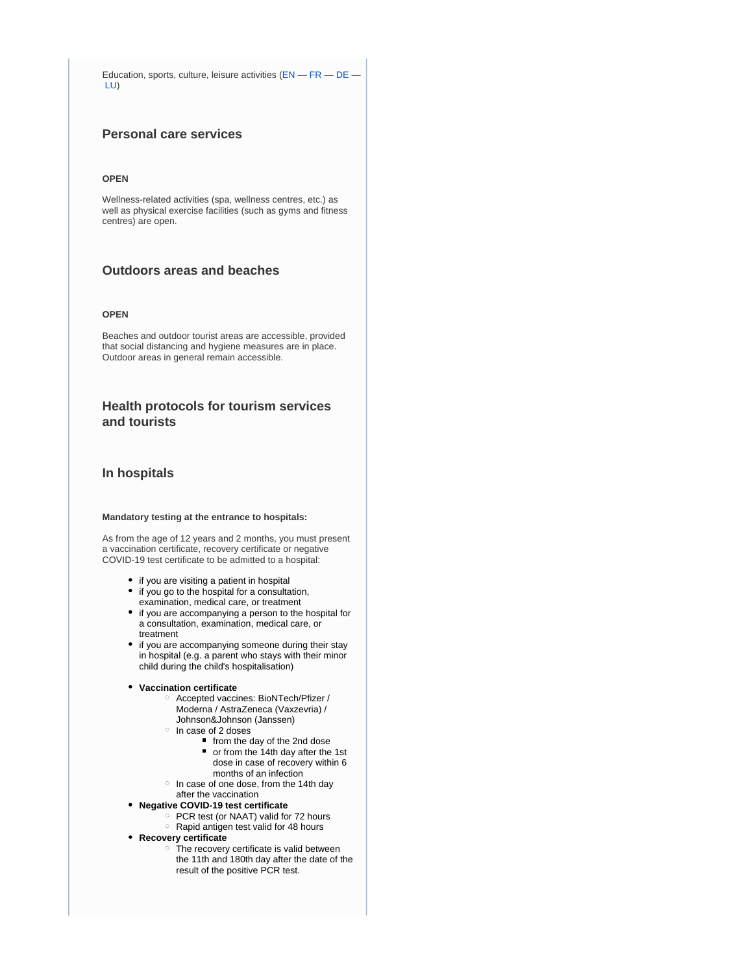Education, sports, culture, leisure activities ([EN](https://covid19.public.lu/en/sanitary-measures/education-sport-culture.html) — [FR](https://covid19.public.lu/fr/mesures-sanitaires-en-vigueur/education-sports-culture.html) — [DE](https://covid19.public.lu/de/hygienemassnahmen/bildung-sport-kultur.html) — [LU\)](https://covid19.public.lu/lb/sanitaer-mesuren/educatioun-sport-kultur.html)

# **Personal care services**

#### **OPEN**

Wellness-related activities (spa, wellness centres, etc.) as well as physical exercise facilities (such as gyms and fitness centres) are open.

# **Outdoors areas and beaches**

#### **OPEN**

Beaches and outdoor tourist areas are accessible, provided that social distancing and hygiene measures are in place. Outdoor areas in general remain accessible.

### **Health protocols for tourism services and tourists**

### **In hospitals**

#### **Mandatory testing at the entrance to hospitals:**

As from the age of 12 years and 2 months, you must present a vaccination certificate, recovery certificate or negative COVID-19 test certificate to be admitted to a hospital:

- if you are visiting a patient in hospital
- if you go to the hospital for a consultation, examination, medical care, or treatment
- if you are accompanying a person to the hospital for a consultation, examination, medical care, or treatment
- if you are accompanying someone during their stay in hospital (e.g. a parent who stays with their minor child during the child's hospitalisation)

#### **Vaccination certificate**

- Accepted vaccines: BioNTech/Pfizer / Moderna / AstraZeneca (Vaxzevria) / Johnson&Johnson (Janssen)
- $\circ$  In case of 2 doses
	- from the day of the 2nd dose
	- or from the 14th day after the 1st dose in case of recovery within 6 months of an infection
- $\circ$  In case of one dose, from the 14th day after the vaccination
- **Negative COVID-19 test certificate**
	- PCR test (or NAAT) valid for 72 hours
	- $\circ$  Rapid antigen test valid for 48 hours
- **Recovery certificate**
	- o The recovery certificate is valid between the 11th and 180th day after the date of the result of the positive PCR test.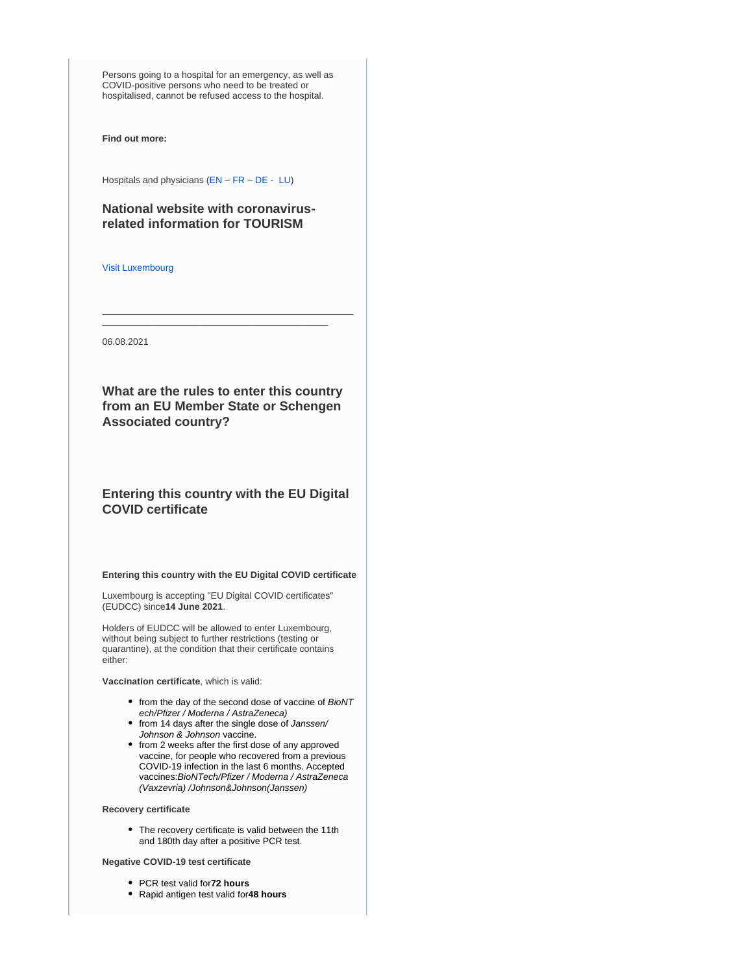Persons going to a hospital for an emergency, as well as COVID-positive persons who need to be treated or hospitalised, cannot be refused access to the hospital.

**Find out more:**

Hospitals and physicians [\(EN](https://covid19.public.lu/en/sanitary-measures/hospitals-physicians.html) – [FR](https://covid19.public.lu/fr/mesures-sanitaires-en-vigueur/hopitaux-medecins.html) – [DE](https://covid19.public.lu/de/hygienemassnahmen/krankenhaus-arzt.html) - [LU](https://covid19.public.lu/lb/sanitaer-mesuren/klinicken-dokteren.html))

# **National website with coronavirusrelated information for TOURISM**

[Visit Luxembourg](https://www.visitluxembourg.com/en)

06.08.2021

**What are the rules to enter this country from an EU Member State or Schengen Associated country?**

\_\_\_\_\_\_\_\_\_\_\_\_\_\_\_\_\_\_\_\_\_\_\_\_\_\_\_\_\_\_\_\_\_\_\_\_\_\_\_\_\_\_\_\_\_\_\_\_\_ \_\_\_\_\_\_\_\_\_\_\_\_\_\_\_\_\_\_\_\_\_\_\_\_\_\_\_\_\_\_\_\_\_\_\_\_\_\_\_\_\_\_\_\_

# **Entering this country with the EU Digital COVID certificate**

**Entering this country with the EU Digital COVID certificate**

Luxembourg is accepting "EU Digital COVID certificates" (EUDCC) since**14 June 2021**.

Holders of EUDCC will be allowed to enter Luxembourg, without being subject to further restrictions (testing or quarantine), at the condition that their certificate contains either:

**Vaccination certificate**, which is valid:

- from the day of the second dose of vaccine of BioNT ech/Pfizer / Moderna / AstraZeneca)
- from 14 days after the single dose of Janssen/ Johnson & Johnson vaccine.
- from 2 weeks after the first dose of any approved vaccine, for people who recovered from a previous COVID-19 infection in the last 6 months. Accepted vaccines: BioNTech/Pfizer / Moderna / AstraZeneca (Vaxzevria) /Johnson&Johnson(Janssen)

#### **Recovery certificate**

The recovery certificate is valid between the 11th and 180th day after a positive PCR test.

### **Negative COVID-19 test certificate**

- PCR test valid for**72 hours**
- Rapid antigen test valid for**48 hours**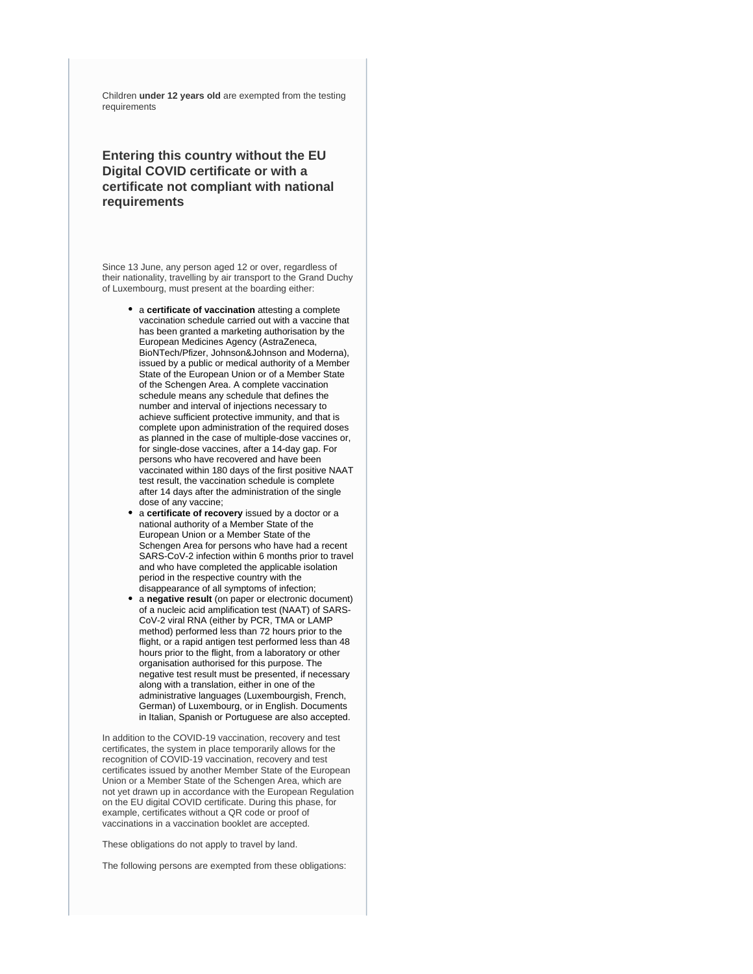Children **under 12 years old** are exempted from the testing requirements

# **Entering this country without the EU Digital COVID certificate or with a certificate not compliant with national requirements**

Since 13 June, any person aged 12 or over, regardless of their nationality, travelling by air transport to the Grand Duchy of Luxembourg, must present at the boarding either:

- a **certificate of vaccination** attesting a complete vaccination schedule carried out with a vaccine that has been granted a marketing authorisation by the European Medicines Agency (AstraZeneca, BioNTech/Pfizer, Johnson&Johnson and Moderna), issued by a public or medical authority of a Member State of the European Union or of a Member State of the Schengen Area. A complete vaccination schedule means any schedule that defines the number and interval of injections necessary to achieve sufficient protective immunity, and that is complete upon administration of the required doses as planned in the case of multiple-dose vaccines or, for single-dose vaccines, after a 14-day gap. For persons who have recovered and have been vaccinated within 180 days of the first positive NAAT test result, the vaccination schedule is complete after 14 days after the administration of the single dose of any vaccine;
- a **certificate of recovery** issued by a doctor or a national authority of a Member State of the European Union or a Member State of the Schengen Area for persons who have had a recent SARS-CoV-2 infection within 6 months prior to travel and who have completed the applicable isolation period in the respective country with the disappearance of all symptoms of infection;
- a **negative result** (on paper or electronic document) of a nucleic acid amplification test (NAAT) of SARS-CoV-2 viral RNA (either by PCR, TMA or LAMP method) performed less than 72 hours prior to the flight, or a rapid antigen test performed less than 48 hours prior to the flight, from a laboratory or other organisation authorised for this purpose. The negative test result must be presented, if necessary along with a translation, either in one of the administrative languages (Luxembourgish, French, German) of Luxembourg, or in English. Documents in Italian, Spanish or Portuguese are also accepted.

In addition to the COVID-19 vaccination, recovery and test certificates, the system in place temporarily allows for the recognition of COVID-19 vaccination, recovery and test certificates issued by another Member State of the European Union or a Member State of the Schengen Area, which are not yet drawn up in accordance with the European Regulation on the EU digital COVID certificate. During this phase, for example, certificates without a QR code or proof of vaccinations in a vaccination booklet are accepted.

These obligations do not apply to travel by land.

The following persons are exempted from these obligations: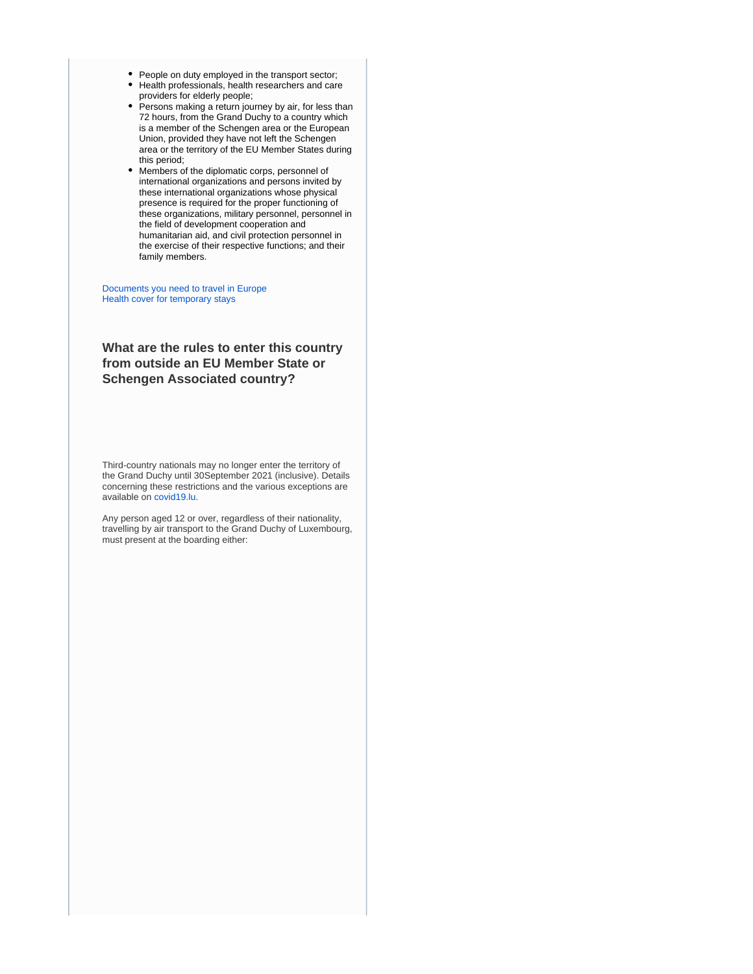- People on duty employed in the transport sector;
- Health professionals, health researchers and care providers for elderly people;
- Persons making a return journey by air, for less than 72 hours, from the Grand Duchy to a country which is a member of the Schengen area or the European Union, provided they have not left the Schengen area or the territory of the EU Member States during this period;
- Members of the diplomatic corps, personnel of international organizations and persons invited by these international organizations whose physical presence is required for the proper functioning of these organizations, military personnel, personnel in the field of development cooperation and humanitarian aid, and civil protection personnel in the exercise of their respective functions; and their family members.

[Documents you need to travel in Europe](https://europa.eu/youreurope/citizens/travel/entry-exit/index_en.htm) [Health cover for temporary stays](https://europa.eu/youreurope/citizens/health/unplanned-healthcare/temporary-stays/index_en.htm)

# **What are the rules to enter this country from outside an EU Member State or Schengen Associated country?**

Third-country nationals may no longer enter the territory of the Grand Duchy until 30September 2021 (inclusive). Details concerning these restrictions and the various exceptions are available on [covid19.lu](https://covid19.public.lu/en.html).

Any person aged 12 or over, regardless of their nationality, travelling by air transport to the Grand Duchy of Luxembourg, must present at the boarding either: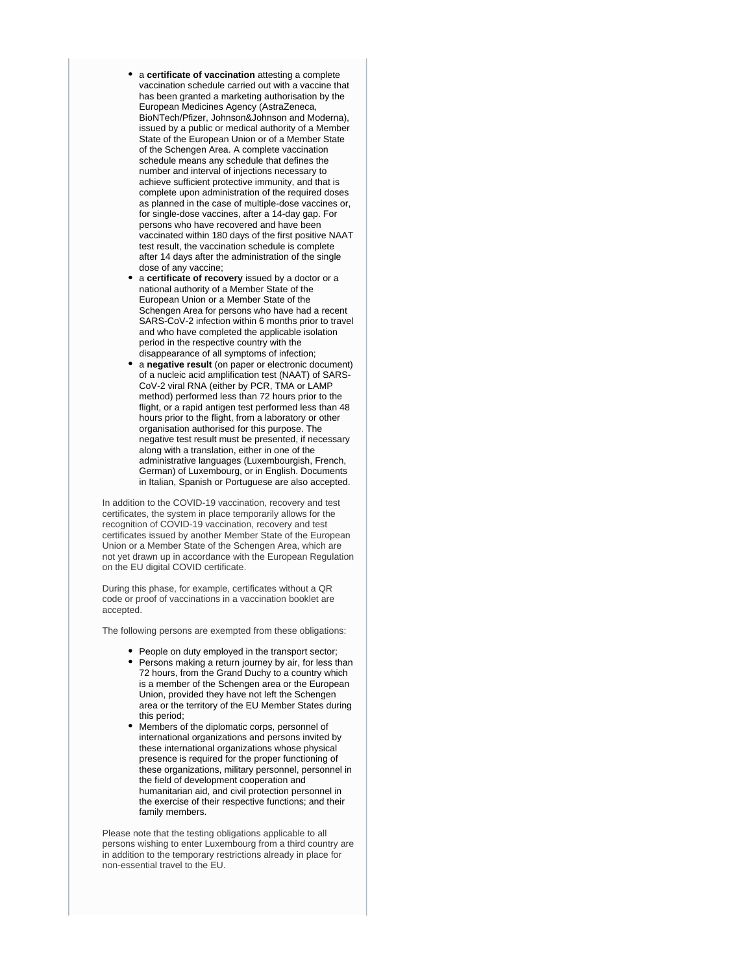- a **certificate of vaccination** attesting a complete vaccination schedule carried out with a vaccine that has been granted a marketing authorisation by the European Medicines Agency (AstraZeneca, BioNTech/Pfizer, Johnson&Johnson and Moderna), issued by a public or medical authority of a Member State of the European Union or of a Member State of the Schengen Area. A complete vaccination schedule means any schedule that defines the number and interval of injections necessary to achieve sufficient protective immunity, and that is complete upon administration of the required doses as planned in the case of multiple-dose vaccines or, for single-dose vaccines, after a 14-day gap. For persons who have recovered and have been vaccinated within 180 days of the first positive NAAT test result, the vaccination schedule is complete after 14 days after the administration of the single dose of any vaccine;
- a **certificate of recovery** issued by a doctor or a national authority of a Member State of the European Union or a Member State of the Schengen Area for persons who have had a recent SARS-CoV-2 infection within 6 months prior to travel and who have completed the applicable isolation period in the respective country with the disappearance of all symptoms of infection;
- a **negative result** (on paper or electronic document) of a nucleic acid amplification test (NAAT) of SARS-CoV-2 viral RNA (either by PCR, TMA or LAMP method) performed less than 72 hours prior to the flight, or a rapid antigen test performed less than 48 hours prior to the flight, from a laboratory or other organisation authorised for this purpose. The negative test result must be presented, if necessary along with a translation, either in one of the administrative languages (Luxembourgish, French, German) of Luxembourg, or in English. Documents in Italian, Spanish or Portuguese are also accepted.

In addition to the COVID-19 vaccination, recovery and test certificates, the system in place temporarily allows for the recognition of COVID-19 vaccination, recovery and test certificates issued by another Member State of the European Union or a Member State of the Schengen Area, which are not yet drawn up in accordance with the European Regulation on the EU digital COVID certificate.

During this phase, for example, certificates without a QR code or proof of vaccinations in a vaccination booklet are accepted.

The following persons are exempted from these obligations:

- People on duty employed in the transport sector;
- Persons making a return journey by air, for less than 72 hours, from the Grand Duchy to a country which is a member of the Schengen area or the European Union, provided they have not left the Schengen area or the territory of the EU Member States during this period;
- Members of the diplomatic corps, personnel of international organizations and persons invited by these international organizations whose physical presence is required for the proper functioning of these organizations, military personnel, personnel in the field of development cooperation and humanitarian aid, and civil protection personnel in the exercise of their respective functions; and their family members.

Please note that the testing obligations applicable to all persons wishing to enter Luxembourg from a third country are in addition to the temporary restrictions already in place for non-essential travel to the EU.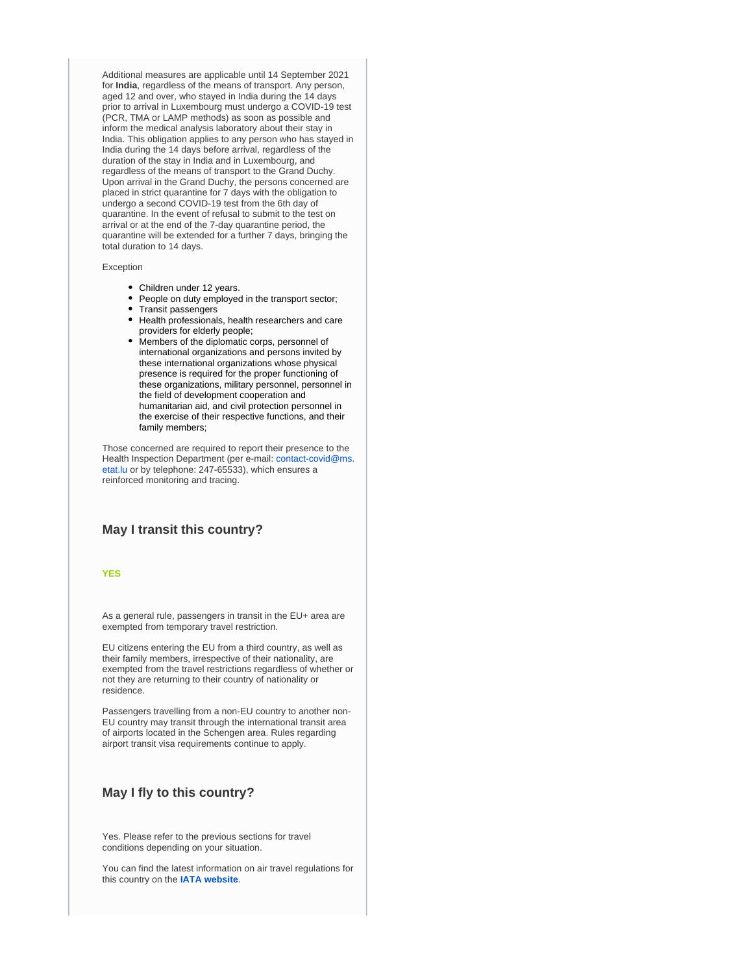Additional measures are applicable until 14 September 2021 for **India**, regardless of the means of transport. Any person, aged 12 and over, who stayed in India during the 14 days prior to arrival in Luxembourg must undergo a COVID-19 test (PCR, TMA or LAMP methods) as soon as possible and inform the medical analysis laboratory about their stay in India. This obligation applies to any person who has stayed in India during the 14 days before arrival, regardless of the duration of the stay in India and in Luxembourg, and regardless of the means of transport to the Grand Duchy. Upon arrival in the Grand Duchy, the persons concerned are placed in strict quarantine for 7 days with the obligation to undergo a second COVID-19 test from the 6th day of quarantine. In the event of refusal to submit to the test on arrival or at the end of the 7-day quarantine period, the quarantine will be extended for a further 7 days, bringing the total duration to 14 days.

#### Exception

- Children under 12 years.
- $\bullet$ People on duty employed in the transport sector;
- Transit passengers
- Health professionals, health researchers and care providers for elderly people;
- Members of the diplomatic corps, personnel of international organizations and persons invited by these international organizations whose physical presence is required for the proper functioning of these organizations, military personnel, personnel in the field of development cooperation and humanitarian aid, and civil protection personnel in the exercise of their respective functions, and their family members;

Those concerned are required to report their presence to the Health Inspection Department (per e-mail: [contact-covid@ms.](mailto:contact-covid@ms.etat.lu) [etat.lu](mailto:contact-covid@ms.etat.lu) or by telephone: 247-65533), which ensures a reinforced monitoring and tracing.

### **May I transit this country?**

#### **YES**

As a general rule, passengers in transit in the EU+ area are exempted from temporary travel restriction.

EU citizens entering the EU from a third country, as well as their family members, irrespective of their nationality, are exempted from the travel restrictions regardless of whether or not they are returning to their country of nationality or residence.

Passengers travelling from a non-EU country to another non-EU country may transit through the international transit area of airports located in the Schengen area. Rules regarding airport transit visa requirements continue to apply.

### **May I fly to this country?**

Yes. Please refer to the previous sections for travel conditions depending on your situation.

You can find the latest information on air travel regulations for this country on the **[IATA website](https://www.iatatravelcentre.com/international-travel-document-news/1580226297.htm)**.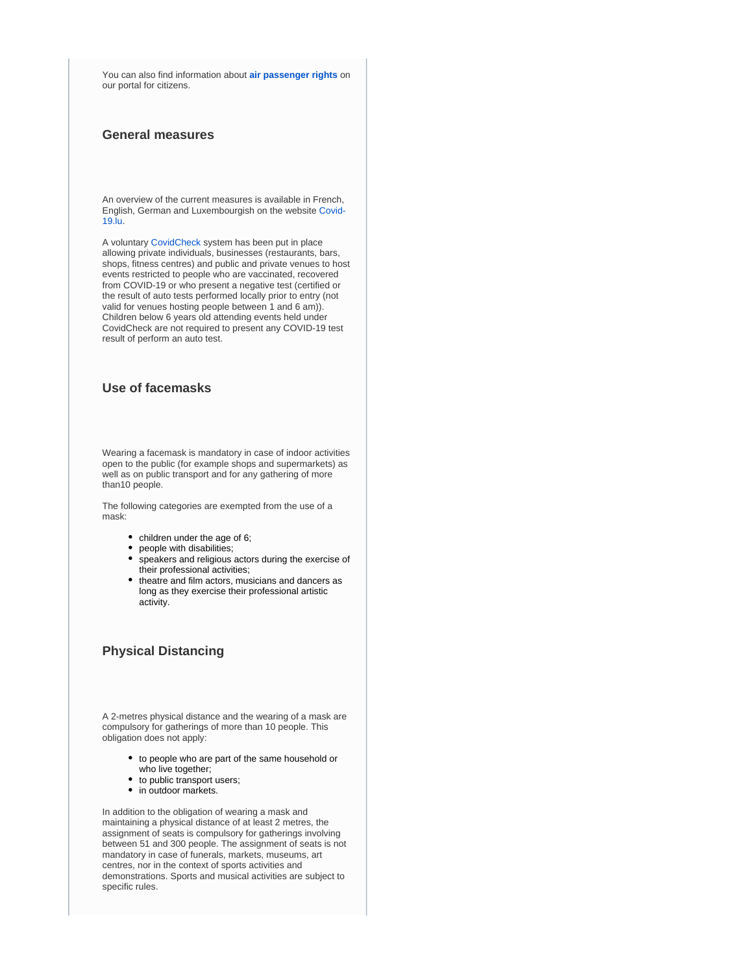You can also find information about **[air passenger rights](https://europa.eu/youreurope/citizens/travel/passenger-rights/air/index_en.htm)** on our portal for citizens.

# **General measures**

An overview of the current measures is available in French, English, German and Luxembourgish on the website [Covid-](https://covid19.public.lu/)[19.lu.](https://covid19.public.lu/)

A voluntary [CovidCheck](https://covid19.public.lu/fr/covidcheck/regime.html) system has been put in place allowing private individuals, businesses (restaurants, bars, shops, fitness centres) and public and private venues to host events restricted to people who are vaccinated, recovered from COVID-19 or who present a negative test (certified or the result of auto tests performed locally prior to entry (not valid for venues hosting people between 1 and 6 am)). Children below 6 years old attending events held under CovidCheck are not required to present any COVID-19 test result of perform an auto test.

# **Use of facemasks**

Wearing a facemask is mandatory in case of indoor activities open to the public (for example shops and supermarkets) as well as on public transport and for any gathering of more than10 people.

The following categories are exempted from the use of a mask:

- children under the age of 6;
- people with disabilities;
- $\bullet$ speakers and religious actors during the exercise of their professional activities;
- theatre and film actors, musicians and dancers as long as they exercise their professional artistic activity.

# **Physical Distancing**

A 2-metres physical distance and the wearing of a mask are compulsory for gatherings of more than 10 people. This obligation does not apply:

- to people who are part of the same household or who live together;
- to public transport users;
- in outdoor markets.

In addition to the obligation of wearing a mask and maintaining a physical distance of at least 2 metres, the assignment of seats is compulsory for gatherings involving between 51 and 300 people. The assignment of seats is not mandatory in case of funerals, markets, museums, art centres, nor in the context of sports activities and demonstrations. Sports and musical activities are subject to specific rules.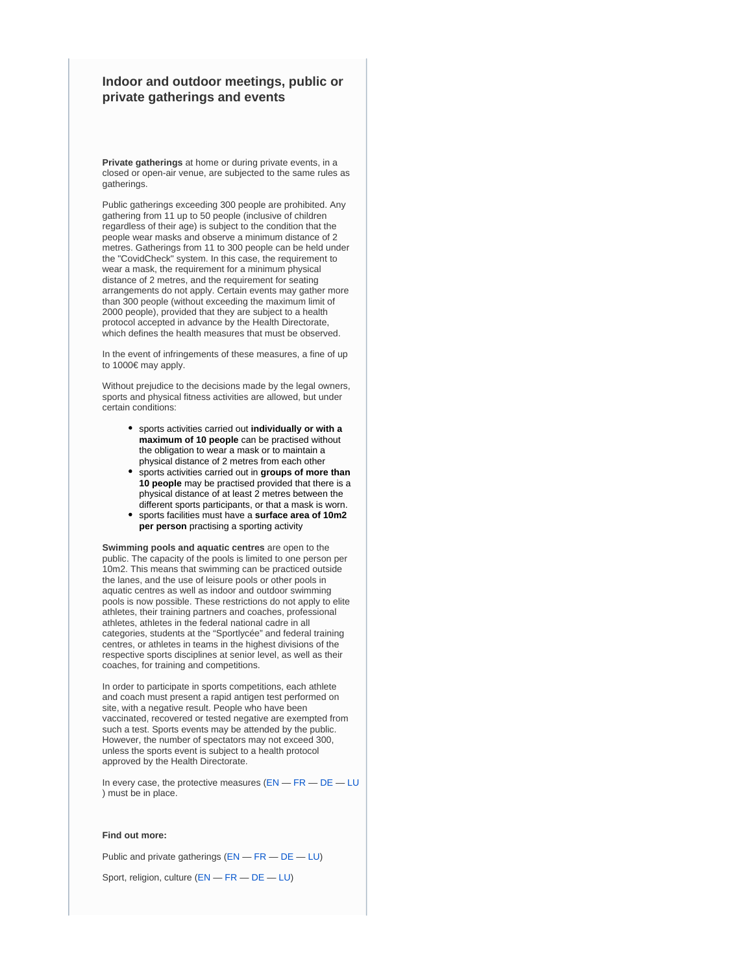# **Indoor and outdoor meetings, public or private gatherings and events**

**Private gatherings** at home or during private events, in a closed or open-air venue, are subjected to the same rules as gatherings.

Public gatherings exceeding 300 people are prohibited. Any gathering from 11 up to 50 people (inclusive of children regardless of their age) is subject to the condition that the people wear masks and observe a minimum distance of 2 metres. Gatherings from 11 to 300 people can be held under the "CovidCheck" system. In this case, the requirement to wear a mask, the requirement for a minimum physical distance of 2 metres, and the requirement for seating arrangements do not apply. Certain events may gather more than 300 people (without exceeding the maximum limit of 2000 people), provided that they are subject to a health protocol accepted in advance by the Health Directorate, which defines the health measures that must be observed.

In the event of infringements of these measures, a fine of up to 1000€ may apply.

Without prejudice to the decisions made by the legal owners, sports and physical fitness activities are allowed, but under certain conditions:

- sports activities carried out **individually or with a maximum of 10 people** can be practised without the obligation to wear a mask or to maintain a physical distance of 2 metres from each other
- sports activities carried out in **groups of more than 10 people** may be practised provided that there is a physical distance of at least 2 metres between the different sports participants, or that a mask is worn.
- sports facilities must have a **surface area of 10m2 per person** practising a sporting activity

**Swimming pools and aquatic centres** are open to the public. The capacity of the pools is limited to one person per 10m2. This means that swimming can be practiced outside the lanes, and the use of leisure pools or other pools in aquatic centres as well as indoor and outdoor swimming pools is now possible. These restrictions do not apply to elite athletes, their training partners and coaches, professional athletes, athletes in the federal national cadre in all categories, students at the "Sportlycée" and federal training centres, or athletes in teams in the highest divisions of the respective sports disciplines at senior level, as well as their coaches, for training and competitions.

In order to participate in sports competitions, each athlete and coach must present a rapid antigen test performed on site, with a negative result. People who have been vaccinated, recovered or tested negative are exempted from such a test. Sports events may be attended by the public. However, the number of spectators may not exceed 300, unless the sports event is subject to a health protocol approved by the Health Directorate.

In every case, the protective measures  $(EN - FR - DE - LU)$  $(EN - FR - DE - LU)$  $(EN - FR - DE - LU)$  $(EN - FR - DE - LU)$  $(EN - FR - DE - LU)$  $(EN - FR - DE - LU)$  $(EN - FR - DE - LU)$  $(EN - FR - DE - LU)$  $(EN - FR - DE - LU)$ ) must be in place.

#### **Find out more:**

Public and private gatherings ([EN](https://covid19.public.lu/en/sanitary-measures/gatherings.html) — [FR](https://covid19.public.lu/fr/mesures-sanitaires-en-vigueur/rassemblements.html) — [DE](https://covid19.public.lu/de/hygienemassnahmen/versammlungen.html) — [LU](https://covid19.public.lu/lb/sanitaer-mesuren/versammlungen.html))

Sport, religion, culture ([EN](https://covid19.public.lu/en/sanitary-measures/sport-religion-culture.html) — [FR](https://covid19.public.lu/fr/mesures-sanitaires-en-vigueur/sports-cultes-culture.html) — [DE](https://covid19.public.lu/de/hygienemassnahmen/sport-kultus-kultur.html) — [LU](https://covid19.public.lu/lb/sanitaer-mesuren/sport-kultus-kultur.html))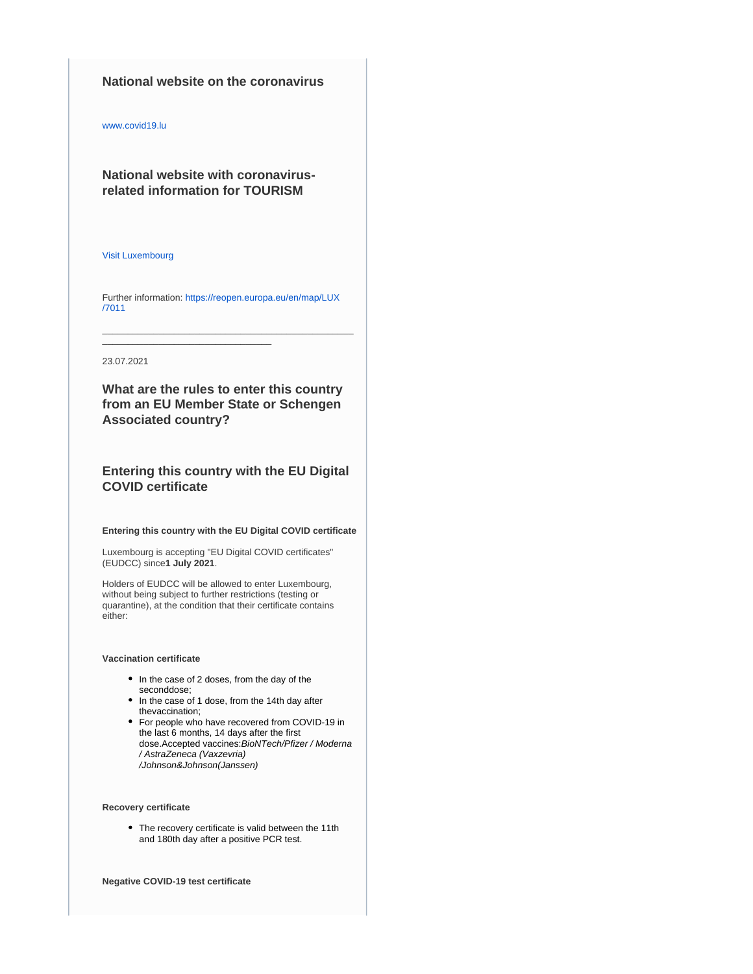### **National website on the coronavirus**

[www.covid19.lu](http://www.covid19.lu/)

**National website with coronavirusrelated information for TOURISM**

#### [Visit Luxembourg](https://www.visitluxembourg.com/en)

Further information: [https://reopen.europa.eu/en/map/LUX](https://reopen.europa.eu/en/map/LUX/7011) [/7011](https://reopen.europa.eu/en/map/LUX/7011)

\_\_\_\_\_\_\_\_\_\_\_\_\_\_\_\_\_\_\_\_\_\_\_\_\_\_\_\_\_\_\_\_\_

\_\_\_\_\_\_\_\_\_\_\_\_\_\_\_\_\_\_\_\_\_\_\_\_\_\_\_\_\_\_\_\_\_\_\_\_\_\_\_\_\_\_\_\_\_\_\_\_\_

#### 23.07.2021

**What are the rules to enter this country from an EU Member State or Schengen Associated country?**

# **Entering this country with the EU Digital COVID certificate**

**Entering this country with the EU Digital COVID certificate**

Luxembourg is accepting "EU Digital COVID certificates" (EUDCC) since**1 July 2021**.

Holders of EUDCC will be allowed to enter Luxembourg, without being subject to further restrictions (testing or quarantine), at the condition that their certificate contains either:

#### **Vaccination certificate**

- In the case of 2 doses, from the day of the seconddose;
- In the case of 1 dose, from the 14th day after thevaccination;
- For people who have recovered from COVID-19 in the last 6 months, 14 days after the first dose.Accepted vaccines:BioNTech/Pfizer / Moderna / AstraZeneca (Vaxzevria) /Johnson&Johnson(Janssen)

#### **Recovery certificate**

The recovery certificate is valid between the 11th and 180th day after a positive PCR test.

**Negative COVID-19 test certificate**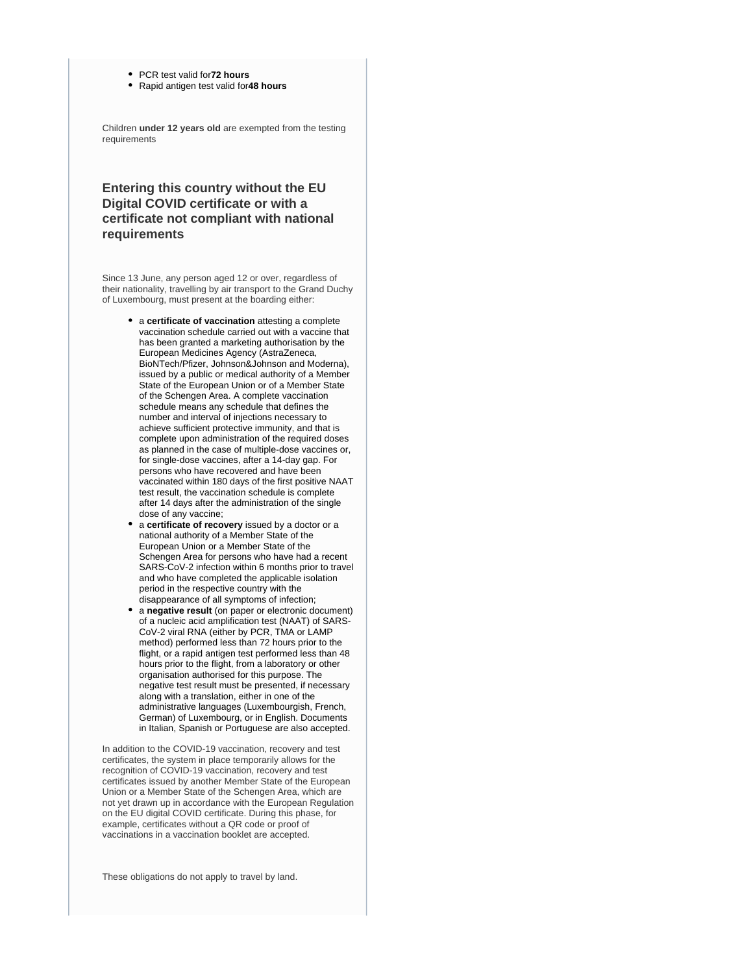- PCR test valid for**72 hours**
- Rapid antigen test valid for**48 hours**

Children **under 12 years old** are exempted from the testing requirements

# **Entering this country without the EU Digital COVID certificate or with a certificate not compliant with national requirements**

Since 13 June, any person aged 12 or over, regardless of their nationality, travelling by air transport to the Grand Duchy of Luxembourg, must present at the boarding either:

- a **certificate of vaccination** attesting a complete vaccination schedule carried out with a vaccine that has been granted a marketing authorisation by the European Medicines Agency (AstraZeneca, BioNTech/Pfizer, Johnson&Johnson and Moderna), issued by a public or medical authority of a Member State of the European Union or of a Member State of the Schengen Area. A complete vaccination schedule means any schedule that defines the number and interval of injections necessary to achieve sufficient protective immunity, and that is complete upon administration of the required doses as planned in the case of multiple-dose vaccines or, for single-dose vaccines, after a 14-day gap. For persons who have recovered and have been vaccinated within 180 days of the first positive NAAT test result, the vaccination schedule is complete after 14 days after the administration of the single dose of any vaccine;
- a **certificate of recovery** issued by a doctor or a national authority of a Member State of the European Union or a Member State of the Schengen Area for persons who have had a recent SARS-CoV-2 infection within 6 months prior to travel and who have completed the applicable isolation period in the respective country with the disappearance of all symptoms of infection;
- a **negative result** (on paper or electronic document) of a nucleic acid amplification test (NAAT) of SARS-CoV-2 viral RNA (either by PCR, TMA or LAMP method) performed less than 72 hours prior to the flight, or a rapid antigen test performed less than 48 hours prior to the flight, from a laboratory or other organisation authorised for this purpose. The negative test result must be presented, if necessary along with a translation, either in one of the administrative languages (Luxembourgish, French, German) of Luxembourg, or in English. Documents in Italian, Spanish or Portuguese are also accepted.

In addition to the COVID-19 vaccination, recovery and test certificates, the system in place temporarily allows for the recognition of COVID-19 vaccination, recovery and test certificates issued by another Member State of the European Union or a Member State of the Schengen Area, which are not yet drawn up in accordance with the European Regulation on the EU digital COVID certificate. During this phase, for example, certificates without a QR code or proof of vaccinations in a vaccination booklet are accepted.

These obligations do not apply to travel by land.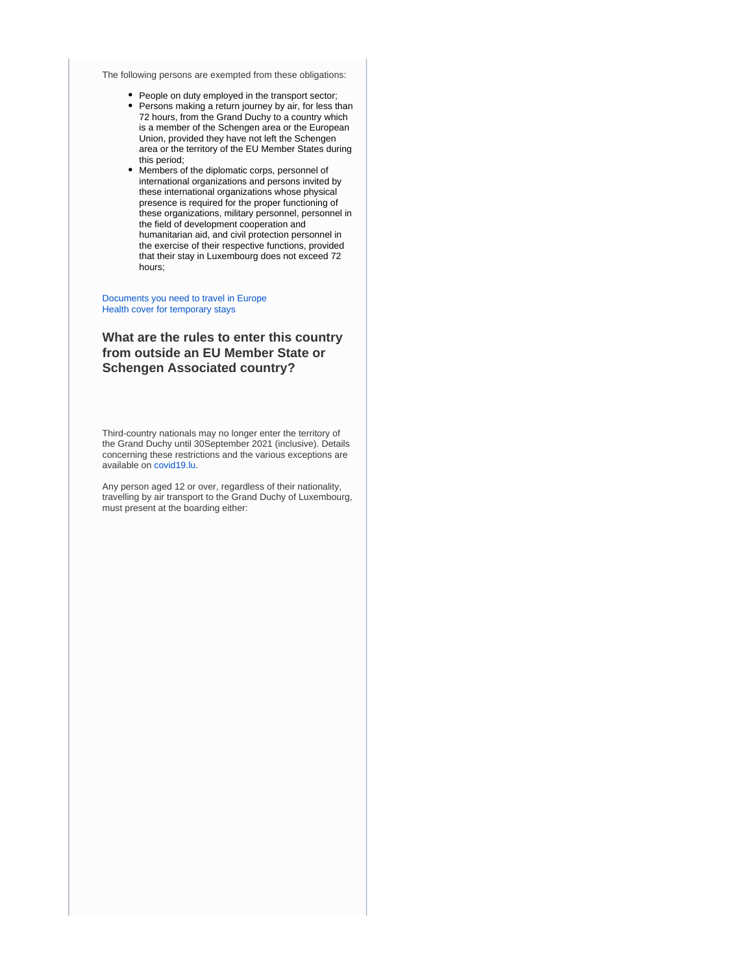The following persons are exempted from these obligations:

- People on duty employed in the transport sector;
- Persons making a return journey by air, for less than 72 hours, from the Grand Duchy to a country which is a member of the Schengen area or the European Union, provided they have not left the Schengen area or the territory of the EU Member States during this period;
- Members of the diplomatic corps, personnel of international organizations and persons invited by these international organizations whose physical presence is required for the proper functioning of these organizations, military personnel, personnel in the field of development cooperation and humanitarian aid, and civil protection personnel in the exercise of their respective functions, provided that their stay in Luxembourg does not exceed 72 hours;

#### [Documents you need to travel in Europe](https://europa.eu/youreurope/citizens/travel/entry-exit/index_en.htm) [Health cover for temporary stays](https://europa.eu/youreurope/citizens/health/unplanned-healthcare/temporary-stays/index_en.htm)

# **What are the rules to enter this country from outside an EU Member State or Schengen Associated country?**

Third-country nationals may no longer enter the territory of the Grand Duchy until 30September 2021 (inclusive). Details concerning these restrictions and the various exceptions are available on [covid19.lu](https://covid19.public.lu/en.html).

Any person aged 12 or over, regardless of their nationality, travelling by air transport to the Grand Duchy of Luxembourg, must present at the boarding either: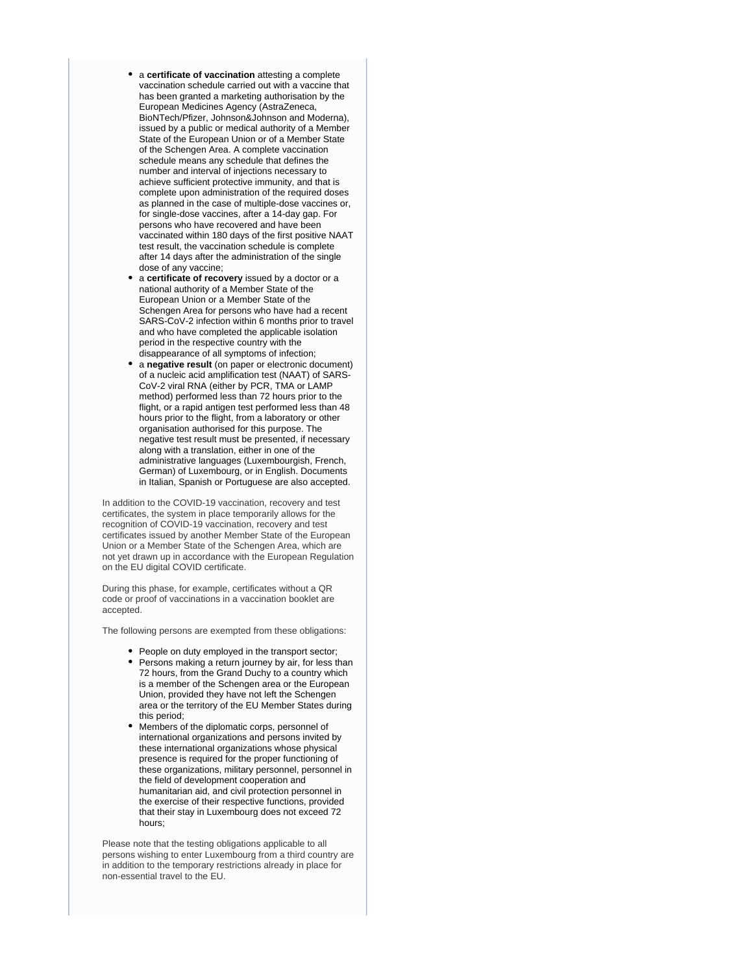- a **certificate of vaccination** attesting a complete vaccination schedule carried out with a vaccine that has been granted a marketing authorisation by the European Medicines Agency (AstraZeneca, BioNTech/Pfizer, Johnson&Johnson and Moderna), issued by a public or medical authority of a Member State of the European Union or of a Member State of the Schengen Area. A complete vaccination schedule means any schedule that defines the number and interval of injections necessary to achieve sufficient protective immunity, and that is complete upon administration of the required doses as planned in the case of multiple-dose vaccines or, for single-dose vaccines, after a 14-day gap. For persons who have recovered and have been vaccinated within 180 days of the first positive NAAT test result, the vaccination schedule is complete after 14 days after the administration of the single dose of any vaccine;
- a **certificate of recovery** issued by a doctor or a national authority of a Member State of the European Union or a Member State of the Schengen Area for persons who have had a recent SARS-CoV-2 infection within 6 months prior to travel and who have completed the applicable isolation period in the respective country with the disappearance of all symptoms of infection;
- a **negative result** (on paper or electronic document) of a nucleic acid amplification test (NAAT) of SARS-CoV-2 viral RNA (either by PCR, TMA or LAMP method) performed less than 72 hours prior to the flight, or a rapid antigen test performed less than 48 hours prior to the flight, from a laboratory or other organisation authorised for this purpose. The negative test result must be presented, if necessary along with a translation, either in one of the administrative languages (Luxembourgish, French, German) of Luxembourg, or in English. Documents in Italian, Spanish or Portuguese are also accepted.

In addition to the COVID-19 vaccination, recovery and test certificates, the system in place temporarily allows for the recognition of COVID-19 vaccination, recovery and test certificates issued by another Member State of the European Union or a Member State of the Schengen Area, which are not yet drawn up in accordance with the European Regulation on the EU digital COVID certificate.

During this phase, for example, certificates without a QR code or proof of vaccinations in a vaccination booklet are accepted.

The following persons are exempted from these obligations:

- People on duty employed in the transport sector;
- Persons making a return journey by air, for less than 72 hours, from the Grand Duchy to a country which is a member of the Schengen area or the European Union, provided they have not left the Schengen area or the territory of the EU Member States during this period;
- Members of the diplomatic corps, personnel of international organizations and persons invited by these international organizations whose physical presence is required for the proper functioning of these organizations, military personnel, personnel in the field of development cooperation and humanitarian aid, and civil protection personnel in the exercise of their respective functions, provided that their stay in Luxembourg does not exceed 72 hours;

Please note that the testing obligations applicable to all persons wishing to enter Luxembourg from a third country are in addition to the temporary restrictions already in place for non-essential travel to the EU.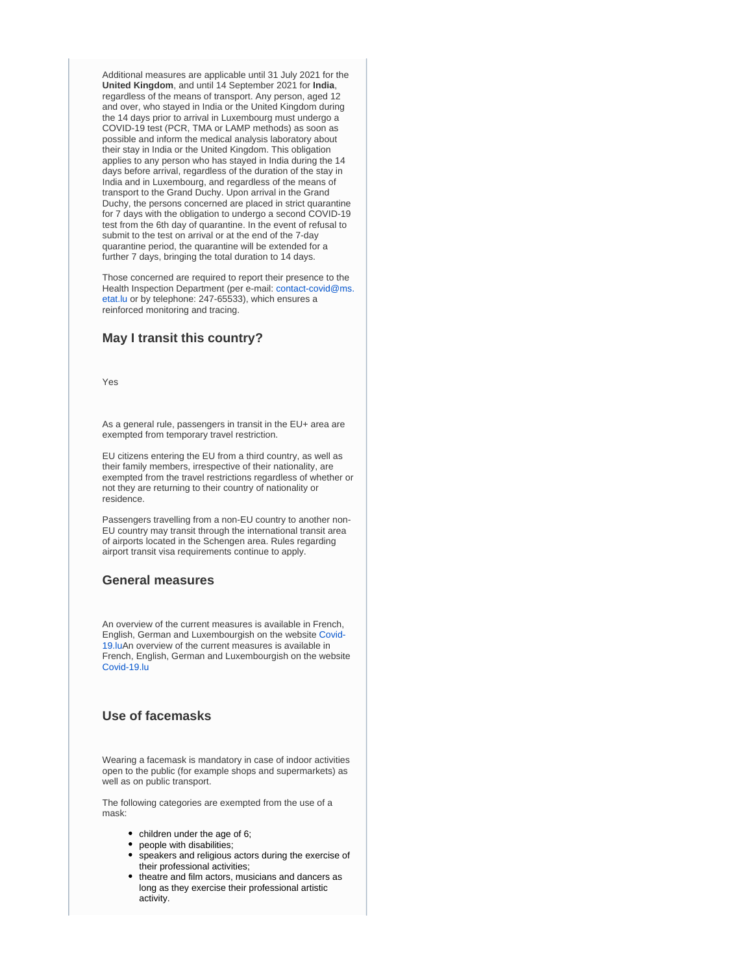Additional measures are applicable until 31 July 2021 for the **United Kingdom**, and until 14 September 2021 for **India**, regardless of the means of transport. Any person, aged 12 and over, who stayed in India or the United Kingdom during the 14 days prior to arrival in Luxembourg must undergo a COVID-19 test (PCR, TMA or LAMP methods) as soon as possible and inform the medical analysis laboratory about their stay in India or the United Kingdom. This obligation applies to any person who has stayed in India during the 14 days before arrival, regardless of the duration of the stay in India and in Luxembourg, and regardless of the means of transport to the Grand Duchy. Upon arrival in the Grand Duchy, the persons concerned are placed in strict quarantine for 7 days with the obligation to undergo a second COVID-19 test from the 6th day of quarantine. In the event of refusal to submit to the test on arrival or at the end of the 7-day quarantine period, the quarantine will be extended for a further 7 days, bringing the total duration to 14 days.

Those concerned are required to report their presence to the Health Inspection Department (per e-mail: [contact-covid@ms.](mailto:contact-covid@ms.etat.lu) [etat.lu](mailto:contact-covid@ms.etat.lu) or by telephone: 247-65533), which ensures a reinforced monitoring and tracing.

# **May I transit this country?**

Yes

As a general rule, passengers in transit in the EU+ area are exempted from temporary travel restriction.

EU citizens entering the EU from a third country, as well as their family members, irrespective of their nationality, are exempted from the travel restrictions regardless of whether or not they are returning to their country of nationality or residence.

Passengers travelling from a non-EU country to another non-EU country may transit through the international transit area of airports located in the Schengen area. Rules regarding airport transit visa requirements continue to apply.

### **General measures**

An overview of the current measures is available in French, English, German and Luxembourgish on the website [Covid-](https://covid19.public.lu/)[19.luA](https://covid19.public.lu/)n overview of the current measures is available in French, English, German and Luxembourgish on the website [Covid-19.lu](https://covid19.public.lu/)

### **Use of facemasks**

Wearing a facemask is mandatory in case of indoor activities open to the public (for example shops and supermarkets) as well as on public transport.

The following categories are exempted from the use of a mask:

- children under the age of 6;
- people with disabilities;
- speakers and religious actors during the exercise of their professional activities;
- theatre and film actors, musicians and dancers as long as they exercise their professional artistic activity.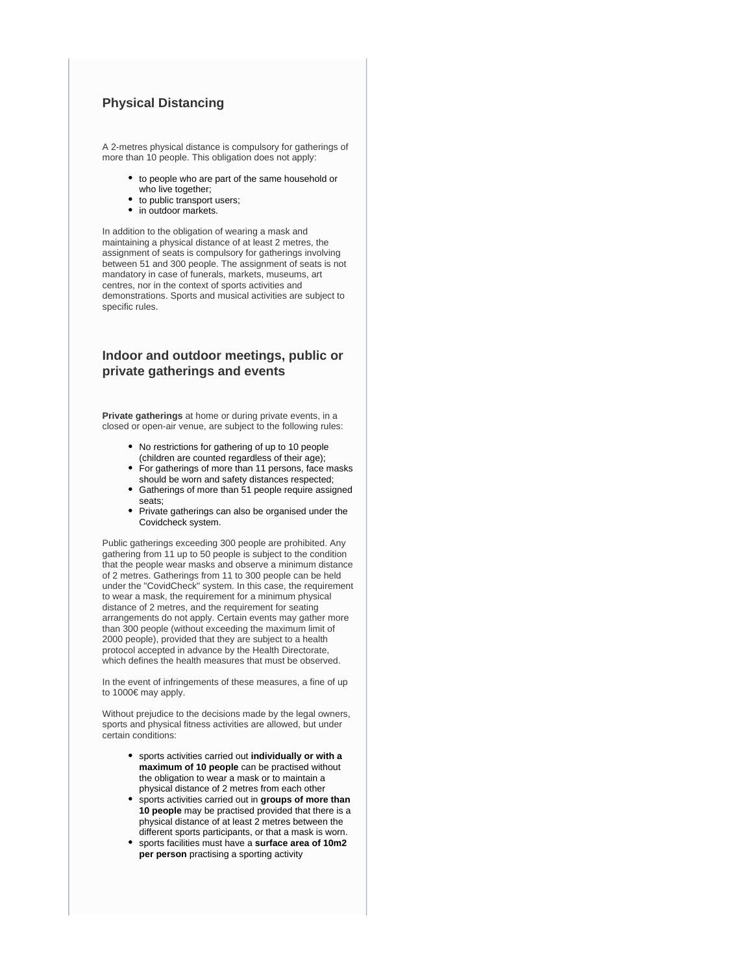# **Physical Distancing**

A 2-metres physical distance is compulsory for gatherings of more than 10 people. This obligation does not apply:

- to people who are part of the same household or who live together;
- to public transport users:
- in outdoor markets.

In addition to the obligation of wearing a mask and maintaining a physical distance of at least 2 metres, the assignment of seats is compulsory for gatherings involving between 51 and 300 people. The assignment of seats is not mandatory in case of funerals, markets, museums, art centres, nor in the context of sports activities and demonstrations. Sports and musical activities are subject to specific rules.

# **Indoor and outdoor meetings, public or private gatherings and events**

**Private gatherings** at home or during private events, in a closed or open-air venue, are subject to the following rules:

- No restrictions for gathering of up to 10 people (children are counted regardless of their age);
- For gatherings of more than 11 persons, face masks should be worn and safety distances respected;
- Gatherings of more than 51 people require assigned seats;
- Private gatherings can also be organised under the Covidcheck system.

Public gatherings exceeding 300 people are prohibited. Any gathering from 11 up to 50 people is subject to the condition that the people wear masks and observe a minimum distance of 2 metres. Gatherings from 11 to 300 people can be held under the "CovidCheck" system. In this case, the requirement to wear a mask, the requirement for a minimum physical distance of 2 metres, and the requirement for seating arrangements do not apply. Certain events may gather more than 300 people (without exceeding the maximum limit of 2000 people), provided that they are subject to a health protocol accepted in advance by the Health Directorate, which defines the health measures that must be observed.

In the event of infringements of these measures, a fine of up to 1000€ may apply.

Without prejudice to the decisions made by the legal owners, sports and physical fitness activities are allowed, but under certain conditions:

- sports activities carried out **individually or with a maximum of 10 people** can be practised without the obligation to wear a mask or to maintain a physical distance of 2 metres from each other
- sports activities carried out in **groups of more than 10 people** may be practised provided that there is a physical distance of at least 2 metres between the different sports participants, or that a mask is worn.
- sports facilities must have a **surface area of 10m2 per person** practising a sporting activity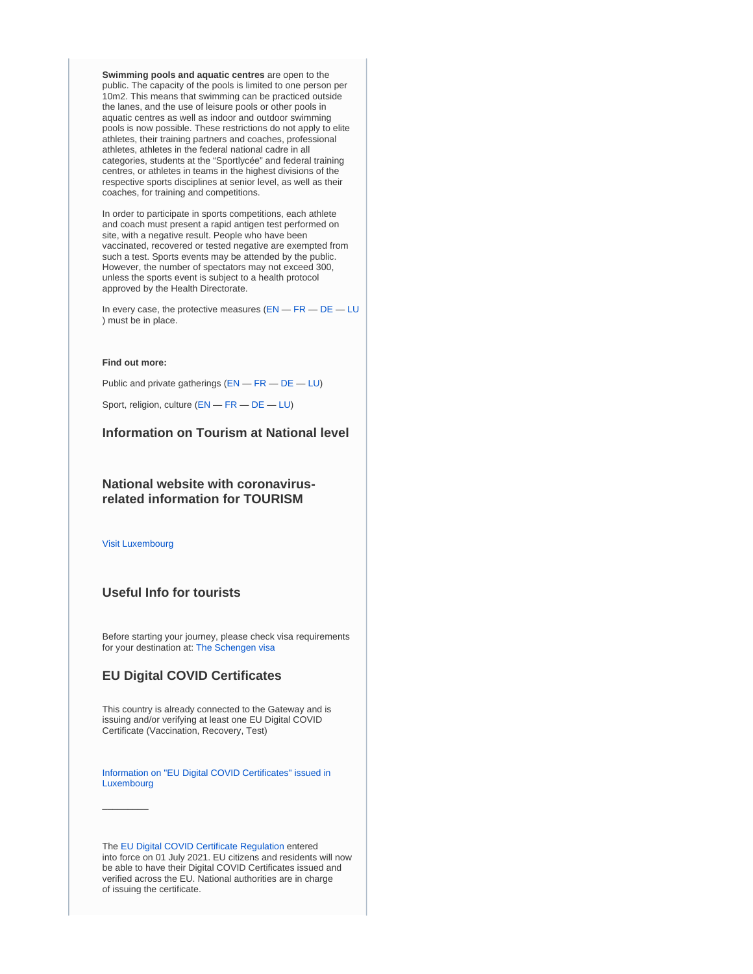**Swimming pools and aquatic centres** are open to the public. The capacity of the pools is limited to one person per 10m2. This means that swimming can be practiced outside the lanes, and the use of leisure pools or other pools in aquatic centres as well as indoor and outdoor swimming pools is now possible. These restrictions do not apply to elite athletes, their training partners and coaches, professional athletes, athletes in the federal national cadre in all categories, students at the "Sportlycée" and federal training centres, or athletes in teams in the highest divisions of the respective sports disciplines at senior level, as well as their coaches, for training and competitions.

In order to participate in sports competitions, each athlete and coach must present a rapid antigen test performed on site, with a negative result. People who have been vaccinated, recovered or tested negative are exempted from such a test. Sports events may be attended by the public. However, the number of spectators may not exceed 300, unless the sports event is subject to a health protocol approved by the Health Directorate.

In every case, the protective measures  $(EN - FR - DE - LU)$  $(EN - FR - DE - LU)$  $(EN - FR - DE - LU)$  $(EN - FR - DE - LU)$  $(EN - FR - DE - LU)$  $(EN - FR - DE - LU)$  $(EN - FR - DE - LU)$  $(EN - FR - DE - LU)$  $(EN - FR - DE - LU)$ ) must be in place.

#### **Find out more:**

Public and private gatherings ([EN](https://covid19.public.lu/en/sanitary-measures/gatherings.html) — [FR](https://covid19.public.lu/fr/mesures-sanitaires-en-vigueur/rassemblements.html) — [DE](https://covid19.public.lu/de/hygienemassnahmen/versammlungen.html) — [LU](https://covid19.public.lu/lb/sanitaer-mesuren/versammlungen.html))

Sport, religion, culture ([EN](https://covid19.public.lu/en/sanitary-measures/sport-religion-culture.html) — [FR](https://covid19.public.lu/fr/mesures-sanitaires-en-vigueur/sports-cultes-culture.html) — [DE](https://covid19.public.lu/de/hygienemassnahmen/sport-kultus-kultur.html) — [LU](https://covid19.public.lu/lb/sanitaer-mesuren/sport-kultus-kultur.html))

# **Information on Tourism at National level**

### **National website with coronavirusrelated information for TOURISM**

[Visit Luxembourg](https://www.visitluxembourg.com/en)

 $\overline{\phantom{a}}$ 

### **Useful Info for tourists**

Before starting your journey, please check visa requirements for your destination at: [The Schengen visa](https://ec.europa.eu/home-affairs/what-we-do/policies/borders-and-visas/visa-policy/schengen_visa_en)

# **EU Digital COVID Certificates**

This country is already connected to the Gateway and is issuing and/or verifying at least one EU Digital COVID Certificate (Vaccination, Recovery, Test)

[Information on "EU Digital COVID Certificates" issued in](https://covid19.public.lu/en/covidcheck/certificate.html)  [Luxembourg](https://covid19.public.lu/en/covidcheck/certificate.html)

The [EU Digital COVID Certificate Regulation](https://ec.europa.eu/info/live-work-travel-eu/coronavirus-response/safe-covid-19-vaccines-europeans/eu-digital-covid-certificate_en) entered into force on 01 July 2021. EU citizens and residents will now be able to have their Digital COVID Certificates issued and verified across the EU. National authorities are in charge of issuing the certificate.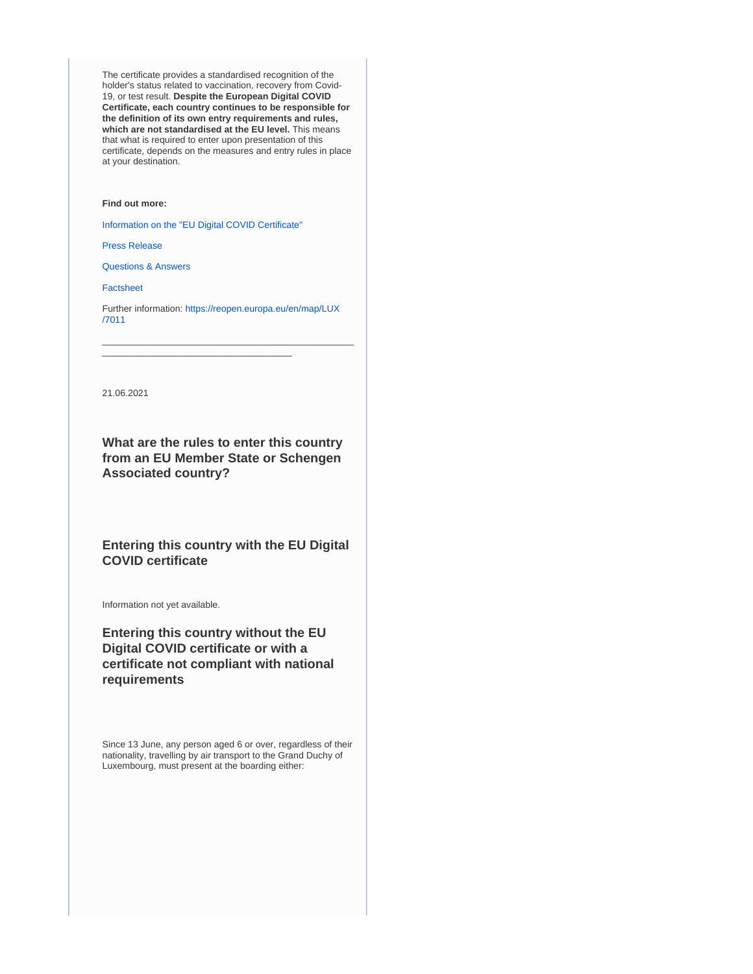The certificate provides a standardised recognition of the holder's status related to vaccination, recovery from Covid-19, or test result. **Despite the European Digital COVID Certificate, each country continues to be responsible for the definition of its own entry requirements and rules, which are not standardised at the EU level.** This means that what is required to enter upon presentation of this certificate, depends on the measures and entry rules in place at your destination.

### **Find out more:**

[Information on the "EU Digital COVID Certificate"](https://ec.europa.eu/info/live-work-travel-eu/coronavirus-response/safe-covid-19-vaccines-europeans/eu-digital-covid-certificate_en)

\_\_\_\_\_\_\_\_\_\_\_\_\_\_\_\_\_\_\_\_\_\_\_\_\_\_\_\_\_\_\_\_\_\_\_\_\_

[Press Release](https://ec.europa.eu/commission/presscorner/detail/en/IP_21_2721)

[Questions & Answers](https://ec.europa.eu/commission/presscorner/detail/en/QANDA_21_2781)

**[Factsheet](https://ec.europa.eu/commission/presscorner/detail/en/FS_21_2793)** 

Further information: [https://reopen.europa.eu/en/map/LUX](https://reopen.europa.eu/en/map/LUX/7011) [/7011](https://reopen.europa.eu/en/map/LUX/7011)

\_\_\_\_\_\_\_\_\_\_\_\_\_\_\_\_\_\_\_\_\_\_\_\_\_\_\_\_\_\_\_\_\_\_\_\_\_\_\_\_\_\_\_\_\_\_\_\_\_

21.06.2021

**What are the rules to enter this country from an EU Member State or Schengen Associated country?**

**Entering this country with the EU Digital COVID certificate**

Information not yet available.

**Entering this country without the EU Digital COVID certificate or with a certificate not compliant with national requirements**

Since 13 June, any person aged 6 or over, regardless of their nationality, travelling by air transport to the Grand Duchy of Luxembourg, must present at the boarding either: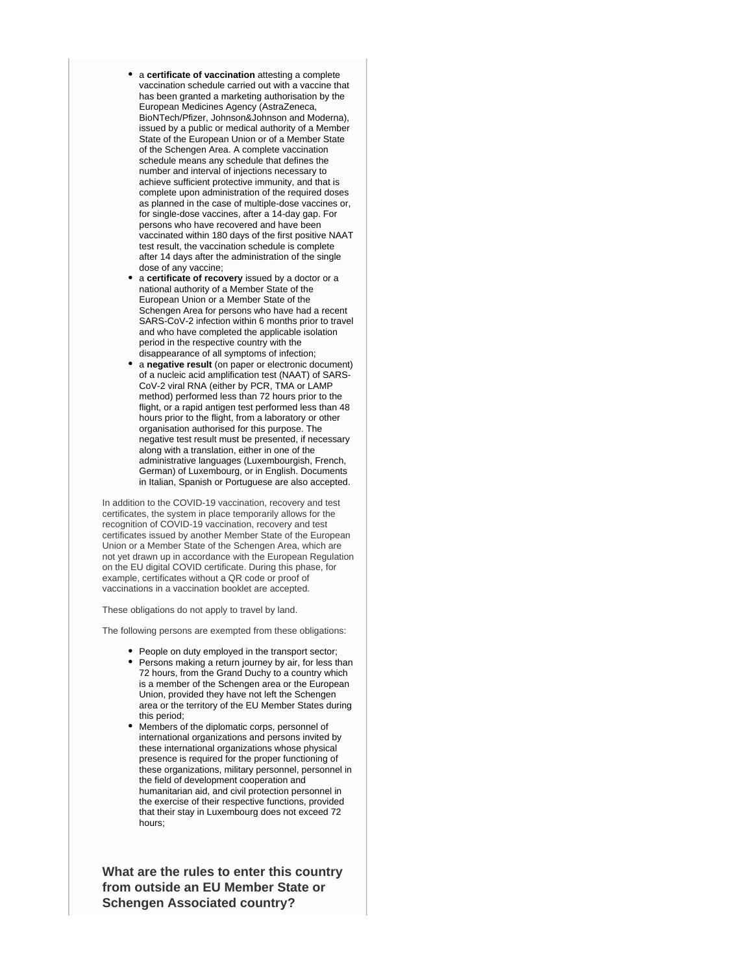- a certificate of vaccination attesting a complete vaccination schedule carried out with a vaccine that has been granted a marketing authorisation by the European Medicines Agency (AstraZeneca, BioNTech/Pfizer, Johnson&Johnson and Moderna), issued by a public or medical authority of a Member State of the European Union or of a Member State of the Schengen Area. A complete vaccination schedule means any schedule that defines the number and interval of injections necessary to achieve sufficient protective immunity, and that is complete upon administration of the required doses as planned in the case of multiple-dose vaccines or, for single-dose vaccines, after a 14-day gap. For persons who have recovered and have been vaccinated within 180 days of the first positive NAAT test result, the vaccination schedule is complete after 14 days after the administration of the single dose of any vaccine;
- a **certificate of recovery** issued by a doctor or a national authority of a Member State of the European Union or a Member State of the Schengen Area for persons who have had a recent SARS-CoV-2 infection within 6 months prior to travel and who have completed the applicable isolation period in the respective country with the disappearance of all symptoms of infection;
- a **negative result** (on paper or electronic document) of a nucleic acid amplification test (NAAT) of SARS-CoV-2 viral RNA (either by PCR, TMA or LAMP method) performed less than 72 hours prior to the flight, or a rapid antigen test performed less than 48 hours prior to the flight, from a laboratory or other organisation authorised for this purpose. The negative test result must be presented, if necessary along with a translation, either in one of the administrative languages (Luxembourgish, French, German) of Luxembourg, or in English. Documents in Italian, Spanish or Portuguese are also accepted.

In addition to the COVID-19 vaccination, recovery and test certificates, the system in place temporarily allows for the recognition of COVID-19 vaccination, recovery and test certificates issued by another Member State of the European Union or a Member State of the Schengen Area, which are not yet drawn up in accordance with the European Regulation on the EU digital COVID certificate. During this phase, for example, certificates without a QR code or proof of vaccinations in a vaccination booklet are accepted.

These obligations do not apply to travel by land.

The following persons are exempted from these obligations:

- People on duty employed in the transport sector;
- Persons making a return journey by air, for less than 72 hours, from the Grand Duchy to a country which is a member of the Schengen area or the European Union, provided they have not left the Schengen area or the territory of the EU Member States during this period;
- Members of the diplomatic corps, personnel of international organizations and persons invited by these international organizations whose physical presence is required for the proper functioning of these organizations, military personnel, personnel in the field of development cooperation and humanitarian aid, and civil protection personnel in the exercise of their respective functions, provided that their stay in Luxembourg does not exceed 72 hours;

**What are the rules to enter this country from outside an EU Member State or Schengen Associated country?**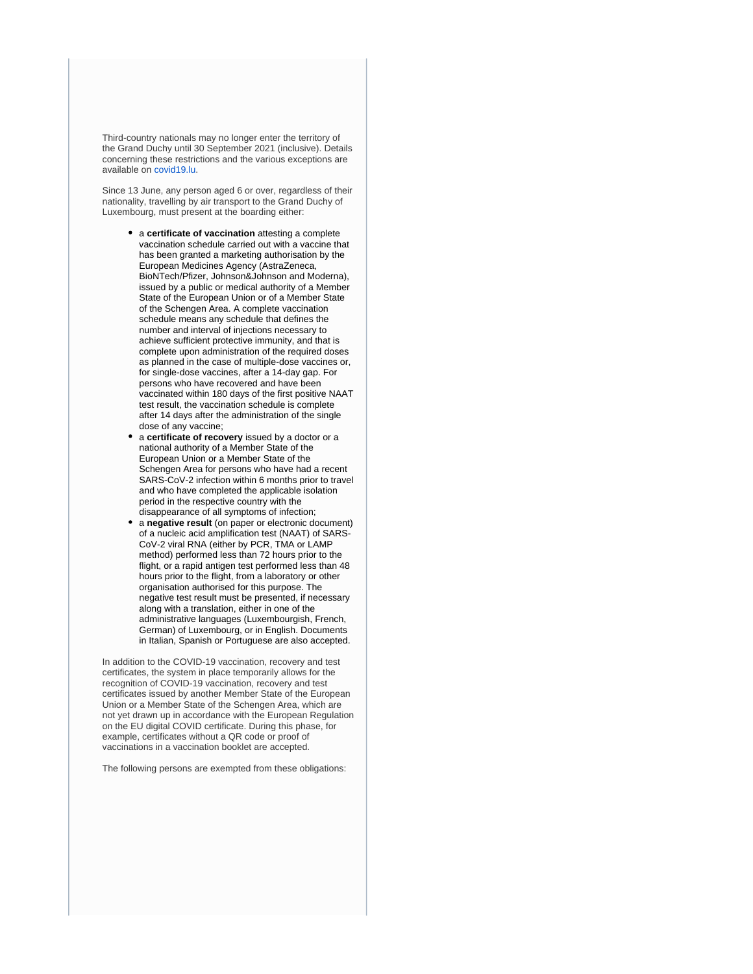Third-country nationals may no longer enter the territory of the Grand Duchy until 30 September 2021 (inclusive). Details concerning these restrictions and the various exceptions are available on [covid19.lu](https://covid19.public.lu/en.html).

Since 13 June, any person aged 6 or over, regardless of their nationality, travelling by air transport to the Grand Duchy of Luxembourg, must present at the boarding either:

- a **certificate of vaccination** attesting a complete vaccination schedule carried out with a vaccine that has been granted a marketing authorisation by the European Medicines Agency (AstraZeneca, BioNTech/Pfizer, Johnson&Johnson and Moderna), issued by a public or medical authority of a Member State of the European Union or of a Member State of the Schengen Area. A complete vaccination schedule means any schedule that defines the number and interval of injections necessary to achieve sufficient protective immunity, and that is complete upon administration of the required doses as planned in the case of multiple-dose vaccines or, for single-dose vaccines, after a 14-day gap. For persons who have recovered and have been vaccinated within 180 days of the first positive NAAT test result, the vaccination schedule is complete after 14 days after the administration of the single dose of any vaccine;
- a **certificate of recovery** issued by a doctor or a national authority of a Member State of the European Union or a Member State of the Schengen Area for persons who have had a recent SARS-CoV-2 infection within 6 months prior to travel and who have completed the applicable isolation period in the respective country with the disappearance of all symptoms of infection;
- a **negative result** (on paper or electronic document) of a nucleic acid amplification test (NAAT) of SARS-CoV-2 viral RNA (either by PCR, TMA or LAMP method) performed less than 72 hours prior to the flight, or a rapid antigen test performed less than 48 hours prior to the flight, from a laboratory or other organisation authorised for this purpose. The negative test result must be presented, if necessary along with a translation, either in one of the administrative languages (Luxembourgish, French, German) of Luxembourg, or in English. Documents in Italian, Spanish or Portuguese are also accepted.

In addition to the COVID-19 vaccination, recovery and test certificates, the system in place temporarily allows for the recognition of COVID-19 vaccination, recovery and test certificates issued by another Member State of the European Union or a Member State of the Schengen Area, which are not yet drawn up in accordance with the European Regulation on the EU digital COVID certificate. During this phase, for example, certificates without a QR code or proof of vaccinations in a vaccination booklet are accepted.

The following persons are exempted from these obligations: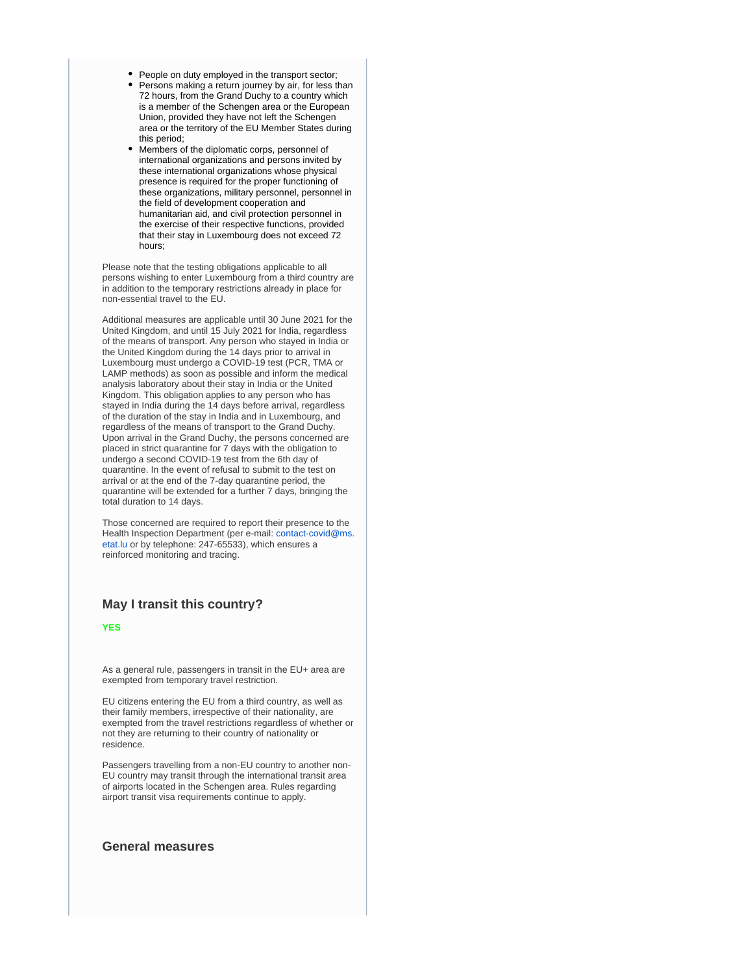- People on duty employed in the transport sector;
- Persons making a return journey by air, for less than 72 hours, from the Grand Duchy to a country which is a member of the Schengen area or the European Union, provided they have not left the Schengen area or the territory of the EU Member States during this period;
- Members of the diplomatic corps, personnel of international organizations and persons invited by these international organizations whose physical presence is required for the proper functioning of these organizations, military personnel, personnel in the field of development cooperation and humanitarian aid, and civil protection personnel in the exercise of their respective functions, provided that their stay in Luxembourg does not exceed 72 hours;

Please note that the testing obligations applicable to all persons wishing to enter Luxembourg from a third country are in addition to the temporary restrictions already in place for non-essential travel to the EU.

Additional measures are applicable until 30 June 2021 for the United Kingdom, and until 15 July 2021 for India, regardless of the means of transport. Any person who stayed in India or the United Kingdom during the 14 days prior to arrival in Luxembourg must undergo a COVID-19 test (PCR, TMA or LAMP methods) as soon as possible and inform the medical analysis laboratory about their stay in India or the United Kingdom. This obligation applies to any person who has stayed in India during the 14 days before arrival, regardless of the duration of the stay in India and in Luxembourg, and regardless of the means of transport to the Grand Duchy. Upon arrival in the Grand Duchy, the persons concerned are placed in strict quarantine for 7 days with the obligation to undergo a second COVID-19 test from the 6th day of quarantine. In the event of refusal to submit to the test on arrival or at the end of the 7-day quarantine period, the quarantine will be extended for a further 7 days, bringing the total duration to 14 days.

Those concerned are required to report their presence to the Health Inspection Department (per e-mail: [contact-covid@ms.](mailto:contact-covid@ms.etat.lu) [etat.lu](mailto:contact-covid@ms.etat.lu) or by telephone: 247-65533), which ensures a reinforced monitoring and tracing.

## **May I transit this country?**

**YES**

As a general rule, passengers in transit in the EU+ area are exempted from temporary travel restriction.

EU citizens entering the EU from a third country, as well as their family members, irrespective of their nationality, are exempted from the travel restrictions regardless of whether or not they are returning to their country of nationality or residence.

Passengers travelling from a non-EU country to another non-EU country may transit through the international transit area of airports located in the Schengen area. Rules regarding airport transit visa requirements continue to apply.

#### **General measures**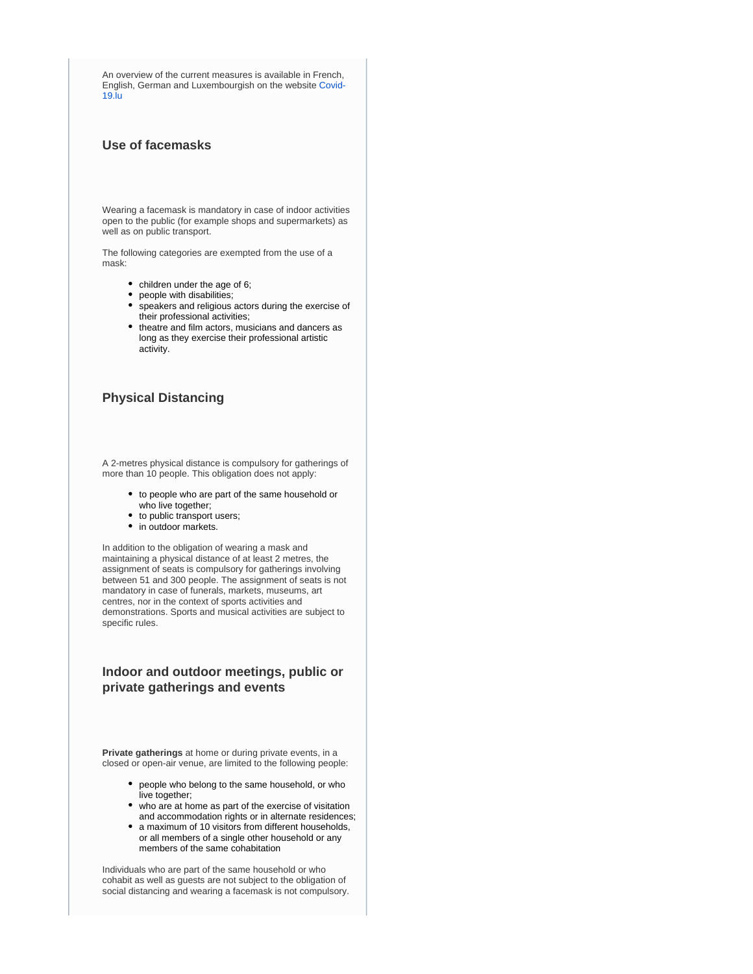An overview of the current measures is available in French, English, German and Luxembourgish on the website [Covid-](https://covid19.public.lu/)[19.lu](https://covid19.public.lu/)

# **Use of facemasks**

Wearing a facemask is mandatory in case of indoor activities open to the public (for example shops and supermarkets) as well as on public transport.

The following categories are exempted from the use of a mask:

- children under the age of 6;
- people with disabilities;
- $\bullet$ speakers and religious actors during the exercise of their professional activities;
- theatre and film actors, musicians and dancers as long as they exercise their professional artistic activity.

#### **Physical Distancing**

A 2-metres physical distance is compulsory for gatherings of more than 10 people. This obligation does not apply:

- to people who are part of the same household or who live together;
- to public transport users;
- in outdoor markets.

In addition to the obligation of wearing a mask and maintaining a physical distance of at least 2 metres, the assignment of seats is compulsory for gatherings involving between 51 and 300 people. The assignment of seats is not mandatory in case of funerals, markets, museums, art centres, nor in the context of sports activities and demonstrations. Sports and musical activities are subject to specific rules.

# **Indoor and outdoor meetings, public or private gatherings and events**

**Private gatherings** at home or during private events, in a closed or open-air venue, are limited to the following people:

- people who belong to the same household, or who live together;
- who are at home as part of the exercise of visitation and accommodation rights or in alternate residences;
- a maximum of 10 visitors from different households, or all members of a single other household or any members of the same cohabitation

Individuals who are part of the same household or who cohabit as well as guests are not subject to the obligation of social distancing and wearing a facemask is not compulsory.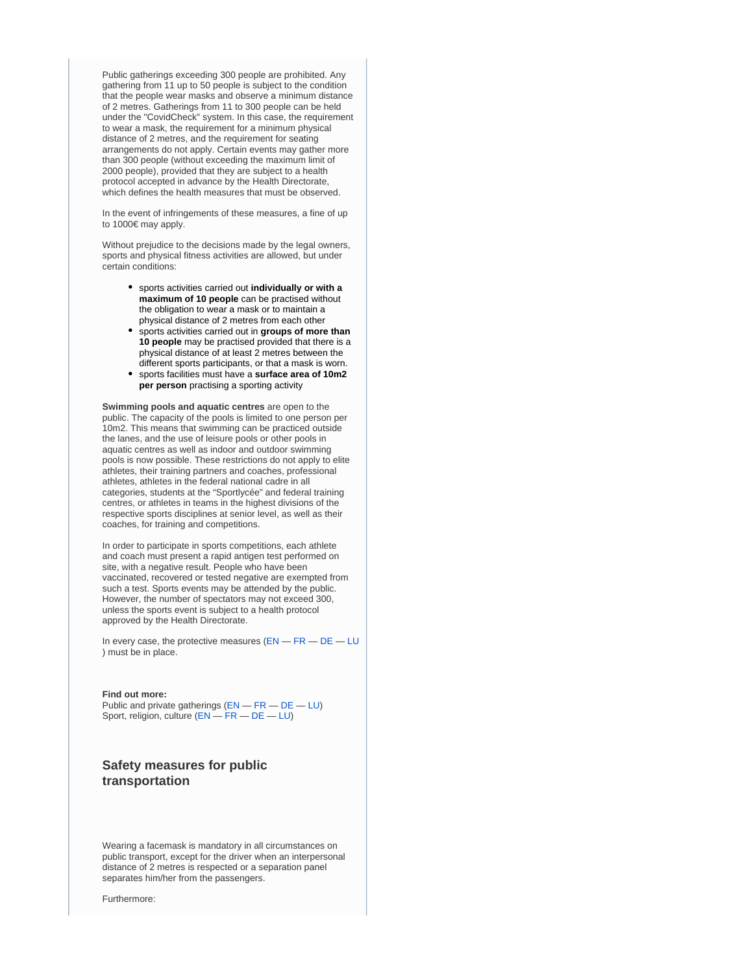Public gatherings exceeding 300 people are prohibited. Any gathering from 11 up to 50 people is subject to the condition that the people wear masks and observe a minimum distance of 2 metres. Gatherings from 11 to 300 people can be held under the "CovidCheck" system. In this case, the requirement to wear a mask, the requirement for a minimum physical distance of 2 metres, and the requirement for seating arrangements do not apply. Certain events may gather more than 300 people (without exceeding the maximum limit of 2000 people), provided that they are subject to a health protocol accepted in advance by the Health Directorate, which defines the health measures that must be observed.

In the event of infringements of these measures, a fine of up to 1000€ may apply.

Without prejudice to the decisions made by the legal owners, sports and physical fitness activities are allowed, but under certain conditions:

- sports activities carried out **individually or with a maximum of 10 people** can be practised without the obligation to wear a mask or to maintain a physical distance of 2 metres from each other
- sports activities carried out in **groups of more than 10 people** may be practised provided that there is a physical distance of at least 2 metres between the different sports participants, or that a mask is worn.
- sports facilities must have a **surface area of 10m2 per person** practising a sporting activity

**Swimming pools and aquatic centres** are open to the public. The capacity of the pools is limited to one person per 10m2. This means that swimming can be practiced outside the lanes, and the use of leisure pools or other pools in aquatic centres as well as indoor and outdoor swimming pools is now possible. These restrictions do not apply to elite athletes, their training partners and coaches, professional athletes, athletes in the federal national cadre in all categories, students at the "Sportlycée" and federal training centres, or athletes in teams in the highest divisions of the respective sports disciplines at senior level, as well as their coaches, for training and competitions.

In order to participate in sports competitions, each athlete and coach must present a rapid antigen test performed on site, with a negative result. People who have been vaccinated, recovered or tested negative are exempted from such a test. Sports events may be attended by the public. However, the number of spectators may not exceed 300, unless the sports event is subject to a health protocol approved by the Health Directorate.

In every case, the protective measures ([EN](https://covid19.public.lu/en/health-protection/protective-measures.html) — [FR](https://covid19.public.lu/fr/sante-protection/gestes-barriere.html) — [DE](https://covid19.public.lu/de/gesundheit-schutz/barrieremassnahmen.html) — [LU](https://covid19.public.lu/lb/gesondheet-protektioun/geste-barrieren.html) ) must be in place.

#### **Find out more:**

Public and private gatherings ([EN](https://covid19.public.lu/en/sanitary-measures/gatherings.html) — [FR](https://covid19.public.lu/fr/mesures-sanitaires-en-vigueur/rassemblements.html) — [DE](https://covid19.public.lu/de/hygienemassnahmen/versammlungen.html) — [LU](https://covid19.public.lu/lb/sanitaer-mesuren/versammlungen.html)) Sport, religion, culture ([EN](https://covid19.public.lu/en/sanitary-measures/sport-religion-culture.html) — [FR](https://covid19.public.lu/fr/mesures-sanitaires-en-vigueur/sports-cultes-culture.html) — [DE](https://covid19.public.lu/de/hygienemassnahmen/sport-kultus-kultur.html) — [LU](https://covid19.public.lu/lb/sanitaer-mesuren/sport-kultus-kultur.html))

# **Safety measures for public transportation**

Wearing a facemask is mandatory in all circumstances on public transport, except for the driver when an interpersonal distance of 2 metres is respected or a separation panel separates him/her from the passengers.

Furthermore: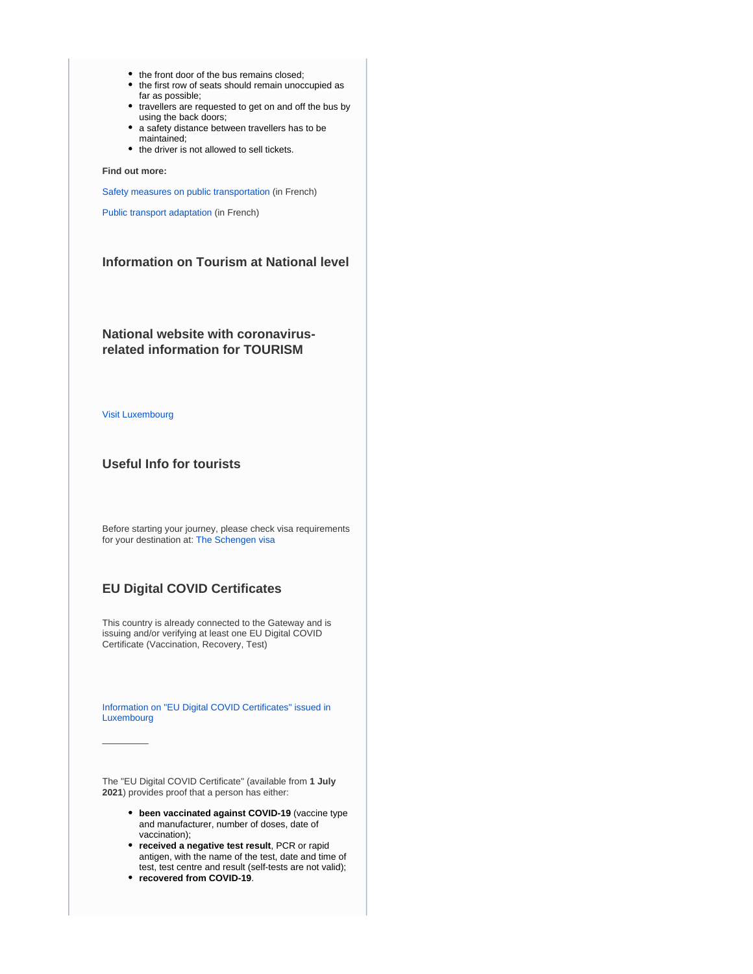- the front door of the bus remains closed;
- the first row of seats should remain unoccupied as far as possible;
- travellers are requested to get on and off the bus by using the back doors;
- a safety distance between travellers has to be maintained;
- the driver is not allowed to sell tickets.

**Find out more:**

[Safety measures on public transportation](https://transports.public.lu/fr/actualites/2020/04-avril-16-covid-19-mesures-transports-publics.html) (in French)

[Public transport adaptation](https://transports.public.lu/fr/actualites/2020/03-mars-covid-19-transports-modifications-mesures-coronavirus.html) (in French)

## **Information on Tourism at National level**

**National website with coronavirusrelated information for TOURISM**

[Visit Luxembourg](https://www.visitluxembourg.com/en)

 $\overline{\phantom{a}}$ 

#### **Useful Info for tourists**

Before starting your journey, please check visa requirements for your destination at: [The Schengen visa](https://ec.europa.eu/home-affairs/what-we-do/policies/borders-and-visas/visa-policy/schengen_visa_en)

# **EU Digital COVID Certificates**

This country is already connected to the Gateway and is issuing and/or verifying at least one EU Digital COVID Certificate (Vaccination, Recovery, Test)

[Information on "EU Digital COVID Certificates" issued in](https://covid19.public.lu/en/covidcheck/certificate.html)  [Luxembourg](https://covid19.public.lu/en/covidcheck/certificate.html)

The "EU Digital COVID Certificate" (available from **1 July 2021**) provides proof that a person has either:

- **been vaccinated against COVID-19** (vaccine type and manufacturer, number of doses, date of vaccination);
- **received a negative test result**, PCR or rapid antigen, with the name of the test, date and time of test, test centre and result (self-tests are not valid);
- **recovered from COVID-19**.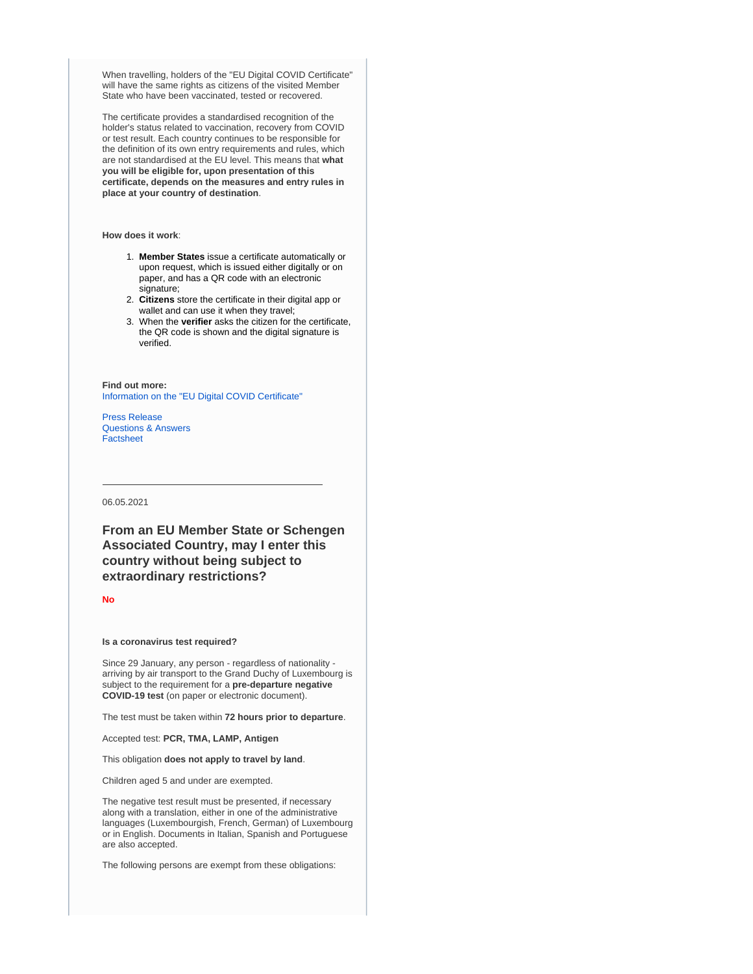When travelling, holders of the "EU Digital COVID Certificate" will have the same rights as citizens of the visited Member State who have been vaccinated, tested or recovered.

The certificate provides a standardised recognition of the holder's status related to vaccination, recovery from COVID or test result. Each country continues to be responsible for the definition of its own entry requirements and rules, which are not standardised at the EU level. This means that **what you will be eligible for, upon presentation of this certificate, depends on the measures and entry rules in place at your country of destination**.

**How does it work**:

- 1. **Member States** issue a certificate automatically or upon request, which is issued either digitally or on paper, and has a QR code with an electronic signature;
- 2. **Citizens** store the certificate in their digital app or wallet and can use it when they travel;
- 3. When the **verifier** asks the citizen for the certificate, the QR code is shown and the digital signature is verified.

**Find out more:** [Information on the "EU Digital COVID Certificate"](https://ec.europa.eu/info/live-work-travel-eu/coronavirus-response/safe-covid-19-vaccines-europeans/eu-digital-covid-certificate_en)

[Press Release](https://ec.europa.eu/commission/presscorner/detail/en/IP_21_2721) [Questions & Answers](https://ec.europa.eu/commission/presscorner/detail/en/QANDA_21_2781) [Factsheet](https://ec.europa.eu/commission/presscorner/detail/en/FS_21_2793)

06.05.2021

**From an EU Member State or Schengen Associated Country, may I enter this country without being subject to extraordinary restrictions?**

**No**

#### **Is a coronavirus test required?**

Since 29 January, any person - regardless of nationality arriving by air transport to the Grand Duchy of Luxembourg is subject to the requirement for a **pre-departure negative COVID-19 test** (on paper or electronic document).

The test must be taken within **72 hours prior to departure**.

Accepted test: **PCR, TMA, LAMP, Antigen**

This obligation **does not apply to travel by land**.

Children aged 5 and under are exempted.

The negative test result must be presented, if necessary along with a translation, either in one of the administrative languages (Luxembourgish, French, German) of Luxembourg or in English. Documents in Italian, Spanish and Portuguese are also accepted.

The following persons are exempt from these obligations: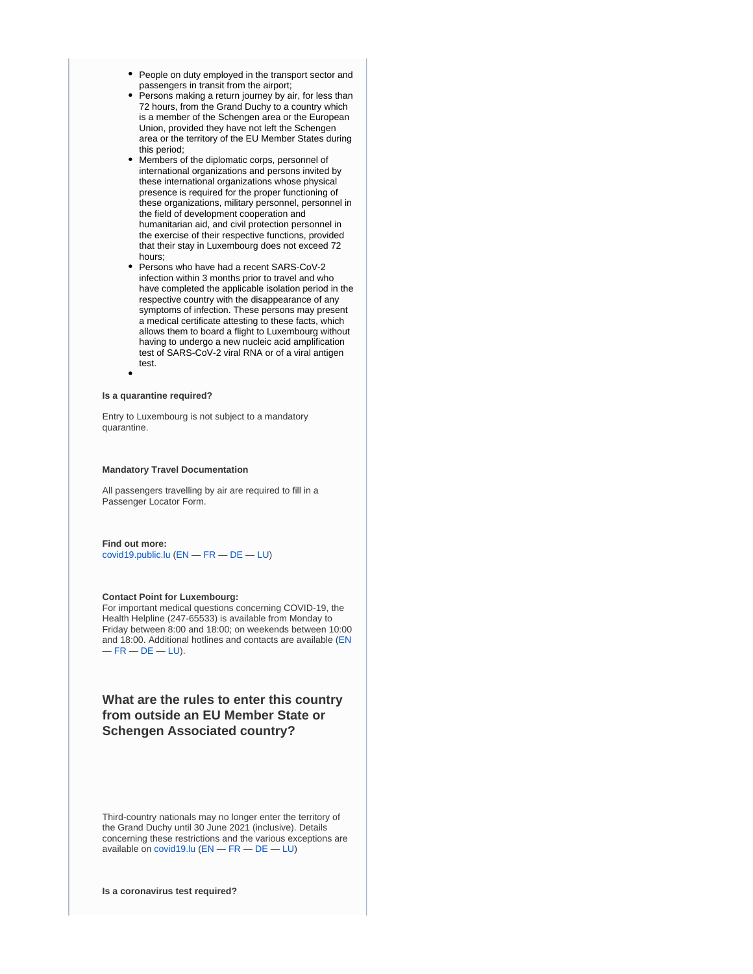- People on duty employed in the transport sector and passengers in transit from the airport;
- Persons making a return journey by air, for less than 72 hours, from the Grand Duchy to a country which is a member of the Schengen area or the European Union, provided they have not left the Schengen area or the territory of the EU Member States during this period;
- Members of the diplomatic corps, personnel of international organizations and persons invited by these international organizations whose physical presence is required for the proper functioning of these organizations, military personnel, personnel in the field of development cooperation and humanitarian aid, and civil protection personnel in the exercise of their respective functions, provided that their stay in Luxembourg does not exceed 72 hours;
- Persons who have had a recent SARS-CoV-2 infection within 3 months prior to travel and who have completed the applicable isolation period in the respective country with the disappearance of any symptoms of infection. These persons may present a medical certificate attesting to these facts, which allows them to board a flight to Luxembourg without having to undergo a new nucleic acid amplification test of SARS-CoV-2 viral RNA or of a viral antigen test.

#### **Is a quarantine required?**

Entry to Luxembourg is not subject to a mandatory quarantine.

#### **Mandatory Travel Documentation**

All passengers travelling by air are required to fill in a Passenger Locator Form.

#### **Find out more:**

[covid19.public.lu](http://covid19.public.lu) [\(EN](https://covid19.public.lu/en/travellers/visiting-luxembourg.html) — [FR](https://covid19.public.lu/fr/voyageurs/visiter-luxembourg.html) — [DE](https://covid19.public.lu/de/reisende/luxemburg-besuchen.html) — [LU\)](https://covid19.public.lu/lb/reesen/letzebuerg-besichen.html)

#### **Contact Point for Luxembourg:**

For important medical questions concerning COVID-19, the Health Helpline (247-65533) is available from Monday to Friday between 8:00 and 18:00; on weekends between 10:00 and 18:00. Additional hotlines and contacts are available [\(EN](https://covid19.public.lu/en/support/contact.html)  $-FR - DE - LU$  $-FR - DE - LU$  $-FR - DE - LU$  $-FR - DE - LU$  $-FR - DE - LU$  $-FR - DE - LU$ ).

# **What are the rules to enter this country from outside an EU Member State or Schengen Associated country?**

Third-country nationals may no longer enter the territory of the Grand Duchy until 30 June 2021 (inclusive). Details concerning these restrictions and the various exceptions are available on [covid19.lu](http://covid19.lu) ([EN](https://covid19.public.lu/en/travellers/visiting-luxembourg.html) — [FR](https://covid19.public.lu/fr/voyageurs/visiter-luxembourg.html) — [DE](https://covid19.public.lu/de/reisende/luxemburg-besuchen.html) — [LU](https://covid19.public.lu/lb/reesen/letzebuerg-besichen.html))

**Is a coronavirus test required?**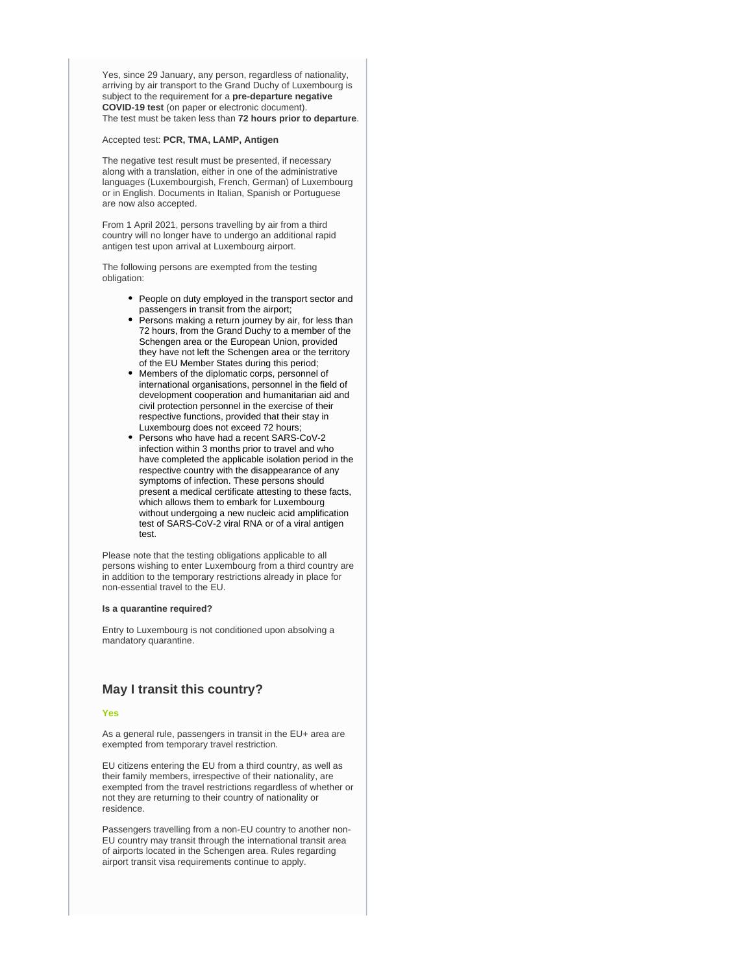Yes, since 29 January, any person, regardless of nationality, arriving by air transport to the Grand Duchy of Luxembourg is subject to the requirement for a **pre-departure negative COVID-19 test** (on paper or electronic document). The test must be taken less than **72 hours prior to departure**.

#### Accepted test: **PCR, TMA, LAMP, Antigen**

The negative test result must be presented, if necessary along with a translation, either in one of the administrative languages (Luxembourgish, French, German) of Luxembourg or in English. Documents in Italian, Spanish or Portuguese are now also accepted.

From 1 April 2021, persons travelling by air from a third country will no longer have to undergo an additional rapid antigen test upon arrival at Luxembourg airport.

The following persons are exempted from the testing obligation:

- People on duty employed in the transport sector and passengers in transit from the airport;
- Persons making a return journey by air, for less than 72 hours, from the Grand Duchy to a member of the Schengen area or the European Union, provided they have not left the Schengen area or the territory of the EU Member States during this period;
- Members of the diplomatic corps, personnel of international organisations, personnel in the field of development cooperation and humanitarian aid and civil protection personnel in the exercise of their respective functions, provided that their stay in Luxembourg does not exceed 72 hours;
- Persons who have had a recent SARS-CoV-2 infection within 3 months prior to travel and who have completed the applicable isolation period in the respective country with the disappearance of any symptoms of infection. These persons should present a medical certificate attesting to these facts, which allows them to embark for Luxembourg without undergoing a new nucleic acid amplification test of SARS-CoV-2 viral RNA or of a viral antigen test.

Please note that the testing obligations applicable to all persons wishing to enter Luxembourg from a third country are in addition to the temporary restrictions already in place for non-essential travel to the EU.

#### **Is a quarantine required?**

Entry to Luxembourg is not conditioned upon absolving a mandatory quarantine.

### **May I transit this country?**

#### **Yes**

As a general rule, passengers in transit in the EU+ area are exempted from temporary travel restriction.

EU citizens entering the EU from a third country, as well as their family members, irrespective of their nationality, are exempted from the travel restrictions regardless of whether or not they are returning to their country of nationality or residence.

Passengers travelling from a non-EU country to another non-EU country may transit through the international transit area of airports located in the Schengen area. Rules regarding airport transit visa requirements continue to apply.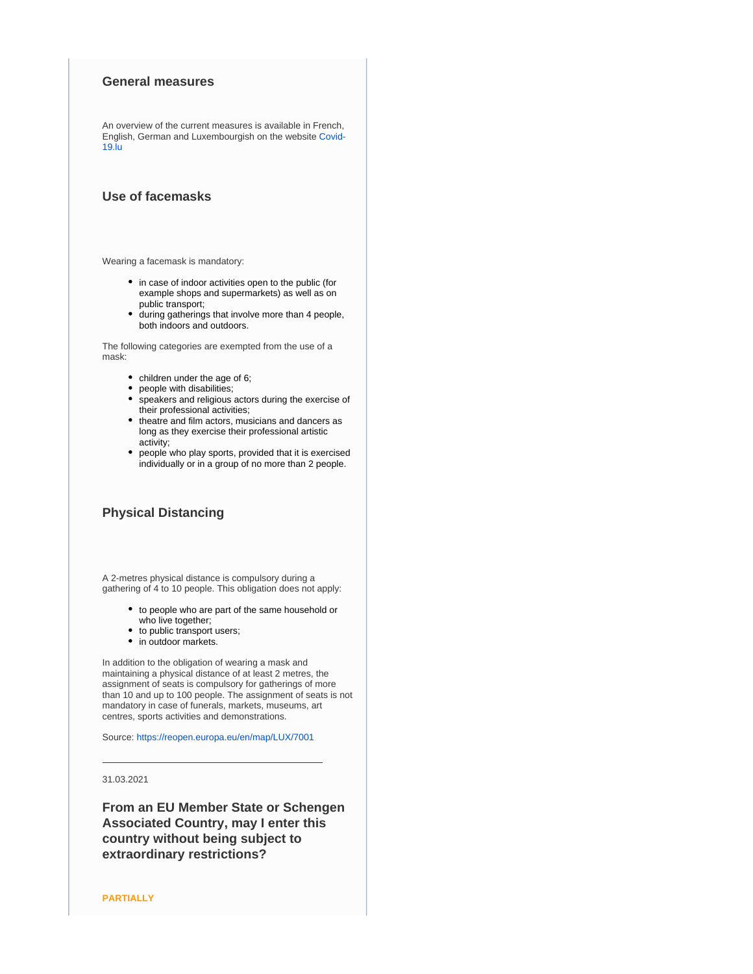#### **General measures**

An overview of the current measures is available in French, English, German and Luxembourgish on the website [Covid-](https://covid19.public.lu)[19.lu](https://covid19.public.lu)

# **Use of facemasks**

Wearing a facemask is mandatory:

- in case of indoor activities open to the public (for example shops and supermarkets) as well as on public transport;
- during gatherings that involve more than 4 people, both indoors and outdoors.

The following categories are exempted from the use of a mask:

- children under the age of 6;
- people with disabilities;
- speakers and religious actors during the exercise of their professional activities;
- theatre and film actors, musicians and dancers as long as they exercise their professional artistic activity;
- people who play sports, provided that it is exercised individually or in a group of no more than 2 people.

## **Physical Distancing**

A 2-metres physical distance is compulsory during a gathering of 4 to 10 people. This obligation does not apply:

- to people who are part of the same household or who live together;
- to public transport users;
- in outdoor markets.

In addition to the obligation of wearing a mask and maintaining a physical distance of at least 2 metres, the assignment of seats is compulsory for gatherings of more than 10 and up to 100 people. The assignment of seats is not mandatory in case of funerals, markets, museums, art centres, sports activities and demonstrations.

Source:<https://reopen.europa.eu/en/map/LUX/7001>

### 31.03.2021

**From an EU Member State or Schengen Associated Country, may I enter this country without being subject to extraordinary restrictions?**

**PARTIALLY**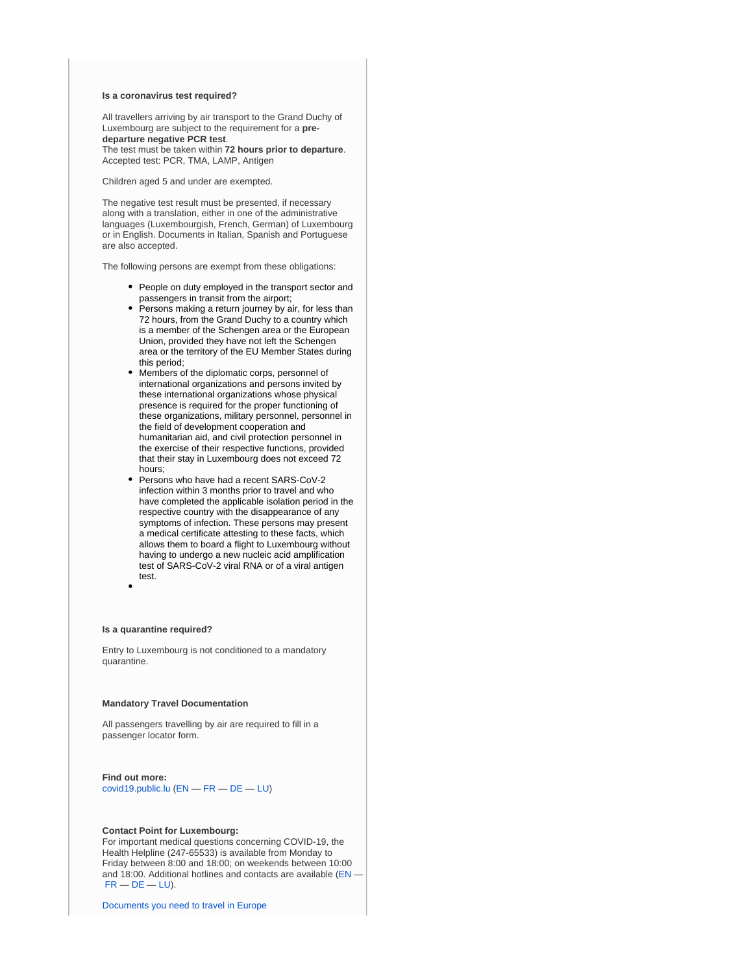#### **Is a coronavirus test required?**

All travellers arriving by air transport to the Grand Duchy of Luxembourg are subject to the requirement for a **predeparture negative PCR test**.

The test must be taken within **72 hours prior to departure**. Accepted test: PCR, TMA, LAMP, Antigen

Children aged 5 and under are exempted.

The negative test result must be presented, if necessary along with a translation, either in one of the administrative languages (Luxembourgish, French, German) of Luxembourg or in English. Documents in Italian, Spanish and Portuguese are also accepted.

The following persons are exempt from these obligations:

- People on duty employed in the transport sector and passengers in transit from the airport;
- Persons making a return journey by air, for less than 72 hours, from the Grand Duchy to a country which is a member of the Schengen area or the European Union, provided they have not left the Schengen area or the territory of the EU Member States during this period;
- Members of the diplomatic corps, personnel of international organizations and persons invited by these international organizations whose physical presence is required for the proper functioning of these organizations, military personnel, personnel in the field of development cooperation and humanitarian aid, and civil protection personnel in the exercise of their respective functions, provided that their stay in Luxembourg does not exceed 72 hours;
- Persons who have had a recent SARS-CoV-2 infection within 3 months prior to travel and who have completed the applicable isolation period in the respective country with the disappearance of any symptoms of infection. These persons may present a medical certificate attesting to these facts, which allows them to board a flight to Luxembourg without having to undergo a new nucleic acid amplification test of SARS-CoV-2 viral RNA or of a viral antigen test.

#### **Is a quarantine required?**

Entry to Luxembourg is not conditioned to a mandatory quarantine.

#### **Mandatory Travel Documentation**

All passengers travelling by air are required to fill in a passenger locator form.

**Find out more:** [covid19.public.lu](http://covid19.public.lu) [\(EN](https://covid19.public.lu/en/travellers/visiting-luxembourg.html) — [FR](https://covid19.public.lu/fr/voyageurs/visiter-luxembourg.html) — [DE](https://covid19.public.lu/de/reisende/luxemburg-besuchen.html) — [LU\)](https://covid19.public.lu/lb/reesen/letzebuerg-besichen.html)

#### **Contact Point for Luxembourg:**

For important medical questions concerning COVID-19, the Health Helpline (247-65533) is available from Monday to Friday between 8:00 and 18:00; on weekends between 10:00 and 18:00. Additional hotlines and contacts are available [\(EN](https://covid19.public.lu/en/support/contact.html) —  $FR - DE - LU$  $FR - DE - LU$  $FR - DE - LU$  $FR - DE - LU$ ).

[Documents you need to travel in Europe](https://europa.eu/youreurope/citizens/travel/entry-exit/index_en.htm)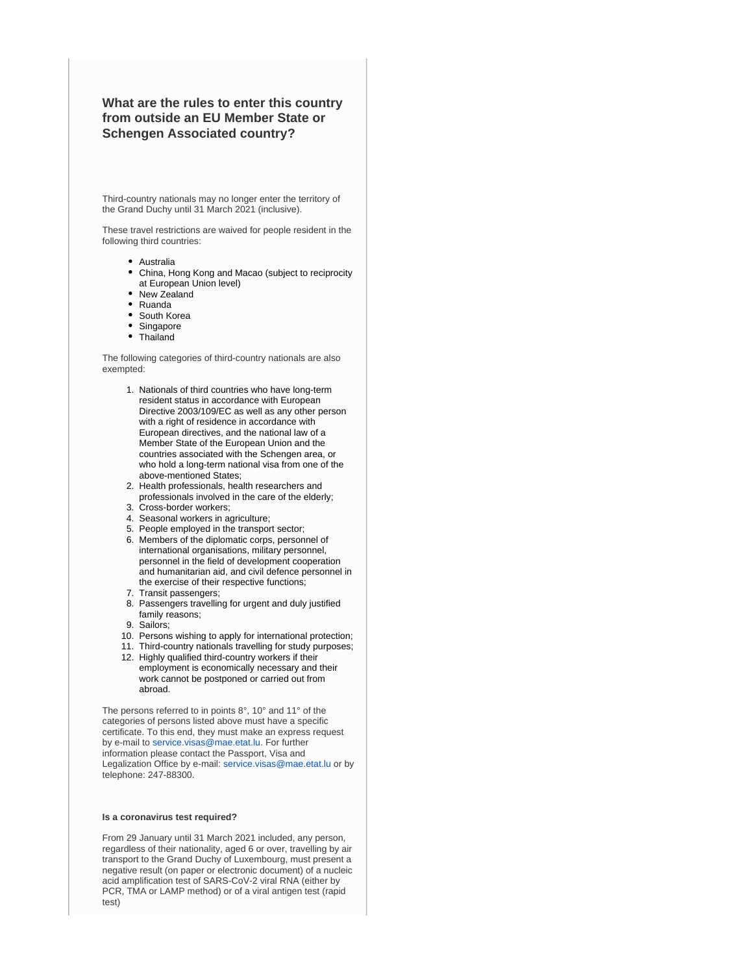**What are the rules to enter this country from outside an EU Member State or Schengen Associated country?**

Third-country nationals may no longer enter the territory of the Grand Duchy until 31 March 2021 (inclusive).

These travel restrictions are waived for people resident in the following third countries:

- Australia
- China, Hong Kong and Macao (subject to reciprocity at European Union level)
- New Zealand
- Ruanda
- South Korea
- Singapore
- Thailand

The following categories of third-country nationals are also exempted:

- 1. Nationals of third countries who have long-term resident status in accordance with European Directive 2003/109/EC as well as any other person with a right of residence in accordance with European directives, and the national law of a Member State of the European Union and the countries associated with the Schengen area, or who hold a long-term national visa from one of the above-mentioned States;
- 2. Health professionals, health researchers and professionals involved in the care of the elderly;
- 3. Cross-border workers;
- 4. Seasonal workers in agriculture;
- 5. People employed in the transport sector;
- 6. Members of the diplomatic corps, personnel of international organisations, military personnel, personnel in the field of development cooperation and humanitarian aid, and civil defence personnel in the exercise of their respective functions;
- 7. Transit passengers;
- 8. Passengers travelling for urgent and duly justified family reasons;
- 9. Sailors;
- 10. Persons wishing to apply for international protection;
- 11. Third-country nationals travelling for study purposes;
- 12. Highly qualified third-country workers if their employment is economically necessary and their work cannot be postponed or carried out from abroad.

The persons referred to in points 8°, 10° and 11° of the categories of persons listed above must have a specific certificate. To this end, they must make an express request by e-mail to [service.visas@mae.etat.lu.](mailto:service.visas@mae.etat.lu) For further information please contact the Passport, Visa and Legalization Office by e-mail: [service.visas@mae.etat.lu](mailto:service.visas@mae.etat.lu) or by telephone: 247-88300.

#### **Is a coronavirus test required?**

From 29 January until 31 March 2021 included, any person, regardless of their nationality, aged 6 or over, travelling by air transport to the Grand Duchy of Luxembourg, must present a negative result (on paper or electronic document) of a nucleic acid amplification test of SARS-CoV-2 viral RNA (either by PCR, TMA or LAMP method) or of a viral antigen test (rapid test)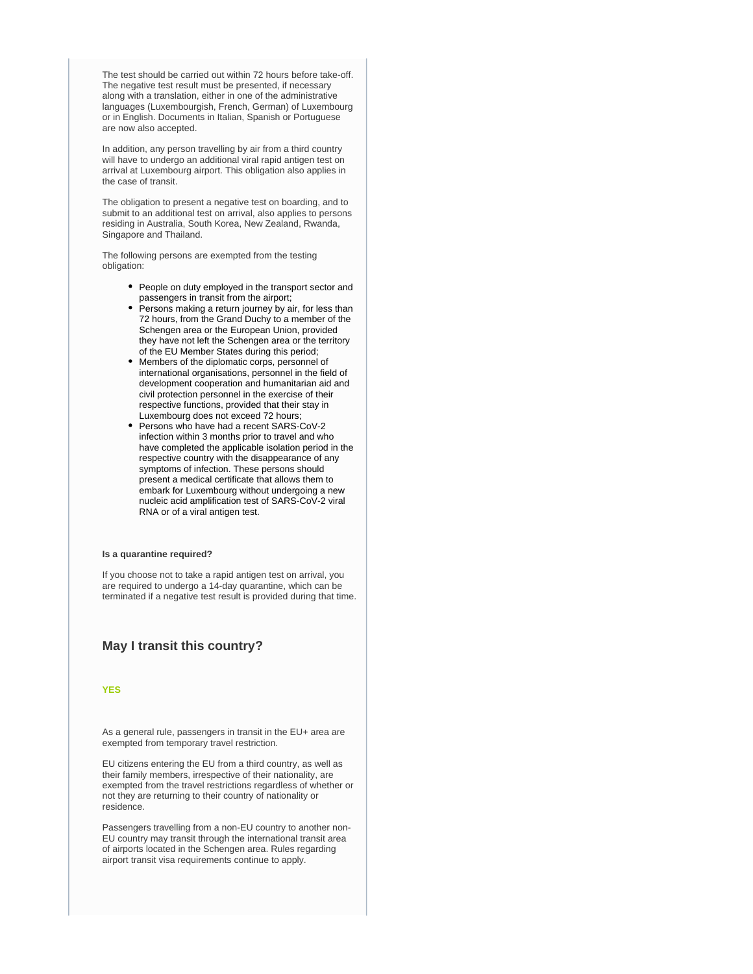The test should be carried out within 72 hours before take-off. The negative test result must be presented, if necessary along with a translation, either in one of the administrative languages (Luxembourgish, French, German) of Luxembourg or in English. Documents in Italian, Spanish or Portuguese are now also accepted.

In addition, any person travelling by air from a third country will have to undergo an additional viral rapid antigen test on arrival at Luxembourg airport. This obligation also applies in the case of transit.

The obligation to present a negative test on boarding, and to submit to an additional test on arrival, also applies to persons residing in Australia, South Korea, New Zealand, Rwanda, Singapore and Thailand.

The following persons are exempted from the testing obligation:

- People on duty employed in the transport sector and passengers in transit from the airport;
- Persons making a return journey by air, for less than 72 hours, from the Grand Duchy to a member of the Schengen area or the European Union, provided they have not left the Schengen area or the territory of the EU Member States during this period;
- Members of the diplomatic corps, personnel of international organisations, personnel in the field of development cooperation and humanitarian aid and civil protection personnel in the exercise of their respective functions, provided that their stay in Luxembourg does not exceed 72 hours;
- Persons who have had a recent SARS-CoV-2 infection within 3 months prior to travel and who have completed the applicable isolation period in the respective country with the disappearance of any symptoms of infection. These persons should present a medical certificate that allows them to embark for Luxembourg without undergoing a new nucleic acid amplification test of SARS-CoV-2 viral RNA or of a viral antigen test.

#### **Is a quarantine required?**

If you choose not to take a rapid antigen test on arrival, you are required to undergo a 14-day quarantine, which can be terminated if a negative test result is provided during that time.

#### **May I transit this country?**

#### **YES**

As a general rule, passengers in transit in the EU+ area are exempted from temporary travel restriction.

EU citizens entering the EU from a third country, as well as their family members, irrespective of their nationality, are exempted from the travel restrictions regardless of whether or not they are returning to their country of nationality or residence.

Passengers travelling from a non-EU country to another non-EU country may transit through the international transit area of airports located in the Schengen area. Rules regarding airport transit visa requirements continue to apply.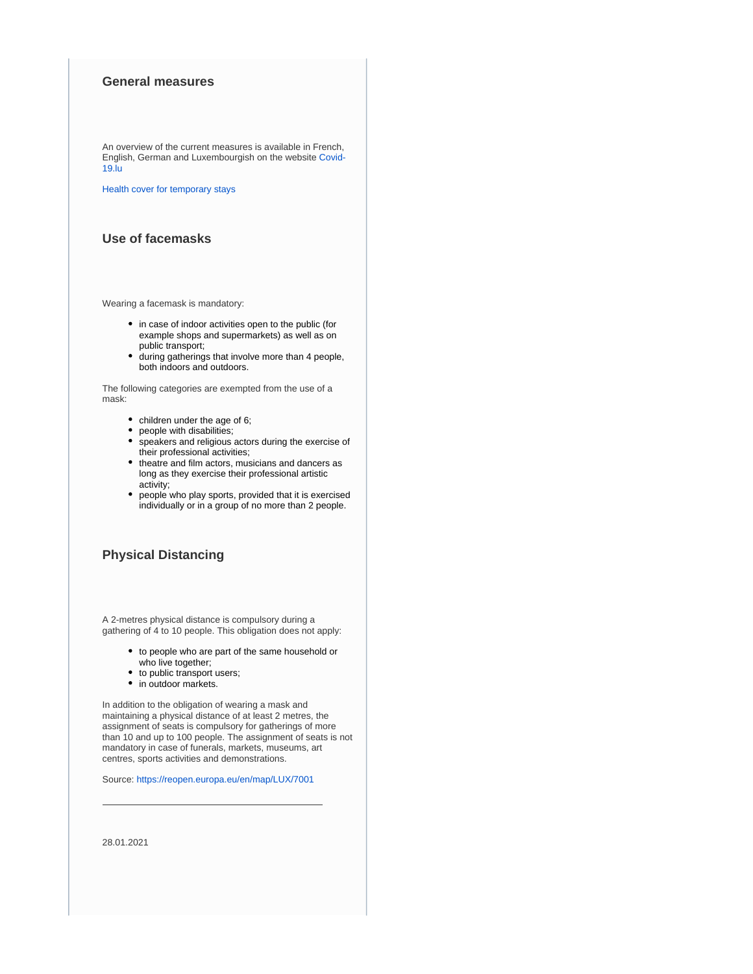## **General measures**

An overview of the current measures is available in French, English, German and Luxembourgish on the website [Covid-](https://covid19.public.lu/)[19.lu](https://covid19.public.lu/)

[Health cover for temporary stays](https://europa.eu/youreurope/citizens/health/unplanned-healthcare/temporary-stays/index_en.htm)

# **Use of facemasks**

Wearing a facemask is mandatory:

- in case of indoor activities open to the public (for example shops and supermarkets) as well as on public transport;
- during gatherings that involve more than 4 people, both indoors and outdoors.

The following categories are exempted from the use of a mask:

- children under the age of 6;
- people with disabilities;
- $\bullet$ speakers and religious actors during the exercise of their professional activities;
- theatre and film actors, musicians and dancers as long as they exercise their professional artistic activity;
- people who play sports, provided that it is exercised individually or in a group of no more than 2 people.

# **Physical Distancing**

A 2-metres physical distance is compulsory during a gathering of 4 to 10 people. This obligation does not apply:

- to people who are part of the same household or who live together;
- to public transport users;
- in outdoor markets.

In addition to the obligation of wearing a mask and maintaining a physical distance of at least 2 metres, the assignment of seats is compulsory for gatherings of more than 10 and up to 100 people. The assignment of seats is not mandatory in case of funerals, markets, museums, art centres, sports activities and demonstrations.

Source:<https://reopen.europa.eu/en/map/LUX/7001>

28.01.2021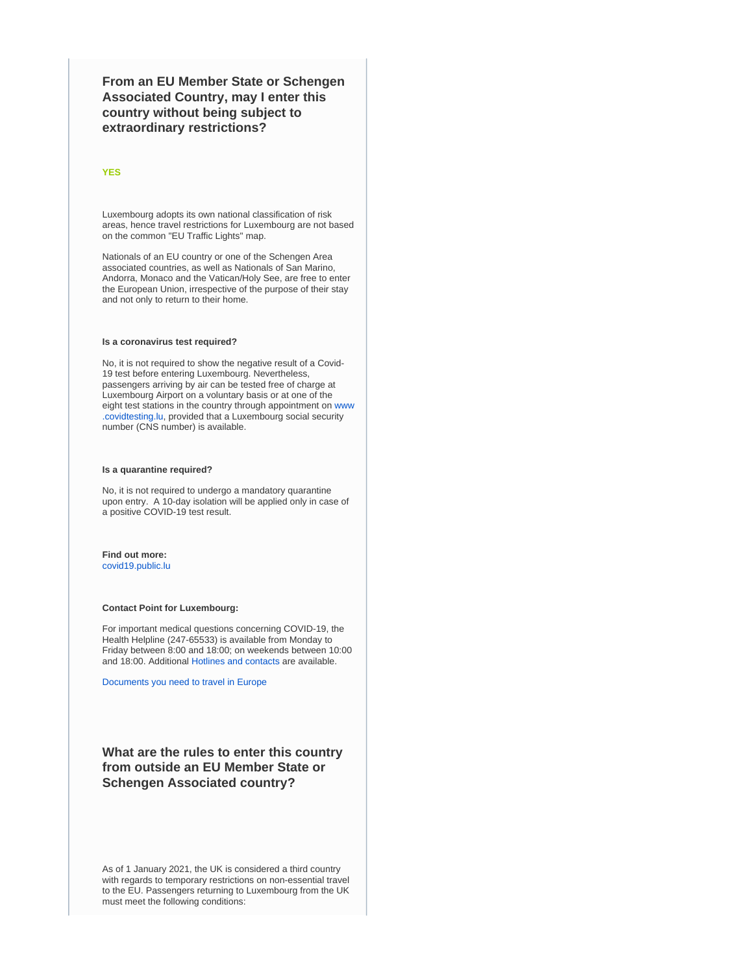**From an EU Member State or Schengen Associated Country, may I enter this country without being subject to extraordinary restrictions?**

#### **YES**

Luxembourg adopts its own national classification of risk areas, hence travel restrictions for Luxembourg are not based on the common "EU Traffic Lights" map.

Nationals of an EU country or one of the Schengen Area associated countries, as well as Nationals of San Marino, Andorra, Monaco and the Vatican/Holy See, are free to enter the European Union, irrespective of the purpose of their stay and not only to return to their home.

#### **Is a coronavirus test required?**

No, it is not required to show the negative result of a Covid-19 test before entering Luxembourg. Nevertheless, passengers arriving by air can be tested free of charge at Luxembourg Airport on a voluntary basis or at one of the eight test stations in the country through appointment on [www](https://covid19.public.lu/en/testing.html) [.covidtesting.lu,](https://covid19.public.lu/en/testing.html) provided that a Luxembourg social security number (CNS number) is available.

#### **Is a quarantine required?**

No, it is not required to undergo a mandatory quarantine upon entry. A 10-day isolation will be applied only in case of a positive COVID-19 test result.

#### **Find out more:** [covid19.public.lu](https://covid19.public.lu/en/travellers/visiting-luxembourg.html)

# **Contact Point for Luxembourg:**

For important medical questions concerning COVID-19, the Health Helpline (247-65533) is available from Monday to Friday between 8:00 and 18:00; on weekends between 10:00 and 18:00. Additional [Hotlines and contacts](https://covid19.public.lu/en/support/contact.html) are available.

[Documents you need to travel in Europe](https://europa.eu/youreurope/citizens/travel/entry-exit/index_en.htm)

# **What are the rules to enter this country from outside an EU Member State or Schengen Associated country?**

As of 1 January 2021, the UK is considered a third country with regards to temporary restrictions on non-essential travel to the EU. Passengers returning to Luxembourg from the UK must meet the following conditions: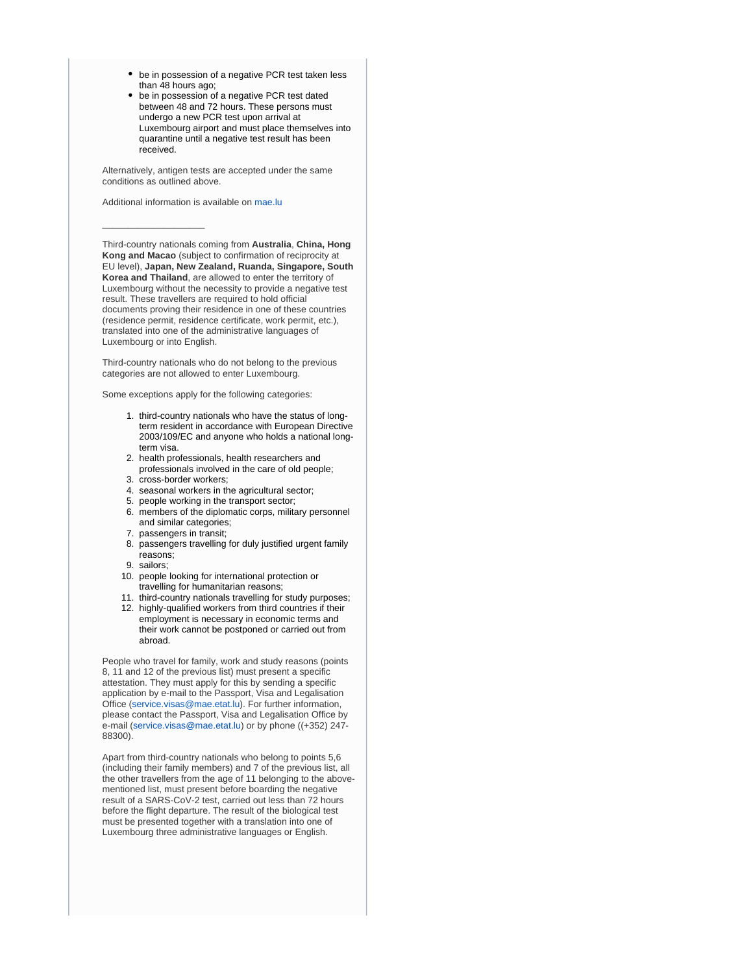- be in possession of a negative PCR test taken less than 48 hours ago;
- be in possession of a negative PCR test dated between 48 and 72 hours. These persons must undergo a new PCR test upon arrival at Luxembourg airport and must place themselves into quarantine until a negative test result has been received.

Alternatively, antigen tests are accepted under the same conditions as outlined above.

Additional information is available on [mae.lu](https://londres.mae.lu/en/actualites/2020/levee-suspension-temp-uk-lu.html)

\_\_\_\_\_\_\_\_\_\_\_\_\_\_\_\_\_\_\_\_

Third-country nationals coming from **Australia**, **China, Hong Kong and Macao** (subject to confirmation of reciprocity at EU level), **Japan, New Zealand, Ruanda, Singapore, South Korea and Thailand**, are allowed to enter the territory of Luxembourg without the necessity to provide a negative test result. These travellers are required to hold official documents proving their residence in one of these countries (residence permit, residence certificate, work permit, etc.), translated into one of the administrative languages of Luxembourg or into English.

Third-country nationals who do not belong to the previous categories are not allowed to enter Luxembourg.

Some exceptions apply for the following categories:

- 1. third-country nationals who have the status of longterm resident in accordance with European Directive 2003/109/EC and anyone who holds a national longterm visa.
- 2. health professionals, health researchers and professionals involved in the care of old people;
- 3. cross-border workers;
- 4. seasonal workers in the agricultural sector;
- 5. people working in the transport sector;
- 6. members of the diplomatic corps, military personnel and similar categories;
- 7. passengers in transit;
- 8. passengers travelling for duly justified urgent family reasons;
- 9. sailors;
- 10. people looking for international protection or travelling for humanitarian reasons;
- 11. third-country nationals travelling for study purposes;
- 12. highly-qualified workers from third countries if their employment is necessary in economic terms and their work cannot be postponed or carried out from abroad.

People who travel for family, work and study reasons (points 8, 11 and 12 of the previous list) must present a specific attestation. They must apply for this by sending a specific application by e-mail to the Passport, Visa and Legalisation Office [\(service.visas@mae.etat.lu](mailto:service.visas@mae.etat.lu)). For further information, please contact the Passport, Visa and Legalisation Office by e-mail [\(service.visas@mae.etat.lu\)](mailto:service.visas@mae.etat.lu) or by phone ((+352) 247- 88300).

Apart from third-country nationals who belong to points 5,6 (including their family members) and 7 of the previous list, all the other travellers from the age of 11 belonging to the abovementioned list, must present before boarding the negative result of a SARS-CoV-2 test, carried out less than 72 hours before the flight departure. The result of the biological test must be presented together with a translation into one of Luxembourg three administrative languages or English.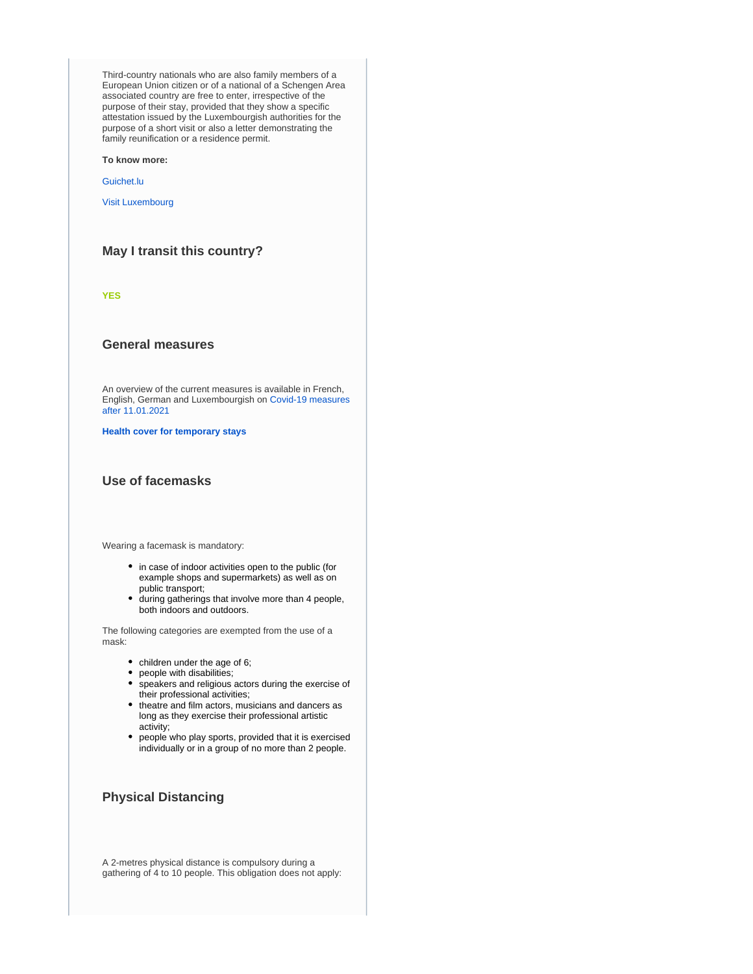Third-country nationals who are also family members of a European Union citizen or of a national of a Schengen Area associated country are free to enter, irrespective of the purpose of their stay, provided that they show a specific attestation issued by the Luxembourgish authorities for the purpose of a short visit or also a letter demonstrating the family reunification or a residence permit.

**To know more:**

[Guichet.lu](https://guichet.public.lu/)

[Visit Luxembourg](https://covid19.public.lu/en/travellers/visiting-luxembourg.html)

# **May I transit this country?**

**YES**

### **General measures**

An overview of the current measures is available in French, English, German and Luxembourgish on [Covid-19 measures](https://covid19.public.lu/fr/toolbox/mesures-vigueur.html)  [after 11.01.2021](https://covid19.public.lu/fr/toolbox/mesures-vigueur.html)

**[Health cover for temporary stays](https://europa.eu/youreurope/citizens/health/unplanned-healthcare/temporary-stays/index_en.htm)**

### **Use of facemasks**

Wearing a facemask is mandatory:

- in case of indoor activities open to the public (for example shops and supermarkets) as well as on public transport;
- during gatherings that involve more than 4 people, both indoors and outdoors.

The following categories are exempted from the use of a mask:

- children under the age of 6;
- people with disabilities;
- speakers and religious actors during the exercise of their professional activities;
- theatre and film actors, musicians and dancers as long as they exercise their professional artistic activity;
- people who play sports, provided that it is exercised individually or in a group of no more than 2 people.

# **Physical Distancing**

A 2-metres physical distance is compulsory during a gathering of 4 to 10 people. This obligation does not apply: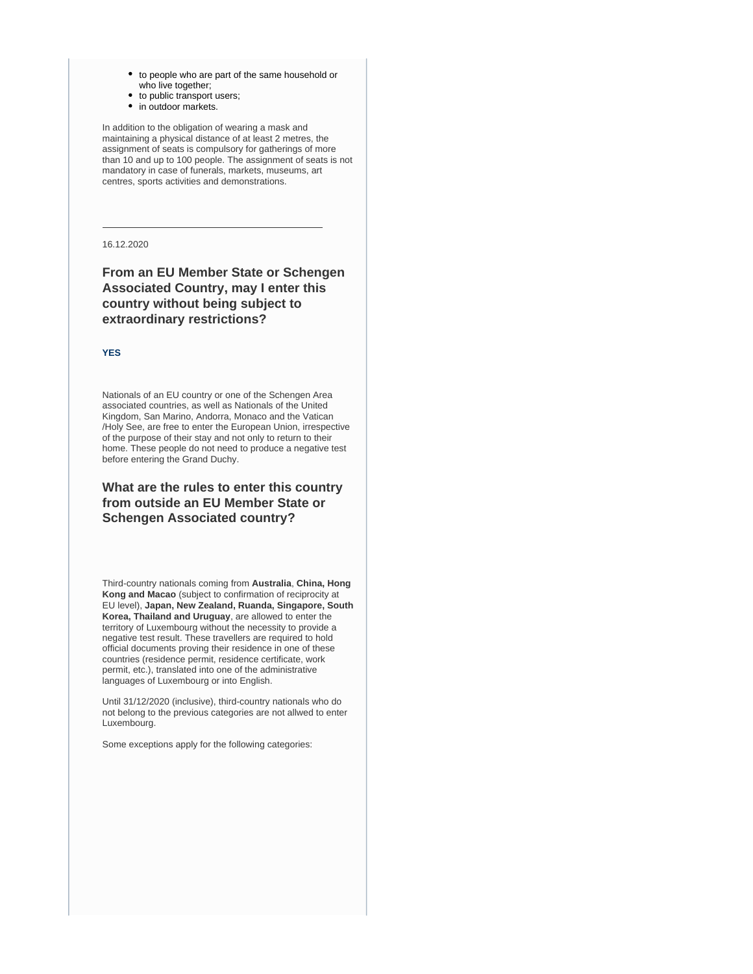- to people who are part of the same household or who live together;
- to public transport users; • in outdoor markets.

In addition to the obligation of wearing a mask and maintaining a physical distance of at least 2 metres, the assignment of seats is compulsory for gatherings of more than 10 and up to 100 people. The assignment of seats is not mandatory in case of funerals, markets, museums, art centres, sports activities and demonstrations.

16.12.2020

# **From an EU Member State or Schengen Associated Country, may I enter this country without being subject to extraordinary restrictions?**

#### **YES**

Nationals of an EU country or one of the Schengen Area associated countries, as well as Nationals of the United Kingdom, San Marino, Andorra, Monaco and the Vatican /Holy See, are free to enter the European Union, irrespective of the purpose of their stay and not only to return to their home. These people do not need to produce a negative test before entering the Grand Duchy.

# **What are the rules to enter this country from outside an EU Member State or Schengen Associated country?**

Third-country nationals coming from **Australia**, **China, Hong Kong and Macao** (subject to confirmation of reciprocity at EU level), **Japan, New Zealand, Ruanda, Singapore, South Korea, Thailand and Uruguay**, are allowed to enter the territory of Luxembourg without the necessity to provide a negative test result. These travellers are required to hold official documents proving their residence in one of these countries (residence permit, residence certificate, work permit, etc.), translated into one of the administrative languages of Luxembourg or into English.

Until 31/12/2020 (inclusive), third-country nationals who do not belong to the previous categories are not allwed to enter Luxembourg.

Some exceptions apply for the following categories: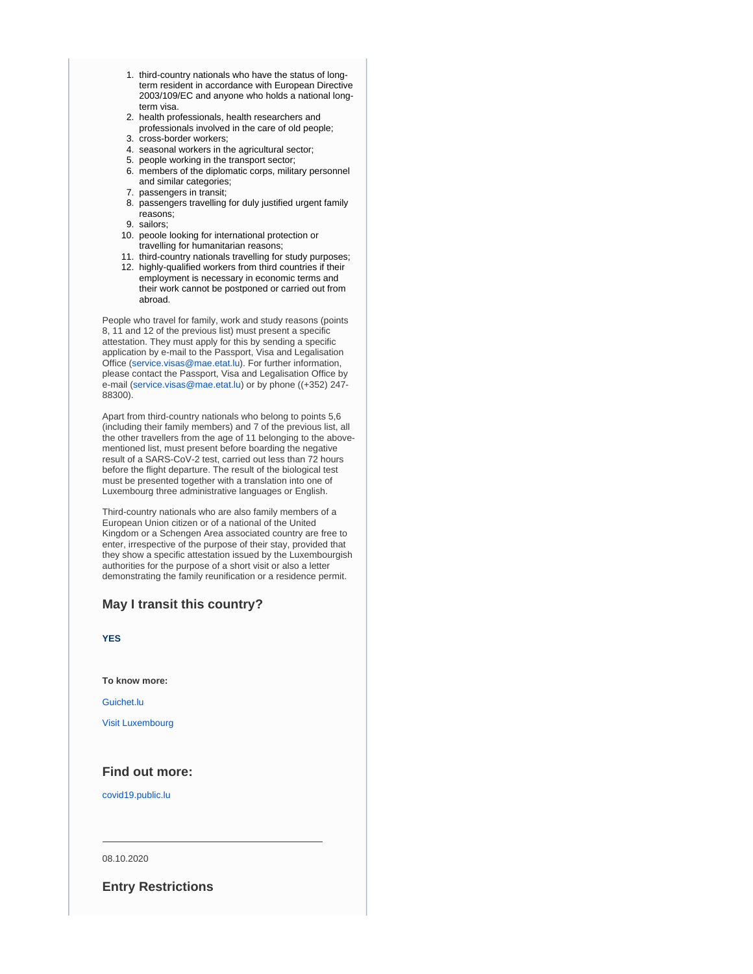- 1. third-country nationals who have the status of longterm resident in accordance with European Directive 2003/109/EC and anyone who holds a national longterm visa.
- 2. health professionals, health researchers and professionals involved in the care of old people;
- 3. cross-border workers;
- 4. seasonal workers in the agricultural sector;
- 5. people working in the transport sector; 6. members of the diplomatic corps, military personnel and similar categories;
- 7. passengers in transit;
- 8. passengers travelling for duly justified urgent family reasons;
- 9. sailors;
- 10. peoole looking for international protection or travelling for humanitarian reasons;
- 11. third-country nationals travelling for study purposes;
- 12. highly-qualified workers from third countries if their employment is necessary in economic terms and their work cannot be postponed or carried out from abroad.

People who travel for family, work and study reasons (points 8, 11 and 12 of the previous list) must present a specific attestation. They must apply for this by sending a specific application by e-mail to the Passport, Visa and Legalisation Office [\(service.visas@mae.etat.lu](mailto:service.visas@mae.etat.lu)). For further information, please contact the Passport, Visa and Legalisation Office by e-mail [\(service.visas@mae.etat.lu\)](mailto:service.visas@mae.etat.lu) or by phone ((+352) 247- 88300).

Apart from third-country nationals who belong to points 5,6 (including their family members) and 7 of the previous list, all the other travellers from the age of 11 belonging to the abovementioned list, must present before boarding the negative result of a SARS-CoV-2 test, carried out less than 72 hours before the flight departure. The result of the biological test must be presented together with a translation into one of Luxembourg three administrative languages or English.

Third-country nationals who are also family members of a European Union citizen or of a national of the United Kingdom or a Schengen Area associated country are free to enter, irrespective of the purpose of their stay, provided that they show a specific attestation issued by the Luxembourgish authorities for the purpose of a short visit or also a letter demonstrating the family reunification or a residence permit.

# **May I transit this country?**

**YES**

**To know more:**

[Guichet.lu](https://guichet.public.lu/)

[Visit Luxembourg](https://covid19.public.lu/en/travellers/visiting-luxembourg.html)

## **Find out more:**

[covid19.public.lu](https://covid19.public.lu/en/travellers/visiting-luxembourg.html)

08.10.2020

**Entry Restrictions**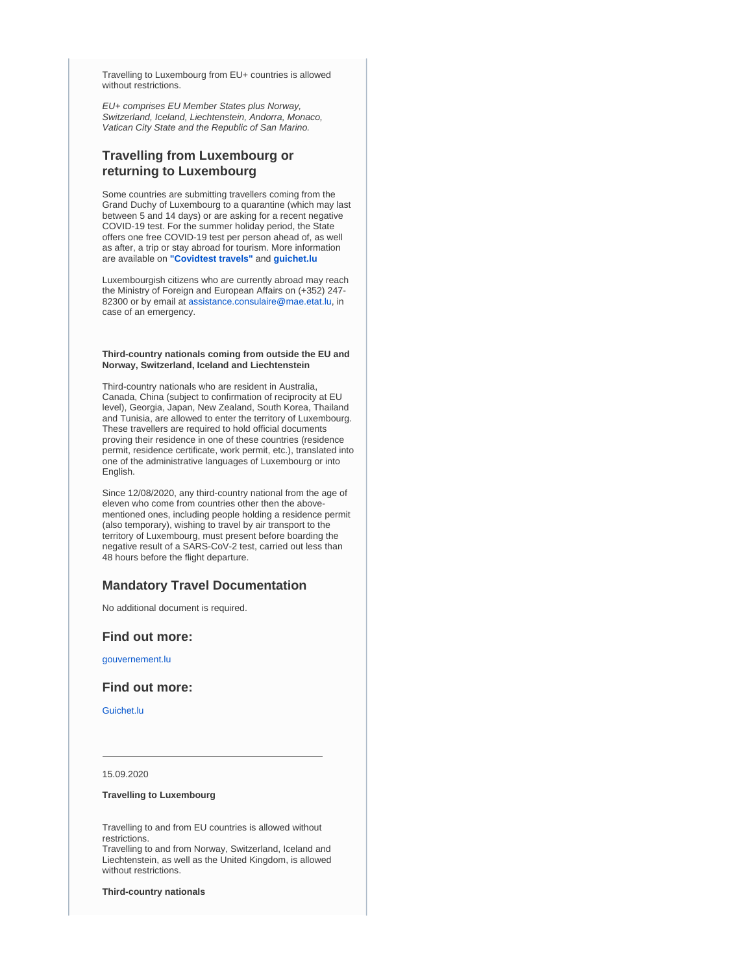Travelling to Luxembourg from EU+ countries is allowed without restrictions.

EU+ comprises EU Member States plus Norway, Switzerland, Iceland, Liechtenstein, Andorra, Monaco, Vatican City State and the Republic of San Marino.

# **Travelling from Luxembourg or returning to Luxembourg**

Some countries are submitting travellers coming from the Grand Duchy of Luxembourg to a quarantine (which may last between 5 and 14 days) or are asking for a recent negative COVID-19 test. For the summer holiday period, the State offers one free COVID-19 test per person ahead of, as well as after, a trip or stay abroad for tourism. More information are available on **["Covidtest travels"](https://gouvernement.lu/en/actualites/toutes_actualites/communiques/2020/07-juillet/29-covidtest-voyage.html)** and **[guichet.lu](https://guichet.public.lu/fr/citoyens/sante-social/coronavirus/test-voyage-sejour-etranger.html)**

Luxembourgish citizens who are currently abroad may reach the Ministry of Foreign and European Affairs on (+352) 247 82300 or by email at [assistance.consulaire@mae.etat.lu,](mailto:assistance.consulaire@mae.etat.lu) in case of an emergency.

#### **Third-country nationals coming from outside the EU and Norway, Switzerland, Iceland and Liechtenstein**

Third-country nationals who are resident in Australia, Canada, China (subject to confirmation of reciprocity at EU level), Georgia, Japan, New Zealand, South Korea, Thailand and Tunisia, are allowed to enter the territory of Luxembourg. These travellers are required to hold official documents proving their residence in one of these countries (residence permit, residence certificate, work permit, etc.), translated into one of the administrative languages of Luxembourg or into English.

Since 12/08/2020, any third-country national from the age of eleven who come from countries other then the abovementioned ones, including people holding a residence permit (also temporary), wishing to travel by air transport to the territory of Luxembourg, must present before boarding the negative result of a SARS-CoV-2 test, carried out less than 48 hours before the flight departure.

### **Mandatory Travel Documentation**

No additional document is required.

#### **Find out more:**

[gouvernement.lu](https://gouvernement.lu/en.html)

#### **Find out more:**

[Guichet.lu](https://guichet.public.lu/)

15.09.2020

#### **Travelling to Luxembourg**

Travelling to and from EU countries is allowed without restrictions.

Travelling to and from Norway, Switzerland, Iceland and Liechtenstein, as well as the United Kingdom, is allowed without restrictions.

**Third-country nationals**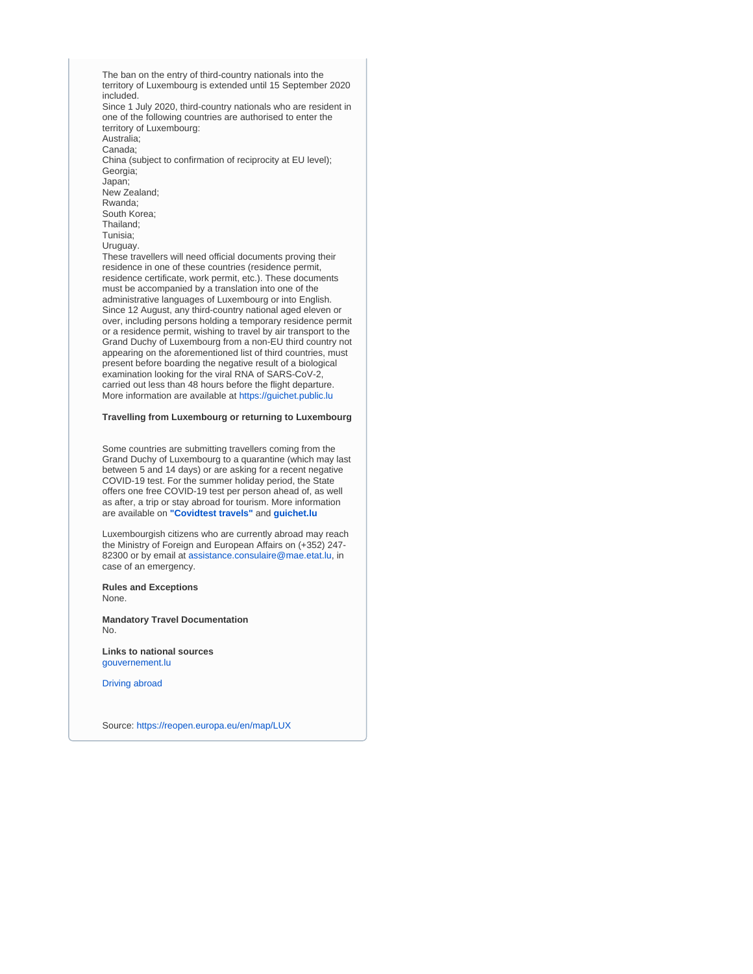The ban on the entry of third-country nationals into the territory of Luxembourg is extended until 15 September 2020 included. Since 1 July 2020, third-country nationals who are resident in one of the following countries are authorised to enter the territory of Luxembourg: Australia; Canada; China (subject to confirmation of reciprocity at EU level); Georgia; Japan; New Zealand; Rwanda; South Korea; Thailand; Tunisia; Uruguay. These travellers will need official documents proving their residence in one of these countries (residence permit, residence certificate, work permit, etc.). These documents must be accompanied by a translation into one of the administrative languages of Luxembourg or into English. Since 12 August, any third-country national aged eleven or over, including persons holding a temporary residence permit or a residence permit, wishing to travel by air transport to the Grand Duchy of Luxembourg from a non-EU third country not appearing on the aforementioned list of third countries, must present before boarding the negative result of a biological examination looking for the viral RNA of SARS-CoV-2, carried out less than 48 hours before the flight departure. More information are available at [https://guichet.public.lu](https://guichet.public.lu/en/actualites/2020/juillet/17-nouvelles-mesures-entree-ressortissant-tiers.html)

#### **Travelling from Luxembourg or returning to Luxembourg**

Some countries are submitting travellers coming from the Grand Duchy of Luxembourg to a quarantine (which may last between 5 and 14 days) or are asking for a recent negative COVID-19 test. For the summer holiday period, the State offers one free COVID-19 test per person ahead of, as well as after, a trip or stay abroad for tourism. More information are available on **["Covidtest travels"](https://gouvernement.lu/en/actualites/toutes_actualites/communiques/2020/07-juillet/29-covidtest-voyage.html)** and **[guichet.lu](https://guichet.public.lu/fr/citoyens/sante-social/coronavirus/test-voyage-sejour-etranger.html)**

Luxembourgish citizens who are currently abroad may reach the Ministry of Foreign and European Affairs on (+352) 247 82300 or by email at [assistance.consulaire@mae.etat.lu,](mailto:assistance.consulaire@mae.etat.lu) in case of an emergency.

**Rules and Exceptions** None.

**Mandatory Travel Documentation** No.

**Links to national sources** [gouvernement.lu](https://gouvernement.lu/en.html)

[Driving abroad](https://europa.eu/youreurope/citizens/travel/driving-abroad/index_en.htm)

Source:<https://reopen.europa.eu/en/map/LUX>